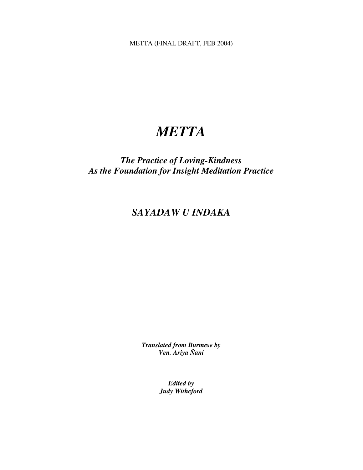METTA (FINAL DRAFT, FEB 2004)

# *METTA*

*The Practice of Loving-Kindness As the Foundation for Insight Meditation Practice*

### *SAYADAW U INDAKA*

*Translated from Burmese by Ven. Ariya Ñani*

> *Edited by Judy Witheford*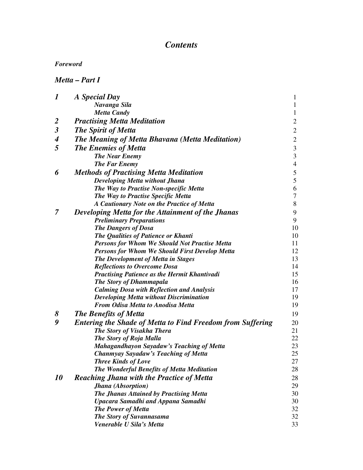### *Contents*

### *Foreword*

### *Metta – Part I*

| 1                    | A Special Day                                                     | $\mathbf{1}$            |
|----------------------|-------------------------------------------------------------------|-------------------------|
|                      | Navanga Sila                                                      | $\mathbf{1}$            |
|                      | <b>Metta Candy</b>                                                | $\mathbf{1}$            |
| $\boldsymbol{2}$     | <b>Practising Metta Meditation</b>                                | $\mathbf{2}$            |
| $\boldsymbol{\beta}$ | <b>The Spirit of Metta</b>                                        | $\overline{2}$          |
| 4                    | The Meaning of Metta Bhavana (Metta Meditation)                   | $\overline{2}$          |
| 5                    | <b>The Enemies of Metta</b>                                       | 3                       |
|                      | <b>The Near Enemy</b>                                             | $\overline{\mathbf{3}}$ |
|                      | <b>The Far Enemy</b>                                              | $\overline{4}$          |
| 6                    | <b>Methods of Practising Metta Meditation</b>                     | 5                       |
|                      | <b>Developing Metta without Jhana</b>                             | 5                       |
|                      | The Way to Practise Non-specific Metta                            | 6                       |
|                      | The Way to Practise Specific Metta                                | 7                       |
|                      | A Cautionary Note on the Practice of Metta                        | 8                       |
| 7                    | Developing Metta for the Attainment of the Jhanas                 | 9                       |
|                      | <b>Preliminary Preparations</b>                                   | 9                       |
|                      | <b>The Dangers of Dosa</b>                                        | 10                      |
|                      | The Qualities of Patience or Khanti                               | 10                      |
|                      | <b>Persons for Whom We Should Not Practise Metta</b>              | 11                      |
|                      | Persons for Whom We Should First Develop Metta                    | 12                      |
|                      | The Development of Metta in Stages                                | 13                      |
|                      | <b>Reflections to Overcome Dosa</b>                               | 14                      |
|                      | <b>Practising Patience as the Hermit Khantivadi</b>               | 15                      |
|                      | The Story of Dhammapala                                           | 16                      |
|                      | <b>Calming Dosa with Reflection and Analysis</b>                  | 17                      |
|                      | <b>Developing Metta without Discrimination</b>                    | 19                      |
|                      | From Odisa Metta to Anodisa Metta                                 | 19                      |
| 8                    | <b>The Benefits of Metta</b>                                      | 19                      |
| 9                    | <b>Entering the Shade of Metta to Find Freedom from Suffering</b> | 20                      |
|                      | The Story of Visakha Thera                                        | 21                      |
|                      | The Story of Roja Malla                                           | 22                      |
|                      | Mahagandhayon Sayadaw's Teaching of Metta                         | 23                      |
|                      | <b>Chanmyay Sayadaw's Teaching of Metta</b>                       | 25                      |
|                      | <b>Three Kinds of Love</b>                                        | 27                      |
|                      | The Wonderful Benefits of Metta Meditation                        | 28                      |
| 10                   | <b>Reaching Jhana with the Practice of Metta</b>                  | 28                      |
|                      | Jhana (Absorption)                                                | 29                      |
|                      | The Jhanas Attained by Practising Metta                           | 30                      |
|                      | <b>Upacara Samadhi and Appana Samadhi</b>                         | 30                      |
|                      | <b>The Power of Metta</b>                                         | 32                      |
|                      | The Story of Suvannasama                                          | 32                      |
|                      | Venerable U Sila's Metta                                          | 33                      |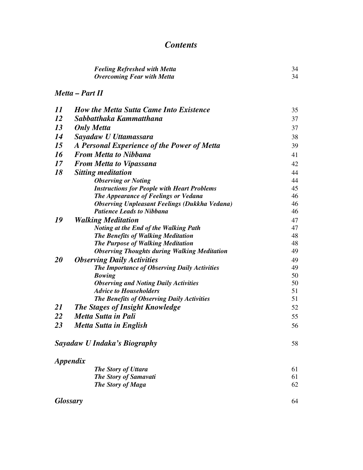### *Contents*

| <b>Feeling Refreshed with Metta</b> | 34 |
|-------------------------------------|----|
| <b>Overcoming Fear with Metta</b>   | 34 |

### *Metta – Part II*

| 11        | <b>How the Metta Sutta Came Into Existence</b>       | 35 |
|-----------|------------------------------------------------------|----|
| 12        | Sabbatthaka Kammatthana                              | 37 |
| 13        | <b>Only Metta</b>                                    | 37 |
| 14        | Sayadaw U Uttamassara                                | 38 |
| 15        | A Personal Experience of the Power of Metta          | 39 |
| 16        | <b>From Metta to Nibbana</b>                         | 41 |
| 17        | <b>From Metta to Vipassana</b>                       | 42 |
| 18        | <b>Sitting meditation</b>                            | 44 |
|           | <b>Observing or Noting</b>                           | 44 |
|           | <b>Instructions for People with Heart Problems</b>   | 45 |
|           | <b>The Appearance of Feelings or Vedana</b>          | 46 |
|           | <b>Observing Unpleasant Feelings (Dukkha Vedana)</b> | 46 |
|           | <b>Patience Leads to Nibbana</b>                     | 46 |
| 19        | <b>Walking Meditation</b>                            | 47 |
|           | Noting at the End of the Walking Path                | 47 |
|           | The Benefits of Walking Meditation                   | 48 |
|           | <b>The Purpose of Walking Meditation</b>             | 48 |
|           | <b>Observing Thoughts during Walking Meditation</b>  | 49 |
| 20        | <b>Observing Daily Activities</b>                    | 49 |
|           | The Importance of Observing Daily Activities         | 49 |
|           | <b>Bowing</b>                                        | 50 |
|           | <b>Observing and Noting Daily Activities</b>         | 50 |
|           | <b>Advice to Householders</b>                        | 51 |
|           | The Benefits of Observing Daily Activities           | 51 |
| <b>21</b> | <b>The Stages of Insight Knowledge</b>               | 52 |
| 22        | Metta Sutta in Pali                                  | 55 |
| 23        | Metta Sutta in English                               | 56 |
|           | Sayadaw U Indaka's Biography                         | 58 |
|           | <i><b>Appendix</b></i>                               |    |
|           | The Story of Uttara                                  | 61 |
|           | <b>The Story of Samavati</b>                         | 61 |
|           | <b>The Story of Maga</b>                             | 62 |
|           | <b>Glossary</b>                                      | 64 |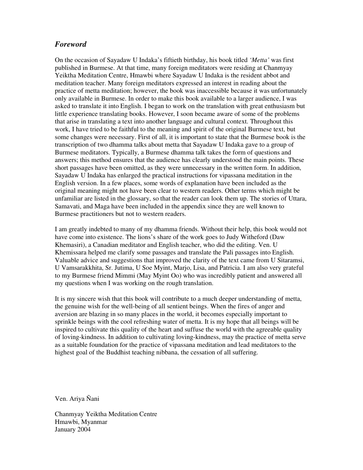### *Foreword*

On the occasion of Sayadaw U Indaka's fiftieth birthday, his book titled *'Metta'* was first published in Burmese. At that time, many foreign meditators were residing at Chanmyay Yeiktha Meditation Centre, Hmawbi where Sayadaw U Indaka is the resident abbot and meditation teacher. Many foreign meditators expressed an interest in reading about the practice of metta meditation; however, the book was inaccessible because it was unfortunately only available in Burmese. In order to make this book available to a larger audience, I was asked to translate it into English. I began to work on the translation with great enthusiasm but little experience translating books. However, I soon became aware of some of the problems that arise in translating a text into another language and cultural context. Throughout this work, I have tried to be faithful to the meaning and spirit of the original Burmese text, but some changes were necessary. First of all, it is important to state that the Burmese book is the transcription of two dhamma talks about metta that Sayadaw U Indaka gave to a group of Burmese meditators. Typically, a Burmese dhamma talk takes the form of questions and answers; this method ensures that the audience has clearly understood the main points. These short passages have been omitted, as they were unnecessary in the written form. In addition, Sayadaw U Indaka has enlarged the practical instructions for vipassana meditation in the English version. In a few places, some words of explanation have been included as the original meaning might not have been clear to western readers. Other terms which might be unfamiliar are listed in the glossary, so that the reader can look them up. The stories of Uttara, Samavati, and Maga have been included in the appendix since they are well known to Burmese practitioners but not to western readers.

I am greatly indebted to many of my dhamma friends. Without their help, this book would not have come into existence. The lions's share of the work goes to Judy Witheford (Daw Khemasiri), a Canadian meditator and English teacher, who did the editing. Ven. U Khemissara helped me clarify some passages and translate the Pali passages into English. Valuable advice and suggestions that improved the clarity of the text came from U Sitaramsi, U Vamsarakkhita, Sr. Jutima, U Soe Myint, Marjo, Lisa, and Patricia. I am also very grateful to my Burmese friend Mimmi (May Myint Oo) who was incredibly patient and answered all my questions when I was working on the rough translation.

It is my sincere wish that this book will contribute to a much deeper understanding of metta, the genuine wish for the well-being of all sentient beings. When the fires of anger and aversion are blazing in so many places in the world, it becomes especially important to sprinkle beings with the cool refreshing water of metta. It is my hope that all beings will be inspired to cultivate this quality of the heart and suffuse the world with the agreeable quality of loving-kindness. In addition to cultivating loving-kindness, may the practice of metta serve as a suitable foundation for the practice of vipassana meditation and lead meditators to the highest goal of the Buddhist teaching nibbana, the cessation of all suffering.

Ven. Ariya Ñani

Chanmyay Yeiktha Meditation Centre Hmawbi, Myanmar January 2004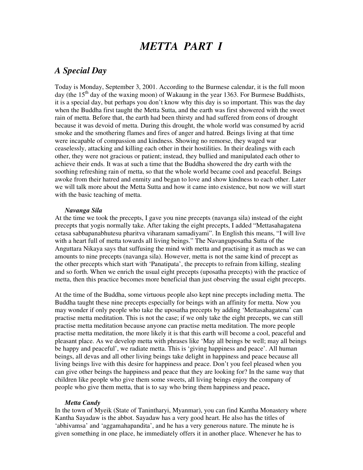## *METTA PART I*

### *A Special Day*

Today is Monday, September 3, 2001. According to the Burmese calendar, it is the full moon day (the 15<sup>th</sup> day of the waxing moon) of Wakaung in the year 1363. For Burmese Buddhists, it is a special day, but perhaps you don't know why this day is so important. This was the day when the Buddha first taught the Metta Sutta, and the earth was first showered with the sweet rain of metta. Before that, the earth had been thirsty and had suffered from eons of drought because it was devoid of metta. During this drought, the whole world was consumed by acrid smoke and the smothering flames and fires of anger and hatred. Beings living at that time were incapable of compassion and kindness. Showing no remorse, they waged war ceaselessly, attacking and killing each other in their hostilities. In their dealings with each other, they were not gracious or patient; instead, they bullied and manipulated each other to achieve their ends. It was at such a time that the Buddha showered the dry earth with the soothing refreshing rain of metta, so that the whole world became cool and peaceful. Beings awoke from their hatred and enmity and began to love and show kindness to each other. Later we will talk more about the Metta Sutta and how it came into existence, but now we will start with the basic teaching of metta.

#### *Navanga Sila*

At the time we took the precepts, I gave you nine precepts (navanga sila) instead of the eight precepts that yogis normally take. After taking the eight precepts, I added "Mettasahagatena cetasa sabbapanabhutesu pharitva viharanam samadiyami". In English this means, "I will live with a heart full of metta towards all living beings." The Navanguposatha Sutta of the Anguttara Nikaya says that suffusing the mind with metta and practising it as much as we can amounts to nine precepts (navanga sila). However, metta is not the same kind of precept as the other precepts which start with 'Panatipata', the precepts to refrain from killing, stealing and so forth. When we enrich the usual eight precepts (uposatha precepts) with the practice of metta, then this practice becomes more beneficial than just observing the usual eight precepts.

At the time of the Buddha, some virtuous people also kept nine precepts including metta. The Buddha taught these nine precepts especially for beings with an affinity for metta. Now you may wonder if only people who take the uposatha precepts by adding 'Mettasahagatena' can practise metta meditation. This is not the case; if we only take the eight precepts, we can still practise metta meditation because anyone can practise metta meditation. The more people practise metta meditation, the more likely it is that this earth will become a cool, peaceful and pleasant place. As we develop metta with phrases like 'May all beings be well; may all beings be happy and peaceful', we radiate metta. This is 'giving happiness and peace'. All human beings, all devas and all other living beings take delight in happiness and peace because all living beings live with this desire for happiness and peace. Don't you feel pleased when you can give other beings the happiness and peace that they are looking for? In the same way that children like people who give them some sweets, all living beings enjoy the company of people who give them metta, that is to say who bring them happiness and peace**.**

#### *Metta Candy*

In the town of Myeik (State of Tanintharyi, Myanmar), you can find Kantha Monastery where Kantha Sayadaw is the abbot. Sayadaw has a very good heart. He also has the titles of 'abhivamsa' and 'aggamahapandita', and he has a very generous nature. The minute he is given something in one place, he immediately offers it in another place. Whenever he has to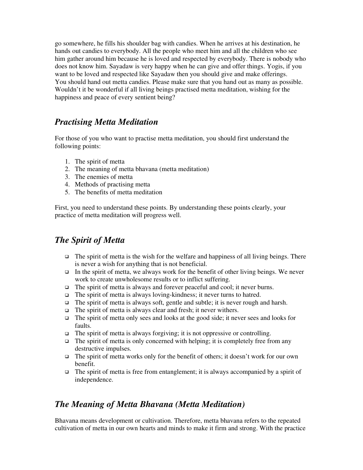go somewhere, he fills his shoulder bag with candies. When he arrives at his destination, he hands out candies to everybody. All the people who meet him and all the children who see him gather around him because he is loved and respected by everybody. There is nobody who does not know him. Sayadaw is very happy when he can give and offer things. Yogis, if you want to be loved and respected like Sayadaw then you should give and make offerings. You should hand out metta candies. Please make sure that you hand out as many as possible. Wouldn't it be wonderful if all living beings practised metta meditation, wishing for the happiness and peace of every sentient being?

### *Practising Metta Meditation*

For those of you who want to practise metta meditation, you should first understand the following points:

- 1. The spirit of metta
- 2. The meaning of metta bhavana (metta meditation)
- 3. The enemies of metta
- 4. Methods of practising metta
- 5. The benefits of metta meditation

First, you need to understand these points. By understanding these points clearly, your practice of metta meditation will progress well.

### *The Spirit of Metta*

- $\Box$  The spirit of metta is the wish for the welfare and happiness of all living beings. There is never a wish for anything that is not beneficial.
- In the spirit of metta, we always work for the benefit of other living beings. We never work to create unwholesome results or to inflict suffering.
- $\Box$  The spirit of metta is always and forever peaceful and cool; it never burns.
- $\Box$  The spirit of metta is always loving-kindness; it never turns to hatred.
- $\Box$  The spirit of metta is always soft, gentle and subtle; it is never rough and harsh.
- $\Box$  The spirit of metta is always clear and fresh; it never withers.
- The spirit of metta only sees and looks at the good side; it never sees and looks for faults.
- $\Box$  The spirit of metta is always forgiving; it is not oppressive or controlling.
- $\Box$  The spirit of metta is only concerned with helping; it is completely free from any destructive impulses.
- The spirit of metta works only for the benefit of others; it doesn' t work for our own benefit.
- $\Box$  The spirit of metta is free from entanglement; it is always accompanied by a spirit of independence.

### *The Meaning of Metta Bhavana (Metta Meditation)*

Bhavana means development or cultivation. Therefore, metta bhavana refers to the repeated cultivation of metta in our own hearts and minds to make it firm and strong. With the practice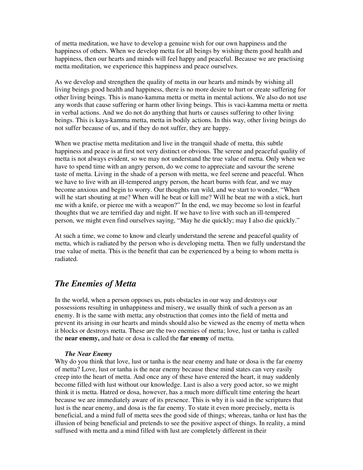of metta meditation, we have to develop a genuine wish for our own happiness and the happiness of others. When we develop metta for all beings by wishing them good health and happiness, then our hearts and minds will feel happy and peaceful. Because we are practising metta meditation, we experience this happiness and peace ourselves.

As we develop and strengthen the quality of metta in our hearts and minds by wishing all living beings good health and happiness, there is no more desire to hurt or create suffering for other living beings. This is mano-kamma metta or metta in mental actions. We also do not use any words that cause suffering or harm other living beings. This is vaci-kamma metta or metta in verbal actions. And we do not do anything that hurts or causes suffering to other living beings. This is kaya-kamma metta, metta in bodily actions. In this way, other living beings do not suffer because of us, and if they do not suffer, they are happy.

When we practise metta meditation and live in the tranquil shade of metta, this subtle happiness and peace is at first not very distinct or obvious. The serene and peaceful quality of metta is not always evident, so we may not understand the true value of metta. Only when we have to spend time with an angry person, do we come to appreciate and savour the serene taste of metta. Living in the shade of a person with metta, we feel serene and peaceful. When we have to live with an ill-tempered angry person, the heart burns with fear, and we may become anxious and begin to worry. Our thoughts run wild, and we start to wonder, " When will he start shouting at me? When will he beat or kill me? Will he beat me with a stick, hurt me with a knife, or pierce me with a weapon?" In the end, we may become so lost in fearful thoughts that we are terrified day and night. If we have to live with such an ill-tempered person, we might even find ourselves saying, " May he die quickly; may I also die quickly."

At such a time, we come to know and clearly understand the serene and peaceful quality of metta, which is radiated by the person who is developing metta. Then we fully understand the true value of metta. This is the benefit that can be experienced by a being to whom metta is radiated.

### *The Enemies of Metta*

In the world, when a person opposes us, puts obstacles in our way and destroys our possessions resulting in unhappiness and misery, we usually think of such a person as an enemy. It is the same with metta; any obstruction that comes into the field of metta and prevent its arising in our hearts and minds should also be viewed as the enemy of metta when it blocks or destroys metta. These are the two enemies of metta; love, lust or tanha is called the **near enemy,** and hate or dosa is called the **far enemy** of metta.

#### *The Near Enemy*

Why do you think that love, lust or tanha is the near enemy and hate or dosa is the far enemy of metta? Love, lust or tanha is the near enemy because these mind states can very easily creep into the heart of metta. And once any of these have entered the heart, it may suddenly become filled with lust without our knowledge. Lust is also a very good actor, so we might think it is metta. Hatred or dosa, however, has a much more difficult time entering the heart because we are immediately aware of its presence. This is why it is said in the scriptures that lust is the near enemy, and dosa is the far enemy. To state it even more precisely, metta is beneficial, and a mind full of metta sees the good side of things; whereas, tanha or lust has the illusion of being beneficial and pretends to see the positive aspect of things. In reality, a mind suffused with metta and a mind filled with lust are completely different in their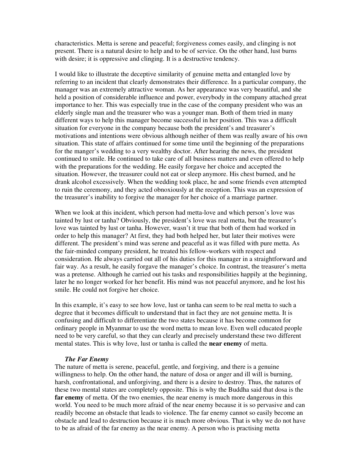characteristics. Metta is serene and peaceful; forgiveness comes easily, and clinging is not present. There is a natural desire to help and to be of service. On the other hand, lust burns with desire; it is oppressive and clinging. It is a destructive tendency.

I would like to illustrate the deceptive similarity of genuine metta and entangled love by referring to an incident that clearly demonstrates their difference. In a particular company, the manager was an extremely attractive woman. As her appearance was very beautiful, and she held a position of considerable influence and power, everybody in the company attached great importance to her. This was especially true in the case of the company president who was an elderly single man and the treasurer who was a younger man. Both of them tried in many different ways to help this manager become successful in her position. This was a difficult situation for everyone in the company because both the president's and treasurer's motivations and intentions were obvious although neither of them was really aware of his own situation. This state of affairs continued for some time until the beginning of the preparations for the manger's wedding to a very wealthy doctor. After hearing the news, the president continued to smile. He continued to take care of all business matters and even offered to help with the preparations for the wedding. He easily forgave her choice and accepted the situation. However, the treasurer could not eat or sleep anymore. His chest burned, and he drank alcohol excessively. When the wedding took place, he and some friends even attempted to ruin the ceremony, and they acted obnoxiously at the reception. This was an expression of the treasurer's inability to forgive the manager for her choice of a marriage partner.

When we look at this incident, which person had metta-love and which person's love was tainted by lust or tanha? Obviously, the president's love was real metta, but the treasurer's love was tainted by lust or tanha. However, wasn't it true that both of them had worked in order to help this manager? At first, they had both helped her, but later their motives were different. The president's mind was serene and peaceful as it was filled with pure metta. As the fair-minded company president, he treated his fellow-workers with respect and consideration. He always carried out all of his duties for this manager in a straightforward and fair way. As a result, he easily forgave the manager's choice. In contrast, the treasurer's metta was a pretense. Although he carried out his tasks and responsibilities happily at the beginning, later he no longer worked for her benefit. His mind was not peaceful anymore, and he lost his smile. He could not forgive her choice.

In this example, it's easy to see how love, lust or tanha can seem to be real metta to such a degree that it becomes difficult to understand that in fact they are not genuine metta. It is confusing and difficult to differentiate the two states because it has become common for ordinary people in Myanmar to use the word metta to mean love. Even well educated people need to be very careful, so that they can clearly and precisely understand these two different mental states. This is why love, lust or tanha is called the **near enemy** of metta.

#### *The Far Enemy*

The nature of metta is serene, peaceful, gentle, and forgiving, and there is a genuine willingness to help. On the other hand, the nature of dosa or anger and ill will is burning, harsh, confrontational, and unforgiving, and there is a desire to destroy. Thus, the natures of these two mental states are completely opposite. This is why the Buddha said that dosa is the **far enemy** of metta. Of the two enemies, the near enemy is much more dangerous in this world. You need to be much more afraid of the near enemy because it is so pervasive and can readily become an obstacle that leads to violence. The far enemy cannot so easily become an obstacle and lead to destruction because it is much more obvious. That is why we do not have to be as afraid of the far enemy as the near enemy. A person who is practising metta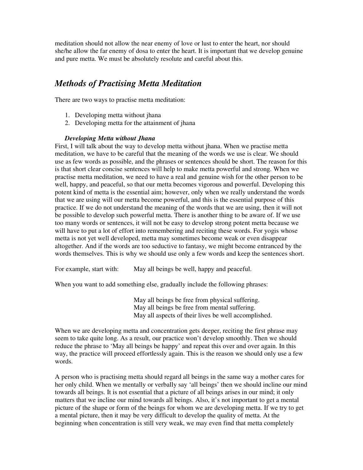meditation should not allow the near enemy of love or lust to enter the heart, nor should she/he allow the far enemy of dosa to enter the heart. It is important that we develop genuine and pure metta. We must be absolutely resolute and careful about this.

### *Methods of Practising Metta Meditation*

There are two ways to practise metta meditation:

- 1. Developing metta without jhana
- 2. Developing metta for the attainment of jhana

#### *Developing Metta without Jhana*

First, I will talk about the way to develop metta without jhana. When we practise metta meditation, we have to be careful that the meaning of the words we use is clear. We should use as few words as possible, and the phrases or sentences should be short. The reason for this is that short clear concise sentences will help to make metta powerful and strong. When we practise metta meditation, we need to have a real and genuine wish for the other person to be well, happy, and peaceful, so that our metta becomes vigorous and powerful. Developing this potent kind of metta is the essential aim; however, only when we really understand the words that we are using will our metta become powerful, and this is the essential purpose of this practice. If we do not understand the meaning of the words that we are using, then it will not be possible to develop such powerful metta. There is another thing to be aware of. If we use too many words or sentences, it will not be easy to develop strong potent metta because we will have to put a lot of effort into remembering and reciting these words. For yogis whose metta is not yet well developed, metta may sometimes become weak or even disappear altogether. And if the words are too seductive to fantasy, we might become entranced by the words themselves. This is why we should use only a few words and keep the sentences short.

For example, start with: May all beings be well, happy and peaceful.

When you want to add something else, gradually include the following phrases:

May all beings be free from physical suffering. May all beings be free from mental suffering. May all aspects of their lives be well accomplished.

When we are developing metta and concentration gets deeper, reciting the first phrase may seem to take quite long. As a result, our practice won't develop smoothly. Then we should reduce the phrase to 'May all beings be happy' and repeat this over and over again. In this way, the practice will proceed effortlessly again. This is the reason we should only use a few words.

A person who is practising metta should regard all beings in the same way a mother cares for her only child. When we mentally or verbally say 'all beings' then we should incline our mind towards all beings. It is not essential that a picture of all beings arises in our mind; it only matters that we incline our mind towards all beings. Also, it's not important to get a mental picture of the shape or form of the beings for whom we are developing metta. If we try to get a mental picture, then it may be very difficult to develop the quality of metta. At the beginning when concentration is still very weak, we may even find that metta completely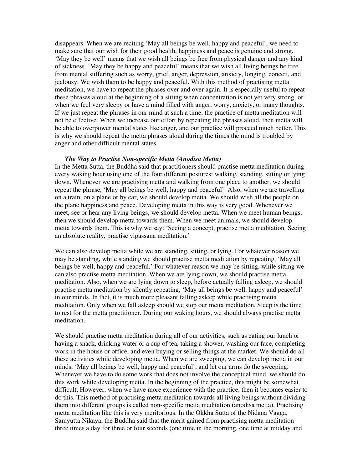disappears. When we are reciting 'May all beings be well, happy and peaceful', we need to make sure that our wish for their good health, happiness and peace is genuine and strong. 'May they be well' means that we wish all beings be free from physical danger and any kind of sickness. 'May they be happy and peaceful' means that we wish all living beings be free from mental suffering such as worry, grief, anger, depression, anxiety, longing, conceit, and jealousy. We wish them to be happy and peaceful. With this method of practising metta meditation, we have to repeat the phrases over and over again. It is especially useful to repeat these phrases aloud at the beginning of a sitting when concentration is not yet very strong, or when we feel very sleepy or have a mind filled with anger, worry, anxiety, or many thoughts. If we just repeat the phrases in our mind at such a time, the practice of metta meditation will not be effective. When we increase our effort by repeating the phrases aloud, then metta will be able to overpower mental states like anger, and our practice will proceed much better. This is why we should repeat the metta phrases aloud during the times the mind is troubled by anger and other difficult mental states.

#### *The Way to Practise Non-specific Metta (Anodisa Metta)*

In the Metta Sutta, the Buddha said that practitioners should practise metta meditation during every waking hour using one of the four different postures: walking, standing, sitting or lying down. Whenever we are practising metta and walking from one place to another, we should repeat the phrase, 'May all beings be well, happy and peaceful' . Also, when we are travelling on a train, on a plane or by car, we should develop metta. We should wish all the people on the plane happiness and peace. Developing metta in this way is very good. Whenever we meet, see or hear any living beings, we should develop metta. When we meet human beings, then we should develop metta towards them. When we meet animals, we should develop metta towards them. This is why we say: 'Seeing a concept, practise metta meditation. Seeing an absolute reality, practise vipassana meditation.'

We can also develop metta while we are standing, sitting, or lying. For whatever reason we may be standing, while standing we should practise metta meditation by repeating, 'May all beings be well, happy and peaceful.' For whatever reason we may be sitting, while sitting we can also practise metta meditation. When we are lying down, we should practise metta meditation. Also, when we are lying down to sleep, before actually falling asleep, we should practise metta meditation by silently repeating, 'May all beings be well, happy and peaceful' in our minds. In fact, it is much more pleasant falling asleep while practising metta meditation. Only when we fall asleep should we stop our metta meditation. Sleep is the time to rest for the metta practitioner. During our waking hours, we should always practise metta meditation.

We should practise metta meditation during all of our activities, such as eating our lunch or having a snack, drinking water or a cup of tea, taking a shower, washing our face, completing work in the house or office, and even buying or selling things at the market. We should do all these activities while developing metta. When we are sweeping, we can develop metta in our minds, 'May all beings be well, happy and peaceful', and let our arms do the sweeping. Whenever we have to do some work that does not involve the conceptual mind, we should do this work while developing metta. In the beginning of the practice, this might be somewhat difficult. However, when we have more experience with the practice, then it becomes easier to do this. This method of practising metta meditation towards all living beings without dividing them into different groups is called non-specific metta meditation (anodisa metta). Practising metta meditation like this is very meritorious. In the Okkha Sutta of the Nidana Vagga, Samyutta Nikaya, the Buddha said that the merit gained from practising metta meditation three times a day for three or four seconds (one time in the morning, one time at midday and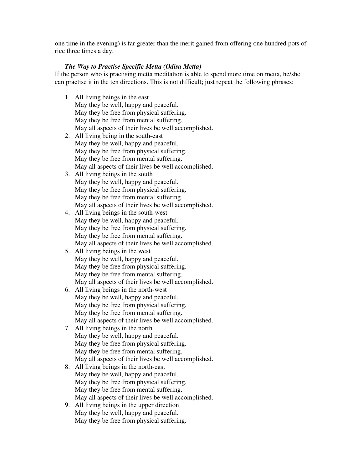one time in the evening) is far greater than the merit gained from offering one hundred pots of rice three times a day.

#### *The Way to Practise Specific Metta (Odisa Metta)*

If the person who is practising metta meditation is able to spend more time on metta, he/she can practise it in the ten directions. This is not difficult; just repeat the following phrases:

- 1. All living beings in the east
- May they be well, happy and peaceful. May they be free from physical suffering. May they be free from mental suffering. May all aspects of their lives be well accomplished.
- 2. All living being in the south-east May they be well, happy and peaceful. May they be free from physical suffering. May they be free from mental suffering. May all aspects of their lives be well accomplished.
- 3. All living beings in the south May they be well, happy and peaceful. May they be free from physical suffering. May they be free from mental suffering. May all aspects of their lives be well accomplished.
- 4. All living beings in the south-west May they be well, happy and peaceful. May they be free from physical suffering. May they be free from mental suffering. May all aspects of their lives be well accomplished.
- 5. All living beings in the west May they be well, happy and peaceful. May they be free from physical suffering. May they be free from mental suffering. May all aspects of their lives be well accomplished.
- 6. All living beings in the north-west May they be well, happy and peaceful. May they be free from physical suffering. May they be free from mental suffering. May all aspects of their lives be well accomplished.
- 7. All living beings in the north May they be well, happy and peaceful. May they be free from physical suffering. May they be free from mental suffering. May all aspects of their lives be well accomplished.
- 8. All living beings in the north-east May they be well, happy and peaceful. May they be free from physical suffering. May they be free from mental suffering. May all aspects of their lives be well accomplished.
- 9. All living beings in the upper direction May they be well, happy and peaceful. May they be free from physical suffering.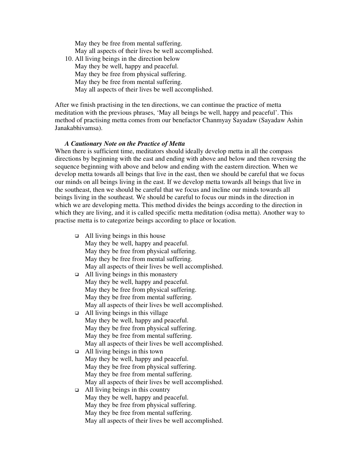May they be free from mental suffering. May all aspects of their lives be well accomplished.

10. All living beings in the direction below May they be well, happy and peaceful. May they be free from physical suffering. May they be free from mental suffering. May all aspects of their lives be well accomplished.

After we finish practising in the ten directions, we can continue the practice of metta meditation with the previous phrases, 'May all beings be well, happy and peaceful' . This method of practising metta comes from our benefactor Chanmyay Sayadaw (Sayadaw Ashin Janakabhivamsa).

#### *A Cautionary Note on the Practice of Metta*

When there is sufficient time, meditators should ideally develop metta in all the compass directions by beginning with the east and ending with above and below and then reversing the sequence beginning with above and below and ending with the eastern direction. When we develop metta towards all beings that live in the east, then we should be careful that we focus our minds on all beings living in the east. If we develop metta towards all beings that live in the southeast, then we should be careful that we focus and incline our minds towards all beings living in the southeast. We should be careful to focus our minds in the direction in which we are developing metta. This method divides the beings according to the direction in which they are living, and it is called specific metta meditation (odisa metta). Another way to practise metta is to categorize beings according to place or location.

- All living beings in this house May they be well, happy and peaceful. May they be free from physical suffering. May they be free from mental suffering. May all aspects of their lives be well accomplished.
- All living beings in this monastery May they be well, happy and peaceful. May they be free from physical suffering. May they be free from mental suffering. May all aspects of their lives be well accomplished.
- All living beings in this village May they be well, happy and peaceful. May they be free from physical suffering. May they be free from mental suffering. May all aspects of their lives be well accomplished.
- All living beings in this town May they be well, happy and peaceful. May they be free from physical suffering. May they be free from mental suffering. May all aspects of their lives be well accomplished.
- All living beings in this country May they be well, happy and peaceful. May they be free from physical suffering. May they be free from mental suffering. May all aspects of their lives be well accomplished.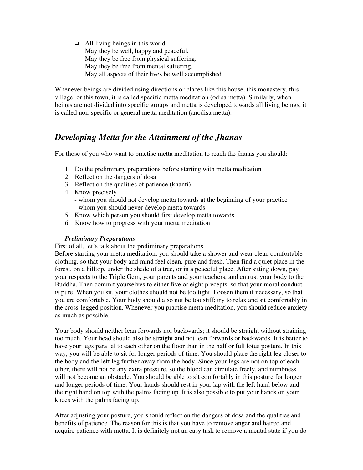All living beings in this world May they be well, happy and peaceful. May they be free from physical suffering. May they be free from mental suffering. May all aspects of their lives be well accomplished.

Whenever beings are divided using directions or places like this house, this monastery, this village, or this town, it is called specific metta meditation (odisa metta). Similarly, when beings are not divided into specific groups and metta is developed towards all living beings, it is called non-specific or general metta meditation (anodisa metta).

### *Developing Metta for the Attainment of the Jhanas*

For those of you who want to practise metta meditation to reach the jhanas you should:

- 1. Do the preliminary preparations before starting with metta meditation
- 2. Reflect on the dangers of dosa
- 3. Reflect on the qualities of patience (khanti)
- 4. Know precisely
	- whom you should not develop metta towards at the beginning of your practice - whom you should never develop metta towards
- 5. Know which person you should first develop metta towards
- 6. Know how to progress with your metta meditation

#### *Preliminary Preparations*

First of all, let's talk about the preliminary preparations.

Before starting your metta meditation, you should take a shower and wear clean comfortable clothing, so that your body and mind feel clean, pure and fresh. Then find a quiet place in the forest, on a hilltop, under the shade of a tree, or in a peaceful place. After sitting down, pay your respects to the Triple Gem, your parents and your teachers, and entrust your body to the Buddha. Then commit yourselves to either five or eight precepts, so that your moral conduct is pure. When you sit, your clothes should not be too tight. Loosen them if necessary, so that you are comfortable. Your body should also not be too stiff; try to relax and sit comfortably in the cross-legged position. Whenever you practise metta meditation, you should reduce anxiety as much as possible.

Your body should neither lean forwards nor backwards; it should be straight without straining too much. Your head should also be straight and not lean forwards or backwards. It is better to have your legs parallel to each other on the floor than in the half or full lotus posture. In this way, you will be able to sit for longer periods of time. You should place the right leg closer to the body and the left leg further away from the body. Since your legs are not on top of each other, there will not be any extra pressure, so the blood can circulate freely, and numbness will not become an obstacle. You should be able to sit comfortably in this posture for longer and longer periods of time. Your hands should rest in your lap with the left hand below and the right hand on top with the palms facing up. It is also possible to put your hands on your knees with the palms facing up.

After adjusting your posture, you should reflect on the dangers of dosa and the qualities and benefits of patience. The reason for this is that you have to remove anger and hatred and acquire patience with metta. It is definitely not an easy task to remove a mental state if you do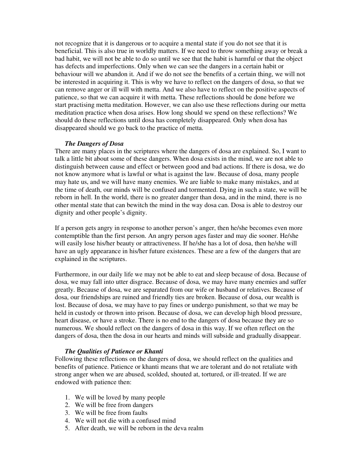not recognize that it is dangerous or to acquire a mental state if you do not see that it is beneficial. This is also true in worldly matters. If we need to throw something away or break a bad habit, we will not be able to do so until we see that the habit is harmful or that the object has defects and imperfections. Only when we can see the dangers in a certain habit or behaviour will we abandon it. And if we do not see the benefits of a certain thing, we will not be interested in acquiring it. This is why we have to reflect on the dangers of dosa, so that we can remove anger or ill will with metta. And we also have to reflect on the positive aspects of patience, so that we can acquire it with metta. These reflections should be done before we start practising metta meditation. However, we can also use these reflections during our metta meditation practice when dosa arises. How long should we spend on these reflections? We should do these reflections until dosa has completely disappeared. Only when dosa has disappeared should we go back to the practice of metta.

#### *The Dangers of Dosa*

There are many places in the scriptures where the dangers of dosa are explained. So, I want to talk a little bit about some of these dangers. When dosa exists in the mind, we are not able to distinguish between cause and effect or between good and bad actions. If there is dosa, we do not know anymore what is lawful or what is against the law. Because of dosa, many people may hate us, and we will have many enemies. We are liable to make many mistakes, and at the time of death, our minds will be confused and tormented. Dying in such a state, we will be reborn in hell. In the world, there is no greater danger than dosa, and in the mind, there is no other mental state that can bewitch the mind in the way dosa can. Dosa is able to destroy our dignity and other people's dignity.

If a person gets angry in response to another person's anger, then he/she becomes even more contemptible than the first person. An angry person ages faster and may die sooner. He/she will easily lose his/her beauty or attractiveness. If he/she has a lot of dosa, then he/she will have an ugly appearance in his/her future existences. These are a few of the dangers that are explained in the scriptures.

Furthermore, in our daily life we may not be able to eat and sleep because of dosa. Because of dosa, we may fall into utter disgrace. Because of dosa, we may have many enemies and suffer greatly. Because of dosa, we are separated from our wife or husband or relatives. Because of dosa, our friendships are ruined and friendly ties are broken. Because of dosa, our wealth is lost. Because of dosa, we may have to pay fines or undergo punishment, so that we may be held in custody or thrown into prison. Because of dosa, we can develop high blood pressure, heart disease, or have a stroke. There is no end to the dangers of dosa because they are so numerous. We should reflect on the dangers of dosa in this way. If we often reflect on the dangers of dosa, then the dosa in our hearts and minds will subside and gradually disappear.

#### *The Qualities of Patience or Khanti*

Following these reflections on the dangers of dosa, we should reflect on the qualities and benefits of patience. Patience or khanti means that we are tolerant and do not retaliate with strong anger when we are abused, scolded, shouted at, tortured, or ill-treated. If we are endowed with patience then:

- 1. We will be loved by many people
- 2. We will be free from dangers
- 3. We will be free from faults
- 4. We will not die with a confused mind
- 5. After death, we will be reborn in the deva realm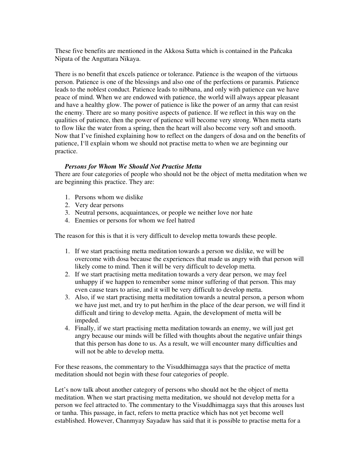These five benefits are mentioned in the Akkosa Sutta which is contained in the Pañcaka Nipata of the Anguttara Nikaya.

There is no benefit that excels patience or tolerance. Patience is the weapon of the virtuous person. Patience is one of the blessings and also one of the perfections or paramis. Patience leads to the noblest conduct. Patience leads to nibbana, and only with patience can we have peace of mind. When we are endowed with patience, the world will always appear pleasant and have a healthy glow. The power of patience is like the power of an army that can resist the enemy. There are so many positive aspects of patience. If we reflect in this way on the qualities of patience, then the power of patience will become very strong. When metta starts to flow like the water from a spring, then the heart will also become very soft and smooth. Now that I' ve finished explaining how to reflect on the dangers of dosa and on the benefits of patience, I'll explain whom we should not practise metta to when we are beginning our practice.

#### *Persons for Whom We Should Not Practise Metta*

There are four categories of people who should not be the object of metta meditation when we are beginning this practice. They are:

- 1. Persons whom we dislike
- 2. Very dear persons
- 3. Neutral persons, acquaintances, or people we neither love nor hate
- 4. Enemies or persons for whom we feel hatred

The reason for this is that it is very difficult to develop metta towards these people.

- 1. If we start practising metta meditation towards a person we dislike, we will be overcome with dosa because the experiences that made us angry with that person will likely come to mind. Then it will be very difficult to develop metta.
- 2. If we start practising metta meditation towards a very dear person, we may feel unhappy if we happen to remember some minor suffering of that person. This may even cause tears to arise, and it will be very difficult to develop metta.
- 3. Also, if we start practising metta meditation towards a neutral person, a person whom we have just met, and try to put her/him in the place of the dear person, we will find it difficult and tiring to develop metta. Again, the development of metta will be impeded.
- 4. Finally, if we start practising metta meditation towards an enemy, we will just get angry because our minds will be filled with thoughts about the negative unfair things that this person has done to us. As a result, we will encounter many difficulties and will not be able to develop metta.

For these reasons, the commentary to the Visuddhimagga says that the practice of metta meditation should not begin with these four categories of people.

Let's now talk about another category of persons who should not be the object of metta meditation. When we start practising metta meditation, we should not develop metta for a person we feel attracted to. The commentary to the Visuddhimagga says that this arouses lust or tanha. This passage, in fact, refers to metta practice which has not yet become well established. However, Chanmyay Sayadaw has said that it is possible to practise metta for a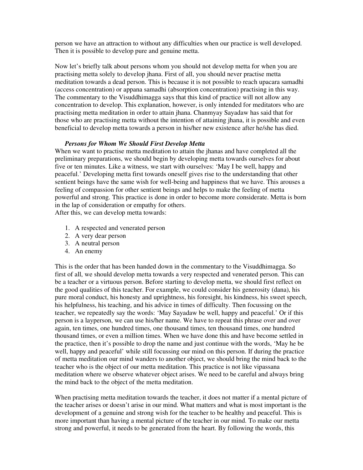person we have an attraction to without any difficulties when our practice is well developed. Then it is possible to develop pure and genuine metta.

Now let's briefly talk about persons whom you should not develop metta for when you are practising metta solely to develop jhana. First of all, you should never practise metta meditation towards a dead person. This is because it is not possible to reach upacara samadhi (access concentration) or appana samadhi (absorption concentration) practising in this way. The commentary to the Visuddhimagga says that this kind of practice will not allow any concentration to develop. This explanation, however, is only intended for meditators who are practising metta meditation in order to attain jhana. Chanmyay Sayadaw has said that for those who are practising metta without the intention of attaining jhana, it is possible and even beneficial to develop metta towards a person in his/her new existence after he/she has died.

#### *Persons for Whom We Should First Develop Metta*

When we want to practise metta meditation to attain the jhanas and have completed all the preliminary preparations, we should begin by developing metta towards ourselves for about five or ten minutes. Like a witness, we start with ourselves: 'May I be well, happy and peaceful.' Developing metta first towards oneself gives rise to the understanding that other sentient beings have the same wish for well-being and happiness that we have. This arouses a feeling of compassion for other sentient beings and helps to make the feeling of metta powerful and strong. This practice is done in order to become more considerate. Metta is born in the lap of consideration or empathy for others. After this, we can develop metta towards:

- 1. A respected and venerated person
- 2. A very dear person
- 3. A neutral person
- 4. An enemy

This is the order that has been handed down in the commentary to the Visuddhimagga. So first of all, we should develop metta towards a very respected and venerated person. This can be a teacher or a virtuous person. Before starting to develop metta, we should first reflect on the good qualities of this teacher. For example, we could consider his generosity (dana), his pure moral conduct, his honesty and uprightness, his foresight, his kindness, his sweet speech, his helpfulness, his teaching, and his advice in times of difficulty. Then focussing on the teacher, we repeatedly say the words: 'May Sayadaw be well, happy and peaceful.' Or if this person is a layperson, we can use his/her name. We have to repeat this phrase over and over again, ten times, one hundred times, one thousand times, ten thousand times, one hundred thousand times, or even a million times. When we have done this and have become settled in the practice, then it's possible to drop the name and just continue with the words, 'May he be well, happy and peaceful' while still focussing our mind on this person. If during the practice of metta meditation our mind wanders to another object, we should bring the mind back to the teacher who is the object of our metta meditation. This practice is not like vipassana meditation where we observe whatever object arises. We need to be careful and always bring the mind back to the object of the metta meditation.

When practising metta meditation towards the teacher, it does not matter if a mental picture of the teacher arises or doesn't arise in our mind. What matters and what is most important is the development of a genuine and strong wish for the teacher to be healthy and peaceful. This is more important than having a mental picture of the teacher in our mind. To make our metta strong and powerful, it needs to be generated from the heart. By following the words, this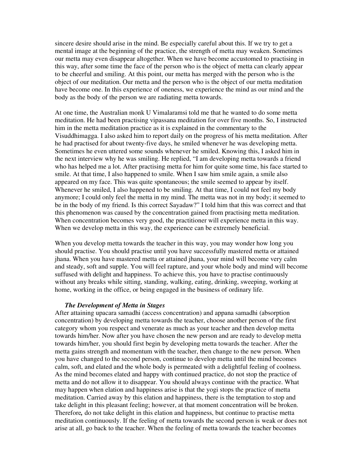sincere desire should arise in the mind. Be especially careful about this. If we try to get a mental image at the beginning of the practice, the strength of metta may weaken. Sometimes our metta may even disappear altogether. When we have become accustomed to practising in this way, after some time the face of the person who is the object of metta can clearly appear to be cheerful and smiling. At this point, our metta has merged with the person who is the object of our meditation. Our metta and the person who is the object of our metta meditation have become one. In this experience of oneness, we experience the mind as our mind and the body as the body of the person we are radiating metta towards.

At one time, the Australian monk U Vimalaramsi told me that he wanted to do some metta meditation. He had been practising vipassana meditation for over five months. So, I instructed him in the metta meditation practice as it is explained in the commentary to the Visuddhimagga. I also asked him to report daily on the progress of his metta meditation. After he had practised for about twenty-five days, he smiled whenever he was developing metta. Sometimes he even uttered some sounds whenever he smiled. Knowing this, I asked him in the next interview why he was smiling. He replied, "I am developing metta towards a friend who has helped me a lot. After practising metta for him for quite some time, his face started to smile. At that time, I also happened to smile. When I saw him smile again, a smile also appeared on my face. This was quite spontaneous; the smile seemed to appear by itself. Whenever he smiled, I also happened to be smiling. At that time, I could not feel my body anymore; I could only feel the metta in my mind. The metta was not in my body; it seemed to be in the body of my friend. Is this correct Sayadaw?" I told him that this was correct and that this phenomenon was caused by the concentration gained from practising metta meditation. When concentration becomes very good, the practitioner will experience metta in this way. When we develop metta in this way, the experience can be extremely beneficial.

When you develop metta towards the teacher in this way, you may wonder how long you should practise. You should practise until you have successfully mastered metta or attained jhana. When you have mastered metta or attained jhana, your mind will become very calm and steady, soft and supple. You will feel rapture, and your whole body and mind will become suffused with delight and happiness. To achieve this, you have to practise continuously without any breaks while sitting, standing, walking, eating, drinking, sweeping, working at home, working in the office, or being engaged in the business of ordinary life.

#### *The Development of Metta in Stages*

After attaining upacara samadhi (access concentration) and appana samadhi (absorption concentration) by developing metta towards the teacher, choose another person of the first category whom you respect and venerate as much as your teacher and then develop metta towards him/her. Now after you have chosen the new person and are ready to develop metta towards him/her, you should first begin by developing metta towards the teacher. After the metta gains strength and momentum with the teacher, then change to the new person. When you have changed to the second person, continue to develop metta until the mind becomes calm, soft, and elated and the whole body is permeated with a delightful feeling of coolness. As the mind becomes elated and happy with continued practice, do not stop the practice of metta and do not allow it to disappear. You should always continue with the practice. What may happen when elation and happiness arise is that the yogi stops the practice of metta meditation. Carried away by this elation and happiness, there is the temptation to stop and take delight in this pleasant feeling; however, at that moment concentration will be broken. Therefore*,* do not take delight in this elation and happiness, but continue to practise metta meditation continuously. If the feeling of metta towards the second person is weak or does not arise at all, go back to the teacher. When the feeling of metta towards the teacher becomes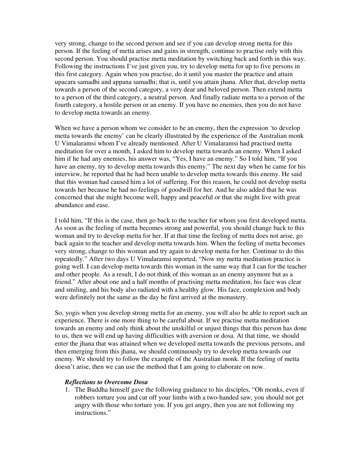very strong, change to the second person and see if you can develop strong metta for this person. If the feeling of metta arises and gains in strength, continue to practise only with this second person. You should practise metta meditation by switching back and forth in this way. Following the instructions I've just given you, try to develop metta for up to five persons in this first category. Again when you practise, do it until you master the practice and attain upacara samadhi and appana samadhi; that is, until you attain jhana. After that, develop metta towards a person of the second category, a very dear and beloved person. Then extend metta to a person of the third category, a neutral person. And finally radiate metta to a person of the fourth category, a hostile person or an enemy. If you have no enemies, then you do not have to develop metta towards an enemy.

When we have a person whom we consider to be an enemy, then the expression 'to develop metta towards the enemy' can be clearly illustrated by the experience of the Australian monk U Vimalaramsi whom I' ve already mentioned. After U Vimalaramsi had practised metta meditation for over a month, I asked him to develop metta towards an enemy. When I asked him if he had any enemies, his answer was, "Yes, I have an enemy." So I told him, "If you have an enemy, try to develop metta towards this enemy." The next day when he came for his interview, he reported that he had been unable to develop metta towards this enemy. He said that this woman had caused him a lot of suffering. For this reason, he could not develop metta towards her because he had no feelings of goodwill for her. And he also added that he was concerned that she might become well, happy and peaceful or that she might live with great abundance and ease.

I told him, " If this is the case, then go back to the teacher for whom you first developed metta. As soon as the feeling of metta becomes strong and powerful, you should change back to this woman and try to develop metta for her. If at that time the feeling of metta does not arise, go back again to the teacher and develop metta towards him. When the feeling of metta becomes very strong, change to this woman and try again to develop metta for her. Continue to do this repeatedly." After two days U Vimalaramsi reported, " Now my metta meditation practice is going well. I can develop metta towards this woman in the same way that I can for the teacher and other people. As a result, I do not think of this woman as an enemy anymore but as a friend." After about one and a half months of practising metta meditation, his face was clear and smiling, and his body also radiated with a healthy glow. His face, complexion and body were definitely not the same as the day he first arrived at the monastery.

So, yogis when you develop strong metta for an enemy, you will also be able to report such an experience. There is one more thing to be careful about. If we practise metta meditation towards an enemy and only think about the unskilful or unjust things that this person has done to us, then we will end up having difficulties with aversion or dosa. At that time, we should enter the jhana that was attained when we developed metta towards the previous persons, and then emerging from this jhana, we should continuously try to develop metta towards our enemy. We should try to follow the example of the Australian monk. If the feeling of metta doesn't arise, then we can use the method that I am going to elaborate on now.

#### *Reflections to Overcome Dosa*

1. The Buddha himself gave the following guidance to his disciples, " Oh monks, even if robbers torture you and cut off your limbs with a two-handed saw, you should not get angry with those who torture you. If you get angry, then you are not following my instructions."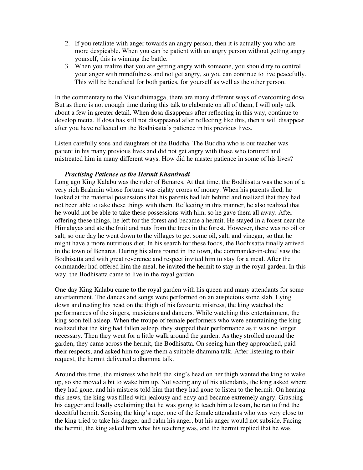- 2. If you retaliate with anger towards an angry person, then it is actually you who are more despicable. When you can be patient with an angry person without getting angry yourself, this is winning the battle.
- 3. When you realize that you are getting angry with someone, you should try to control your anger with mindfulness and not get angry, so you can continue to live peacefully. This will be beneficial for both parties, for yourself as well as the other person.

In the commentary to the Visuddhimagga, there are many different ways of overcoming dosa. But as there is not enough time during this talk to elaborate on all of them, I will only talk about a few in greater detail. When dosa disappears after reflecting in this way, continue to develop metta. If dosa has still not disappeared after reflecting like this, then it will disappear after you have reflected on the Bodhisatta's patience in his previous lives.

Listen carefully sons and daughters of the Buddha. The Buddha who is our teacher was patient in his many previous lives and did not get angry with those who tortured and mistreated him in many different ways. How did he master patience in some of his lives?

#### *Practising Patience as the Hermit Khantivadi*

Long ago King Kalabu was the ruler of Benares. At that time, the Bodhisatta was the son of a very rich Brahmin whose fortune was eighty crores of money. When his parents died, he looked at the material possessions that his parents had left behind and realized that they had not been able to take these things with them. Reflecting in this manner, he also realized that he would not be able to take these possessions with him, so he gave them all away. After offering these things, he left for the forest and became a hermit. He stayed in a forest near the Himalayas and ate the fruit and nuts from the trees in the forest. However, there was no oil or salt, so one day he went down to the villages to get some oil, salt, and vinegar, so that he might have a more nutritious diet. In his search for these foods, the Bodhisatta finally arrived in the town of Benares. During his alms round in the town, the commander-in-chief saw the Bodhisatta and with great reverence and respect invited him to stay for a meal. After the commander had offered him the meal, he invited the hermit to stay in the royal garden. In this way, the Bodhisatta came to live in the royal garden.

One day King Kalabu came to the royal garden with his queen and many attendants for some entertainment. The dances and songs were performed on an auspicious stone slab. Lying down and resting his head on the thigh of his favourite mistress, the king watched the performances of the singers, musicians and dancers. While watching this entertainment, the king soon fell asleep. When the troupe of female performers who were entertaining the king realized that the king had fallen asleep, they stopped their performance as it was no longer necessary. Then they went for a little walk around the garden. As they strolled around the garden, they came across the hermit, the Bodhisatta. On seeing him they approached, paid their respects, and asked him to give them a suitable dhamma talk. After listening to their request, the hermit delivered a dhamma talk.

Around this time, the mistress who held the king's head on her thigh wanted the king to wake up, so she moved a bit to wake him up. Not seeing any of his attendants, the king asked where they had gone, and his mistress told him that they had gone to listen to the hermit. On hearing this news, the king was filled with jealousy and envy and became extremely angry. Grasping his dagger and loudly exclaiming that he was going to teach him a lesson, he ran to find the deceitful hermit. Sensing the king's rage, one of the female attendants who was very close to the king tried to take his dagger and calm his anger, but his anger would not subside. Facing the hermit, the king asked him what his teaching was, and the hermit replied that he was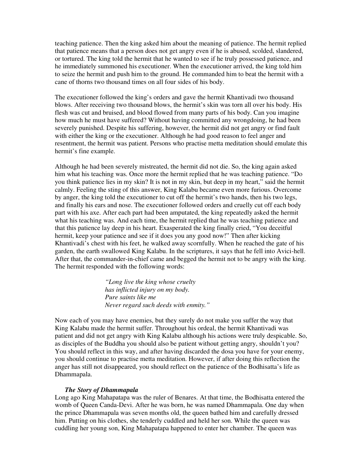teaching patience. Then the king asked him about the meaning of patience. The hermit replied that patience means that a person does not get angry even if he is abused, scolded, slandered, or tortured. The king told the hermit that he wanted to see if he truly possessed patience, and he immediately summoned his executioner. When the executioner arrived, the king told him to seize the hermit and push him to the ground. He commanded him to beat the hermit with a cane of thorns two thousand times on all four sides of his body.

The executioner followed the king's orders and gave the hermit Khantivadi two thousand blows. After receiving two thousand blows, the hermit's skin was torn all over his body. His flesh was cut and bruised, and blood flowed from many parts of his body. Can you imagine how much he must have suffered? Without having committed any wrongdoing, he had been severely punished. Despite his suffering, however, the hermit did not get angry or find fault with either the king or the executioner. Although he had good reason to feel anger and resentment, the hermit was patient. Persons who practise metta meditation should emulate this hermit's fine example.

Although he had been severely mistreated, the hermit did not die. So, the king again asked him what his teaching was. Once more the hermit replied that he was teaching patience. " Do you think patience lies in my skin? It is not in my skin, but deep in my heart," said the hermit calmly. Feeling the sting of this answer, King Kalabu became even more furious. Overcome by anger, the king told the executioner to cut off the hermit's two hands, then his two legs, and finally his ears and nose. The executioner followed orders and cruelly cut off each body part with his axe. After each part had been amputated, the king repeatedly asked the hermit what his teaching was. And each time, the hermit replied that he was teaching patience and that this patience lay deep in his heart. Exasperated the king finally cried, " You deceitful hermit, keep your patience and see if it does you any good now!" Then after kicking Khantivadi's chest with his feet, he walked away scornfully. When he reached the gate of his garden, the earth swallowed King Kalabu. In the scriptures, it says that he fell into Avici-hell. After that, the commander-in-chief came and begged the hermit not to be angry with the king. The hermit responded with the following words:

> *"Long live the king whose cruelty has inflicted injury on my body. Pure saints like me Never regard such deeds with enmity."*

Now each of you may have enemies, but they surely do not make you suffer the way that King Kalabu made the hermit suffer. Throughout his ordeal, the hermit Khantivadi was patient and did not get angry with King Kalabu although his actions were truly despicable. So, as disciples of the Buddha you should also be patient without getting angry, shouldn't you? You should reflect in this way, and after having discarded the dosa you have for your enemy, you should continue to practise metta meditation. However, if after doing this reflection the anger has still not disappeared, you should reflect on the patience of the Bodhisatta's life as Dhammapala.

#### *The Story of Dhammapala*

Long ago King Mahapatapa was the ruler of Benares. At that time, the Bodhisatta entered the womb of Queen Canda-Devi. After he was born, he was named Dhammapala. One day when the prince Dhammapala was seven months old, the queen bathed him and carefully dressed him. Putting on his clothes, she tenderly cuddled and held her son. While the queen was cuddling her young son, King Mahapatapa happened to enter her chamber. The queen was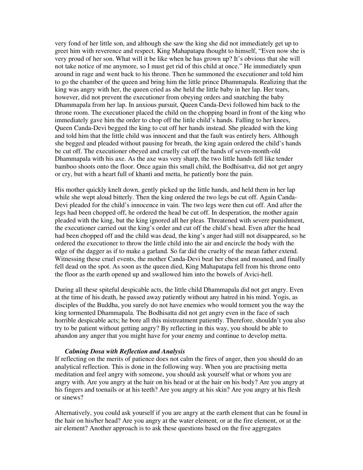very fond of her little son, and although she saw the king she did not immediately get up to greet him with reverence and respect. King Mahapatapa thought to himself, " Even now she is very proud of her son. What will it be like when he has grown up? It's obvious that she will not take notice of me anymore, so I must get rid of this child at once." He immediately spun around in rage and went back to his throne. Then he summoned the executioner and told him to go the chamber of the queen and bring him the little prince Dhammapala. Realizing that the king was angry with her, the queen cried as she held the little baby in her lap. Her tears, however, did not prevent the executioner from obeying orders and snatching the baby Dhammapala from her lap. In anxious pursuit, Queen Canda-Devi followed him back to the throne room. The executioner placed the child on the chopping board in front of the king who immediately gave him the order to chop off the little child's hands. Falling to her knees, Queen Canda-Devi begged the king to cut off her hands instead. She pleaded with the king and told him that the little child was innocent and that the fault was entirely hers. Although she begged and pleaded without pausing for breath, the king again ordered the child's hands be cut off. The executioner obeyed and cruelly cut off the hands of seven-month-old Dhammapala with his axe. As the axe was very sharp, the two little hands fell like tender bamboo shoots onto the floor. Once again this small child, the Bodhisattva, did not get angry or cry, but with a heart full of khanti and metta, he patiently bore the pain.

His mother quickly knelt down, gently picked up the little hands, and held them in her lap while she wept aloud bitterly. Then the king ordered the two legs be cut off. Again Canda-Devi pleaded for the child's innocence in vain. The two legs were then cut off. And after the legs had been chopped off, he ordered the head be cut off. In desperation, the mother again pleaded with the king, but the king ignored all her pleas. Threatened with severe punishment, the executioner carried out the king's order and cut off the child's head. Even after the head had been chopped off and the child was dead, the king's anger had still not disappeared, so he ordered the executioner to throw the little child into the air and encircle the body with the edge of the dagger as if to make a garland. So far did the cruelty of the mean father extend. Witnessing these cruel events, the mother Canda-Devi beat her chest and moaned, and finally fell dead on the spot. As soon as the queen died, King Mahapatapa fell from his throne onto the floor as the earth opened up and swallowed him into the bowels of Avici-hell.

During all these spiteful despicable acts, the little child Dhammapala did not get angry. Even at the time of his death, he passed away patiently without any hatred in his mind. Yogis, as disciples of the Buddha, you surely do not have enemies who would torment you the way the king tormented Dhammapala. The Bodhisatta did not get angry even in the face of such horrible despicable acts; he bore all this mistreatment patiently. Therefore, shouldn't you also try to be patient without getting angry? By reflecting in this way, you should be able to abandon any anger that you might have for your enemy and continue to develop metta.

#### *Calming Dosa with Reflection and Analysis*

If reflecting on the merits of patience does not calm the fires of anger, then you should do an analytical reflection. This is done in the following way. When you are practising metta meditation and feel angry with someone, you should ask yourself what or whom you are angry with. Are you angry at the hair on his head or at the hair on his body? Are you angry at his fingers and toenails or at his teeth? Are you angry at his skin? Are you angry at his flesh or sinews?

Alternatively, you could ask yourself if you are angry at the earth element that can be found in the hair on his/her head? Are you angry at the water element, or at the fire element, or at the air element? Another approach is to ask these questions based on the five aggregates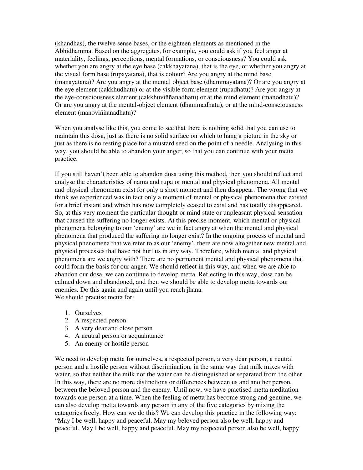(khandhas), the twelve sense bases, or the eighteen elements as mentioned in the Abhidhamma. Based on the aggregates, for example, you could ask if you feel anger at materiality, feelings, perceptions, mental formations, or consciousness? You could ask whether you are angry at the eye base (cakkhayatana), that is the eye, or whether you angry at the visual form base (rupayatana), that is colour? Are you angry at the mind base (manayatana)? Are you angry at the mental object base (dhammayatana)? Or are you angry at the eye element (cakkhudhatu) or at the visible form element (rupadhatu)? Are you angry at the eye-consciousness element (cakkhuviññanadhatu) or at the mind element (manodhatu)? Or are you angry at the mental-object element (dhammadhatu), or at the mind-consciousness element (manoviññanadhatu)?

When you analyse like this, you come to see that there is nothing solid that you can use to maintain this dosa, just as there is no solid surface on which to hang a picture in the sky or just as there is no resting place for a mustard seed on the point of a needle. Analysing in this way, you should be able to abandon your anger, so that you can continue with your metta practice.

If you still haven't been able to abandon dosa using this method, then you should reflect and analyse the characteristics of nama and rupa or mental and physical phenomena. All mental and physical phenomena exist for only a short moment and then disappear. The wrong that we think we experienced was in fact only a moment of mental or physical phenomena that existed for a brief instant and which has now completely ceased to exist and has totally disappeared. So, at this very moment the particular thought or mind state or unpleasant physical sensation that caused the suffering no longer exists. At this precise moment, which mental or physical phenomena belonging to our 'enemy' are we in fact angry at when the mental and physical phenomena that produced the suffering no longer exist? In the ongoing process of mental and physical phenomena that we refer to as our 'enemy' , there are now altogether new mental and physical processes that have not hurt us in any way. Therefore, which mental and physical phenomena are we angry with? There are no permanent mental and physical phenomena that could form the basis for our anger. We should reflect in this way, and when we are able to abandon our dosa, we can continue to develop metta. Reflecting in this way, dosa can be calmed down and abandoned, and then we should be able to develop metta towards our enemies. Do this again and again until you reach jhana. We should practise metta for:

- 1. Ourselves
- 2. A respected person
- 3. A very dear and close person
- 4. A neutral person or acquaintance
- 5. An enemy or hostile person

We need to develop metta for ourselves**,** a respected person, a very dear person, a neutral person and a hostile person without discrimination, in the same way that milk mixes with water, so that neither the milk nor the water can be distinguished or separated from the other. In this way, there are no more distinctions or differences between us and another person, between the beloved person and the enemy. Until now, we have practised metta meditation towards one person at a time. When the feeling of metta has become strong and genuine, we can also develop metta towards any person in any of the five categories by mixing the categories freely. How can we do this? We can develop this practice in the following way: " May I be well, happy and peaceful. May my beloved person also be well, happy and peaceful. May I be well, happy and peaceful. May my respected person also be well, happy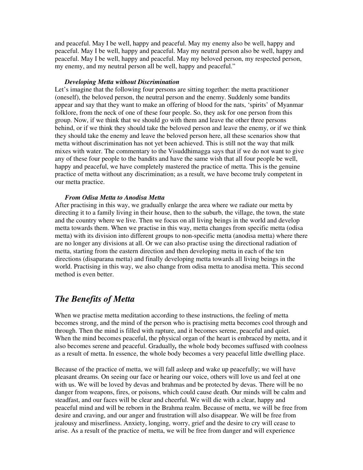and peaceful. May I be well, happy and peaceful. May my enemy also be well, happy and peaceful. May I be well, happy and peaceful. May my neutral person also be well, happy and peaceful. May I be well, happy and peaceful. May my beloved person, my respected person, my enemy, and my neutral person all be well, happy and peaceful."

#### *Developing Metta without Discrimination*

Let's imagine that the following four persons are sitting together: the metta practitioner (oneself), the beloved person, the neutral person and the enemy. Suddenly some bandits appear and say that they want to make an offering of blood for the nats, 'spirits' of Myanmar folklore, from the neck of one of these four people. So, they ask for one person from this group. Now, if we think that we should go with them and leave the other three persons behind, or if we think they should take the beloved person and leave the enemy, or if we think they should take the enemy and leave the beloved person here, all these scenarios show that metta without discrimination has not yet been achieved. This is still not the way that milk mixes with water. The commentary to the Visuddhimagga says that if we do not want to give any of these four people to the bandits and have the same wish that all four people be well, happy and peaceful, we have completely mastered the practice of metta. This is the genuine practice of metta without any discrimination; as a result, we have become truly competent in our metta practice.

#### *From Odisa Metta to Anodisa Metta*

After practising in this way, we gradually enlarge the area where we radiate our metta by directing it to a family living in their house, then to the suburb, the village, the town, the state and the country where we live. Then we focus on all living beings in the world and develop metta towards them. When we practise in this way, metta changes from specific metta (odisa metta) with its division into different groups to non-specific metta (anodisa metta) where there are no longer any divisions at all. Or we can also practise using the directional radiation of metta, starting from the eastern direction and then developing metta in each of the ten directions (disaparana metta) and finally developing metta towards all living beings in the world. Practising in this way, we also change from odisa metta to anodisa metta. This second method is even better.

### *The Benefits of Metta*

When we practise metta meditation according to these instructions, the feeling of metta becomes strong, and the mind of the person who is practising metta becomes cool through and through. Then the mind is filled with rapture, and it becomes serene, peaceful and quiet. When the mind becomes peaceful, the physical organ of the heart is embraced by metta, and it also becomes serene and peaceful. Gradually*,* the whole body becomes suffused with coolness as a result of metta. In essence, the whole body becomes a very peaceful little dwelling place.

Because of the practice of metta, we will fall asleep and wake up peacefully; we will have pleasant dreams. On seeing our face or hearing our voice, others will love us and feel at one with us. We will be loved by devas and brahmas and be protected by devas. There will be no danger from weapons, fires, or poisons, which could cause death. Our minds will be calm and steadfast, and our faces will be clear and cheerful. We will die with a clear, happy and peaceful mind and will be reborn in the Brahma realm. Because of metta, we will be free from desire and craving, and our anger and frustration will also disappear. We will be free from jealousy and miserliness. Anxiety, longing, worry, grief and the desire to cry will cease to arise. As a result of the practice of metta, we will be free from danger and will experience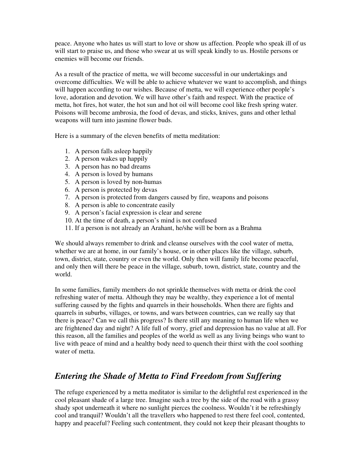peace. Anyone who hates us will start to love or show us affection. People who speak ill of us will start to praise us, and those who swear at us will speak kindly to us. Hostile persons or enemies will become our friends.

As a result of the practice of metta, we will become successful in our undertakings and overcome difficulties. We will be able to achieve whatever we want to accomplish, and things will happen according to our wishes. Because of metta, we will experience other people's love, adoration and devotion. We will have other's faith and respect. With the practice of metta, hot fires, hot water, the hot sun and hot oil will become cool like fresh spring water. Poisons will become ambrosia, the food of devas, and sticks, knives, guns and other lethal weapons will turn into jasmine flower buds.

Here is a summary of the eleven benefits of metta meditation:

- 1. A person falls asleep happily
- 2. A person wakes up happily
- 3. A person has no bad dreams
- 4. A person is loved by humans
- 5. A person is loved by non-humas
- 6. A person is protected by devas
- 7. A person is protected from dangers caused by fire, weapons and poisons
- 8. A person is able to concentrate easily
- 9. A person's facial expression is clear and serene
- 10. At the time of death, a person's mind is not confused
- 11. If a person is not already an Arahant, he/she will be born as a Brahma

We should always remember to drink and cleanse ourselves with the cool water of metta, whether we are at home, in our family's house, or in other places like the village, suburb, town, district, state, country or even the world. Only then will family life become peaceful, and only then will there be peace in the village, suburb, town, district, state, country and the world.

In some families, family members do not sprinkle themselves with metta or drink the cool refreshing water of metta. Although they may be wealthy, they experience a lot of mental suffering caused by the fights and quarrels in their households. When there are fights and quarrels in suburbs, villages, or towns, and wars between countries, can we really say that there is peace? Can we call this progress? Is there still any meaning to human life when we are frightened day and night? A life full of worry, grief and depression has no value at all. For this reason, all the families and peoples of the world as well as any living beings who want to live with peace of mind and a healthy body need to quench their thirst with the cool soothing water of metta.

### *Entering the Shade of Metta to Find Freedom from Suffering*

The refuge experienced by a metta meditator is similar to the delightful rest experienced in the cool pleasant shade of a large tree. Imagine such a tree by the side of the road with a grassy shady spot underneath it where no sunlight pierces the coolness. Wouldn't it be refreshingly cool and tranquil? Wouldn't all the travellers who happened to rest there feel cool, contented, happy and peaceful? Feeling such contentment, they could not keep their pleasant thoughts to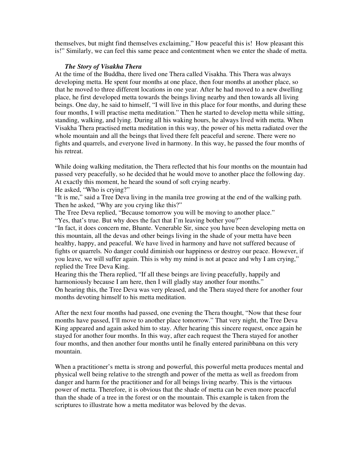themselves, but might find themselves exclaiming," How peaceful this is! How pleasant this is!" Similarly, we can feel this same peace and contentment when we enter the shade of metta.

#### *The Story of Visakha Thera*

At the time of the Buddha, there lived one Thera called Visakha. This Thera was always developing metta. He spent four months at one place, then four months at another place, so that he moved to three different locations in one year. After he had moved to a new dwelling place, he first developed metta towards the beings living nearby and then towards all living beings. One day, he said to himself, "I will live in this place for four months, and during these four months, I will practise metta meditation." Then he started to develop metta while sitting, standing, walking, and lying. During all his waking hours, he always lived with metta. When Visakha Thera practised metta meditation in this way, the power of his metta radiated over the whole mountain and all the beings that lived there felt peaceful and serene. There were no fights and quarrels, and everyone lived in harmony. In this way, he passed the four months of his retreat.

While doing walking meditation, the Thera reflected that his four months on the mountain had passed very peacefully, so he decided that he would move to another place the following day. At exactly this moment, he heard the sound of soft crying nearby.

He asked, "Who is crying?"

" It is me," said a Tree Deva living in the manila tree growing at the end of the walking path. Then he asked, "Why are you crying like this?"

The Tree Deva replied, "Because tomorrow you will be moving to another place."

"Yes, that's true. But why does the fact that I'm leaving bother you?"

" In fact, it does concern me, Bhante. Venerable Sir, since you have been developing metta on this mountain, all the devas and other beings living in the shade of your metta have been healthy, happy, and peaceful. We have lived in harmony and have not suffered because of fights or quarrels*.* No danger could diminish our happiness or destroy our peace. However, if you leave, we will suffer again. This is why my mind is not at peace and why I am crying," replied the Tree Deva King.

Hearing this the Thera replied, "If all these beings are living peacefully, happily and harmoniously because I am here, then I will gladly stay another four months." On hearing this, the Tree Deva was very pleased, and the Thera stayed there for another four months devoting himself to his metta meditation.

After the next four months had passed, one evening the Thera thought, " Now that these four months have passed, I'll move to another place tomorrow." That very night, the Tree Deva King appeared and again asked him to stay. After hearing this sincere request, once again he stayed for another four months. In this way, after each request the Thera stayed for another four months, and then another four months until he finally entered parinibbana on this very mountain.

When a practitioner's metta is strong and powerful, this powerful metta produces mental and physical well being relative to the strength and power of the metta as well as freedom from danger and harm for the practitioner and for all beings living nearby. This is the virtuous power of metta. Therefore, it is obvious that the shade of metta can be even more peaceful than the shade of a tree in the forest or on the mountain. This example is taken from the scriptures to illustrate how a metta meditator was beloved by the devas.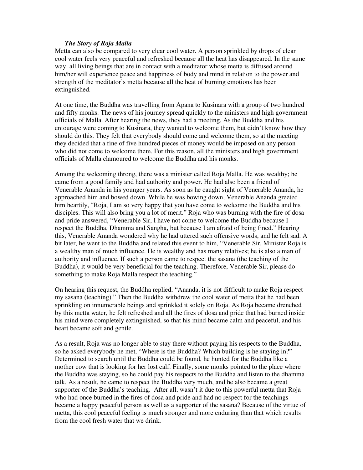#### *The Story of Roja Malla*

Metta can also be compared to very clear cool water. A person sprinkled by drops of clear cool water feels very peaceful and refreshed because all the heat has disappeared. In the same way, all living beings that are in contact with a meditator whose metta is diffused around him/her will experience peace and happiness of body and mind in relation to the power and strength of the meditator's metta because all the heat of burning emotions has been extinguished.

At one time, the Buddha was travelling from Apana to Kusinara with a group of two hundred and fifty monks. The news of his journey spread quickly to the ministers and high government officials of Malla. After hearing the news, they had a meeting. As the Buddha and his entourage were coming to Kusinara, they wanted to welcome them, but didn't know how they should do this. They felt that everybody should come and welcome them, so at the meeting they decided that a fine of five hundred pieces of money would be imposed on any person who did not come to welcome them. For this reason, all the ministers and high government officials of Malla clamoured to welcome the Buddha and his monks.

Among the welcoming throng, there was a minister called Roja Malla. He was wealthy; he came from a good family and had authority and power. He had also been a friend of Venerable Ananda in his younger years. As soon as he caught sight of Venerable Ananda, he approached him and bowed down. While he was bowing down, Venerable Ananda greeted him heartily, "Roja, I am so very happy that you have come to welcome the Buddha and his disciples. This will also bring you a lot of merit." Roja who was burning with the fire of dosa and pride answered, " Venerable Sir, I have not come to welcome the Buddha because I respect the Buddha, Dhamma and Sangha, but because I am afraid of being fined." Hearing this, Venerable Ananda wondered why he had uttered such offensive words, and he felt sad. A bit later, he went to the Buddha and related this event to him, " Venerable Sir, Minister Roja is a wealthy man of much influence. He is wealthy and has many relatives; he is also a man of authority and influence. If such a person came to respect the sasana (the teaching of the Buddha), it would be very beneficial for the teaching. Therefore, Venerable Sir, please do something to make Roja Malla respect the teaching."

On hearing this request, the Buddha replied, " Ananda, it is not difficult to make Roja respect my sasana (teaching)." Then the Buddha withdrew the cool water of metta that he had been sprinkling on innumerable beings and sprinkled it solely on Roja. As Roja became drenched by this metta water, he felt refreshed and all the fires of dosa and pride that had burned inside his mind were completely extinguished, so that his mind became calm and peaceful, and his heart became soft and gentle.

As a result, Roja was no longer able to stay there without paying his respects to the Buddha, so he asked everybody he met, " Where is the Buddha? Which building is he staying in?" Determined to search until the Buddha could be found, he hunted for the Buddha like a mother cow that is looking for her lost calf. Finally, some monks pointed to the place where the Buddha was staying, so he could pay his respects to the Buddha and listen to the dhamma talk. As a result, he came to respect the Buddha very much, and he also became a great supporter of the Buddha's teaching. After all, wasn't it due to this powerful metta that Roja who had once burned in the fires of dosa and pride and had no respect for the teachings became a happy peaceful person as well as a supporter of the sasana? Because of the virtue of metta, this cool peaceful feeling is much stronger and more enduring than that which results from the cool fresh water that we drink.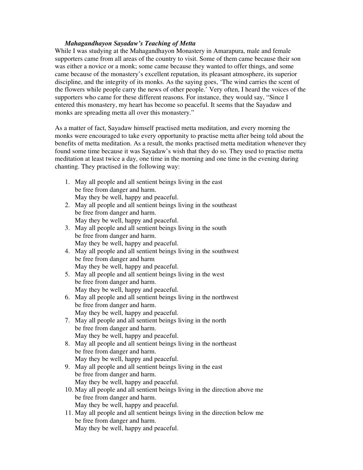#### *Mahagandhayon Sayadaw's Teaching of Metta*

While I was studying at the Mahagandhayon Monastery in Amarapura, male and female supporters came from all areas of the country to visit. Some of them came because their son was either a novice or a monk; some came because they wanted to offer things, and some came because of the monastery's excellent reputation, its pleasant atmosphere, its superior discipline, and the integrity of its monks. As the saying goes, 'The wind carries the scent of the flowers while people carry the news of other people.' Very often, I heard the voices of the supporters who came for these different reasons. For instance, they would say, "Since I entered this monastery, my heart has become so peaceful. It seems that the Sayadaw and monks are spreading metta all over this monastery."

As a matter of fact, Sayadaw himself practised metta meditation, and every morning the monks were encouraged to take every opportunity to practise metta after being told about the benefits of metta meditation. As a result, the monks practised metta meditation whenever they found some time because it was Sayadaw's wish that they do so. They used to practise metta meditation at least twice a day, one time in the morning and one time in the evening during chanting. They practised in the following way:

- 1. May all people and all sentient beings living in the east be free from danger and harm. May they be well, happy and peaceful.
- 2. May all people and all sentient beings living in the southeast be free from danger and harm. May they be well, happy and peaceful.
- 3. May all people and all sentient beings living in the south be free from danger and harm. May they be well, happy and peaceful.
- 4. May all people and all sentient beings living in the southwest be free from danger and harm May they be well, happy and peaceful.
- 5. May all people and all sentient beings living in the west be free from danger and harm. May they be well, happy and peaceful.
- 6. May all people and all sentient beings living in the northwest be free from danger and harm. May they be well, happy and peaceful.
- 7. May all people and all sentient beings living in the north be free from danger and harm. May they be well, happy and peaceful.
- 8. May all people and all sentient beings living in the northeast be free from danger and harm. May they be well, happy and peaceful.
- 9. May all people and all sentient beings living in the east be free from danger and harm. May they be well, happy and peaceful.
- 10. May all people and all sentient beings living in the direction above me be free from danger and harm. May they be well, happy and peaceful.
- 11. May all people and all sentient beings living in the direction below me be free from danger and harm. May they be well, happy and peaceful.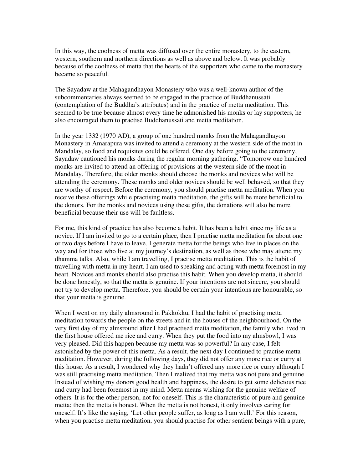In this way, the coolness of metta was diffused over the entire monastery, to the eastern, western, southern and northern directions as well as above and below. It was probably because of the coolness of metta that the hearts of the supporters who came to the monastery became so peaceful.

The Sayadaw at the Mahagandhayon Monastery who was a well-known author of the subcommentaries always seemed to be engaged in the practice of Buddhanussati (contemplation of the Buddha's attributes) and in the practice of metta meditation. This seemed to be true because almost every time he admonished his monks or lay supporters, he also encouraged them to practise Buddhanussati and metta meditation.

In the year 1332 (1970 AD), a group of one hundred monks from the Mahagandhayon Monastery in Amarapura was invited to attend a ceremony at the western side of the moat in Mandalay, so food and requisites could be offered. One day before going to the ceremony, Sayadaw cautioned his monks during the regular morning gathering, " Tomorrow one hundred monks are invited to attend an offering of provisions at the western side of the moat in Mandalay. Therefore, the older monks should choose the monks and novices who will be attending the ceremony. These monks and older novices should be well behaved, so that they are worthy of respect. Before the ceremony, you should practise metta meditation. When you receive these offerings while practising metta meditation, the gifts will be more beneficial to the donors. For the monks and novices using these gifts, the donations will also be more beneficial because their use will be faultless.

For me, this kind of practice has also become a habit. It has been a habit since my life as a novice. If I am invited to go to a certain place, then I practise metta meditation for about one or two days before I have to leave. I generate metta for the beings who live in places on the way and for those who live at my journey's destination, as well as those who may attend my dhamma talks. Also, while I am travelling, I practise metta meditation. This is the habit of travelling with metta in my heart. I am used to speaking and acting with metta foremost in my heart. Novices and monks should also practise this habit. When you develop metta, it should be done honestly, so that the metta is genuine. If your intentions are not sincere, you should not try to develop metta. Therefore, you should be certain your intentions are honourable, so that your metta is genuine.

When I went on my daily almsround in Pakkokku, I had the habit of practising metta meditation towards the people on the streets and in the houses of the neighbourhood. On the very first day of my almsround after I had practised metta meditation, the family who lived in the first house offered me rice and curry. When they put the food into my almsbowl, I was very pleased. Did this happen because my metta was so powerful? In any case, I felt astonished by the power of this metta. As a result, the next day I continued to practise metta meditation. However, during the following days, they did not offer any more rice or curry at this house. As a result, I wondered why they hadn't offered any more rice or curry although I was still practising metta meditation. Then I realized that my metta was not pure and genuine. Instead of wishing my donors good health and happiness, the desire to get some delicious rice and curry had been foremost in my mind. Metta means wishing for the genuine welfare of others. It is for the other person, not for oneself. This is the characteristic of pure and genuine metta; then the metta is honest. When the metta is not honest, it only involves caring for oneself. It's like the saying, 'Let other people suffer, as long as I am well.' For this reason, when you practise metta meditation, you should practise for other sentient beings with a pure,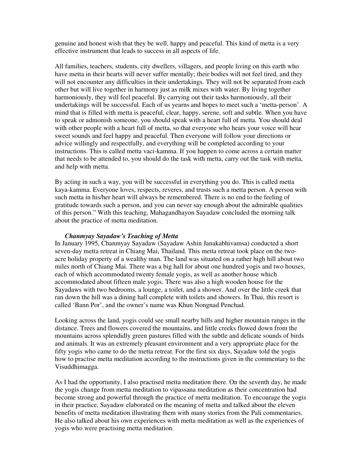genuine and honest wish that they be well, happy and peaceful. This kind of metta is a very effective instrument that leads to success in all aspects of life.

All families, teachers, students, city dwellers, villagers, and people living on this earth who have metta in their hearts will never suffer mentally; their bodies will not feel tired, and they will not encounter any difficulties in their undertakings. They will not be separated from each other but will live together in harmony just as milk mixes with water. By living together harmoniously, they will feel peaceful. By carrying out their tasks harmoniously, all their undertakings will be successful. Each of us yearns and hopes to meet such a 'metta-person' . A mind that is filled with metta is peaceful, clear, happy, serene, soft and subtle. When you have to speak or admonish someone, you should speak with a heart full of metta. You should deal with other people with a heart full of metta, so that everyone who hears your voice will hear sweet sounds and feel happy and peaceful. Then everyone will follow your directions or advice willingly and respectfully, and everything will be completed according to your instructions. This is called metta vaci-kamma. If you happen to come across a certain matter that needs to be attended to, you should do the task with metta, carry out the task with metta, and help with metta.

By acting in such a way, you will be successful in everything you do. This is called metta kaya-kamma. Everyone loves, respects, reveres, and trusts such a metta person. A person with such metta in his/her heart will always be remembered. There is no end to the feeling of gratitude towards such a person, and you can never say enough about the admirable qualities of this person." With this teaching, Mahagandhayon Sayadaw concluded the morning talk about the practice of metta meditation.

#### *Chanmyay Sayadaw's Teaching of Metta*

In January 1995, Chanmyay Sayadaw (Sayadaw Ashin Janakabhivamsa) conducted a short seven-day metta retreat in Chiang Mai, Thailand. This metta retreat took place on the twoacre holiday property of a wealthy man. The land was situated on a rather high hill about two miles north of Chiang Mai. There was a big hall for about one hundred yogis and two houses, each of which accommodated twenty female yogis, as well as another house which accommodated about fifteen male yogis. There was also a high wooden house for the Sayadaws with two bedrooms, a lounge, a toilet, and a shower. And over the little creek that ran down the hill was a dining hall complete with toilets and showers. In Thai, this resort is called 'Bann Por' , and the owner's name was Khun Nongnad Penchad.

Looking across the land, yogis could see small nearby hills and higher mountain ranges in the distance. Trees and flowers covered the mountains, and little creeks flowed down from the mountains across splendidly green pastures filled with the subtle and delicate sounds of birds and animals. It was an extremely pleasant environment and a very appropriate place for the fifty yogis who came to do the metta retreat. For the first six days, Sayadaw told the yogis how to practise metta meditation according to the instructions given in the commentary to the Visuddhimagga.

As I had the opportunity, I also practised metta meditation there. On the seventh day, he made the yogis change from metta meditation to vipassana meditation as their concentration had become strong and powerful through the practice of metta meditation. To encourage the yogis in their practice, Sayadaw elaborated on the meaning of metta and talked about the eleven benefits of metta meditation illustrating them with many stories from the Pali commentaries. He also talked about his own experiences with metta meditation as well as the experiences of yogis who were practising metta meditation.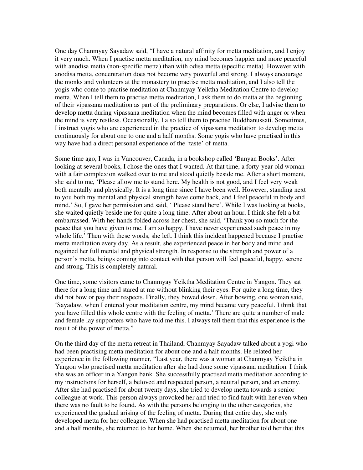One day Chanmyay Sayadaw said, " I have a natural affinity for metta meditation, and I enjoy it very much. When I practise metta meditation, my mind becomes happier and more peaceful with anodisa metta (non-specific metta) than with odisa metta (specific metta). However with anodisa metta, concentration does not become very powerful and strong. I always encourage the monks and volunteers at the monastery to practise metta meditation, and I also tell the yogis who come to practise meditation at Chanmyay Yeiktha Meditation Centre to develop metta. When I tell them to practise metta meditation, I ask them to do metta at the beginning of their vipassana meditation as part of the preliminary preparations. Or else, I advise them to develop metta during vipassana meditation when the mind becomes filled with anger or when the mind is very restless. Occasionally, I also tell them to practise Buddhanussati. Sometimes, I instruct yogis who are experienced in the practice of vipassana meditation to develop metta continuously for about one to one and a half months. Some yogis who have practised in this way have had a direct personal experience of the 'taste' of metta.

Some time ago, I was in Vancouver, Canada, in a bookshop called 'Banyan Books' . After looking at several books, I chose the ones that I wanted. At that time, a forty-year old woman with a fair complexion walked over to me and stood quietly beside me. After a short moment, she said to me, 'Please allow me to stand here. My health is not good, and I feel very weak both mentally and physically. It is a long time since I have been well. However, standing next to you both my mental and physical strength have come back, and I feel peaceful in body and mind.' So, I gave her permission and said, ' Please stand here' . While I was looking at books, she waited quietly beside me for quite a long time. After about an hour, I think she felt a bit embarrassed. With her hands folded across her chest, she said, 'Thank you so much for the peace that you have given to me. I am so happy. I have never experienced such peace in my whole life.' Then with these words, she left. I think this incident happened because I practise metta meditation every day. As a result, she experienced peace in her body and mind and regained her full mental and physical strength. In response to the strength and power of a person's metta, beings coming into contact with that person will feel peaceful, happy, serene and strong. This is completely natural.

One time, some visitors came to Chanmyay Yeiktha Meditation Centre in Yangon. They sat there for a long time and stared at me without blinking their eyes. For quite a long time, they did not bow or pay their respects. Finally, they bowed down. After bowing, one woman said, 'Sayadaw, when I entered your meditation centre, my mind became very peaceful. I think that you have filled this whole centre with the feeling of metta.' There are quite a number of male and female lay supporters who have told me this. I always tell them that this experience is the result of the power of metta."

On the third day of the metta retreat in Thailand, Chanmyay Sayadaw talked about a yogi who had been practising metta meditation for about one and a half months. He related her experience in the following manner, "Last year, there was a woman at Chanmyay Yeiktha in Yangon who practised metta meditation after she had done some vipassana meditation. I think she was an officer in a Yangon bank. She successfully practised metta meditation according to my instructions for herself, a beloved and respected person, a neutral person, and an enemy. After she had practised for about twenty days, she tried to develop metta towards a senior colleague at work. This person always provoked her and tried to find fault with her even when there was no fault to be found. As with the persons belonging to the other categories, she experienced the gradual arising of the feeling of metta. During that entire day, she only developed metta for her colleague. When she had practised metta meditation for about one and a half months, she returned to her home. When she returned, her brother told her that this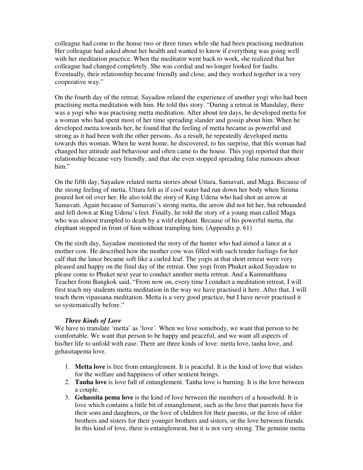colleague had come to the house two or three times while she had been practising meditation. Her colleague had asked about her health and wanted to know if everything was going well with her meditation practice. When the meditator went back to work, she realized that her colleague had changed completely. She was cordial and no longer looked for faults. Eventually, their relationship became friendly and close, and they worked together in a very cooperative way."

On the fourth day of the retreat, Sayadaw related the experience of another yogi who had been practising metta meditation with him. He told this story. " During a retreat in Mandalay, there was a yogi who was practising metta meditation. After about ten days, he developed metta for a woman who had spent most of her time spreading slander and gossip about him. When he developed metta towards her, he found that the feeling of metta became as powerful and strong as it had been with the other persons. As a result, he repeatedly developed metta towards this woman. When he went home, he discovered, to his surprise, that this woman had changed her attitude and behaviour and often came to the house. This yogi reported that their relationship became very friendly, and that she even stopped spreading false rumours about him."

On the fifth day, Sayadaw related metta stories about Uttara, Samavati, and Maga. Because of the strong feeling of metta, Uttara felt as if cool water had run down her body when Sirima poured hot oil over her. He also told the story of King Udena who had shot an arrow at Samavati. Again because of Samavati's strong metta, the arrow did not hit her, but rebounded and fell down at King Udena's feet. Finally, he told the story of a young man called Maga who was almost trampled to death by a wild elephant. Because of his powerful metta, the elephant stopped in front of him without trampling him. (Appendix p. 61)

On the sixth day, Sayadaw mentioned the story of the hunter who had aimed a lance at a mother cow. He described how the mother cow was filled with such tender feelings for her calf that the lance became soft like a curled leaf. The yogis at that short retreat were very pleased and happy on the final day of the retreat. One yogi from Phuket asked Sayadaw to please come to Phuket next year to conduct another metta retreat. And a Kammatthana Teacher from Bangkok said, " From now on, every time I conduct a meditation retreat, I will first teach my students metta meditation in the way we have practised it here. After that, I will teach them vipassana meditation. Metta is a very good practice, but I have never practised it so systematically before."

#### *Three Kinds of Love*

We have to translate 'metta' as 'love'. When we love somebody, we want that person to be comfortable. We want that person to be happy and peaceful, and we want all aspects of his/her life to unfold with ease. There are three kinds of love: metta love, tanha love, and gehasitapema love.

- 1. **Metta love** is free from entanglement. It is peaceful. It is the kind of love that wishes for the welfare and happiness of other sentient beings.
- 2. **Tanha love** is love full of entanglement. Tanha love is burning. It is the love between a couple.
- 3. **Gehassita pema love** is the kind of love between the members of a household. It is love which contains a little bit of entanglement, such as the love that parents have for their sons and daughters, or the love of children for their parents, or the love of older brothers and sisters for their younger brothers and sisters, or the love between friends. In this kind of love, there is entanglement, but it is not very strong. The genuine metta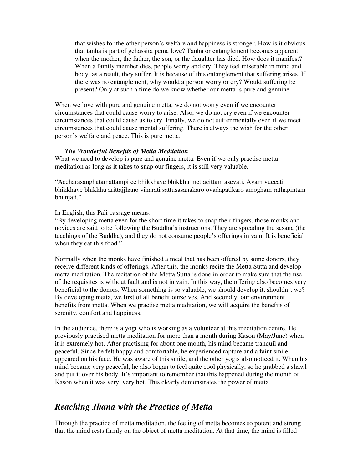that wishes for the other person's welfare and happiness is stronger. How is it obvious that tanha is part of gehassita pema love? Tanha or entanglement becomes apparent when the mother, the father, the son, or the daughter has died. How does it manifest? When a family member dies, people worry and cry. They feel miserable in mind and body; as a result, they suffer. It is because of this entanglement that suffering arises. If there was no entanglement, why would a person worry or cry? Would suffering be present? Only at such a time do we know whether our metta is pure and genuine.

When we love with pure and genuine metta, we do not worry even if we encounter circumstances that could cause worry to arise. Also, we do not cry even if we encounter circumstances that could cause us to cry. Finally, we do not suffer mentally even if we meet circumstances that could cause mental suffering. There is always the wish for the other person's welfare and peace. This is pure metta.

#### *The Wonderful Benefits of Metta Meditation*

What we need to develop is pure and genuine metta. Even if we only practise metta meditation as long as it takes to snap our fingers, it is still very valuable.

" Accharasanghatamattampi ce bhikkhave bhikkhu mettacittam asevati. Ayam vuccati bhikkhave bhikkhu arittajjhano viharati sattusasanakaro ovadapatikaro amogham rathapintam bhunjati."

In English, this Pali passage means:

" By developing metta even for the short time it takes to snap their fingers, those monks and novices are said to be following the Buddha's instructions. They are spreading the sasana (the teachings of the Buddha), and they do not consume people's offerings in vain. It is beneficial when they eat this food."

Normally when the monks have finished a meal that has been offered by some donors, they receive different kinds of offerings. After this, the monks recite the Metta Sutta and develop metta meditation. The recitation of the Metta Sutta is done in order to make sure that the use of the requisites is without fault and is not in vain. In this way, the offering also becomes very beneficial to the donors. When something is so valuable, we should develop it, shouldn't we? By developing metta, we first of all benefit ourselves. And secondly, our environment benefits from metta. When we practise metta meditation, we will acquire the benefits of serenity, comfort and happiness.

In the audience, there is a yogi who is working as a volunteer at this meditation centre. He previously practised metta meditation for more than a month during Kason (May/June) when it is extremely hot. After practising for about one month, his mind became tranquil and peaceful. Since he felt happy and comfortable, he experienced rapture and a faint smile appeared on his face. He was aware of this smile, and the other yogis also noticed it. When his mind became very peaceful, he also began to feel quite cool physically, so he grabbed a shawl and put it over his body. It's important to remember that this happened during the month of Kason when it was very, very hot. This clearly demonstrates the power of metta.

### *Reaching Jhana with the Practice of Metta*

Through the practice of metta meditation, the feeling of metta becomes so potent and strong that the mind rests firmly on the object of metta meditation. At that time, the mind is filled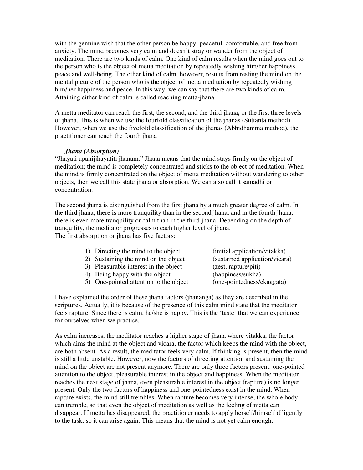with the genuine wish that the other person be happy, peaceful, comfortable, and free from anxiety. The mind becomes very calm and doesn' t stray or wander from the object of meditation. There are two kinds of calm. One kind of calm results when the mind goes out to the person who is the object of metta meditation by repeatedly wishing him/her happiness, peace and well-being. The other kind of calm, however, results from resting the mind on the mental picture of the person who is the object of metta meditation by repeatedly wishing him/her happiness and peace. In this way, we can say that there are two kinds of calm. Attaining either kind of calm is called reaching metta-jhana.

A metta meditator can reach the first, the second, and the third jhana**,** or the first three levels of jhana. This is when we use the fourfold classification of the jhanas (Suttanta method). However, when we use the fivefold classification of the jhanas (Abhidhamma method), the practitioner can reach the fourth jhana

#### *Jhana (Absorption)*

"Jhayati upanijjhayatiti jhanam." Jhana means that the mind stays firmly on the object of meditation; the mind is completely concentrated and sticks to the object of meditation. When the mind is firmly concentrated on the object of metta meditation without wandering to other objects, then we call this state jhana or absorption. We can also call it samadhi or concentration.

The second jhana is distinguished from the first jhana by a much greater degree of calm. In the third jhana, there is more tranquility than in the second jhana, and in the fourth jhana, there is even more tranquility or calm than in the third jhana. Depending on the depth of tranquility, the meditator progresses to each higher level of jhana. The first absorption or jhana has five factors:

| 1) Directing the mind to the object    | (initial application/vitakka)  |
|----------------------------------------|--------------------------------|
| 2) Sustaining the mind on the object   | (sustained application/vicara) |
| 3) Pleasurable interest in the object  | (zest, rapture/piti)           |
| 4) Being happy with the object         | (happiness/sukha)              |
| 5) One-pointed attention to the object | (one-pointedness/ekaggata)     |

I have explained the order of these jhana factors (jhananga) as they are described in the scriptures. Actually, it is because of the presence of this calm mind state that the meditator feels rapture. Since there is calm, he/she is happy. This is the 'taste' that we can experience for ourselves when we practise.

As calm increases, the meditator reaches a higher stage of jhana where vitakka, the factor which aims the mind at the object and vicara, the factor which keeps the mind with the object, are both absent. As a result, the meditator feels very calm. If thinking is present, then the mind is still a little unstable. However, now the factors of directing attention and sustaining the mind on the object are not present anymore. There are only three factors present: one-pointed attention to the object, pleasurable interest in the object and happiness. When the meditator reaches the next stage of jhana, even pleasurable interest in the object (rapture) is no longer present. Only the two factors of happiness and one-pointedness exist in the mind. When rapture exists, the mind still trembles. When rapture becomes very intense, the whole body can tremble, so that even the object of meditation as well as the feeling of metta can disappear. If metta has disappeared, the practitioner needs to apply herself/himself diligently to the task, so it can arise again. This means that the mind is not yet calm enough.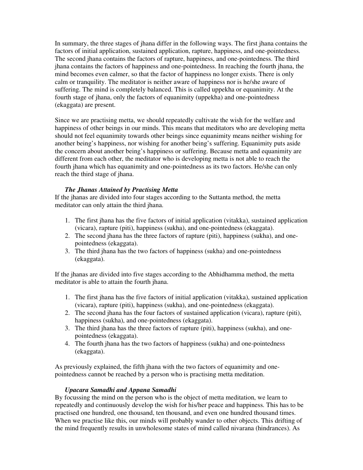In summary, the three stages of jhana differ in the following ways. The first jhana contains the factors of initial application, sustained application, rapture, happiness, and one-pointedness. The second jhana contains the factors of rapture, happiness, and one-pointedness. The third jhana contains the factors of happiness and one-pointedness. In reaching the fourth jhana, the mind becomes even calmer, so that the factor of happiness no longer exists. There is only calm or tranquility. The meditator is neither aware of happiness nor is he/she aware of suffering. The mind is completely balanced. This is called uppekha or equanimity. At the fourth stage of jhana, only the factors of equanimity (uppekha) and one-pointedness (ekaggata) are present.

Since we are practising metta, we should repeatedly cultivate the wish for the welfare and happiness of other beings in our minds. This means that meditators who are developing metta should not feel equanimity towards other beings since equanimity means neither wishing for another being's happiness, nor wishing for another being's suffering. Equanimity puts aside the concern about another being's happiness or suffering. Because metta and equanimity are different from each other, the meditator who is developing metta is not able to reach the fourth jhana which has equanimity and one-pointedness as its two factors. He/she can only reach the third stage of jhana.

#### *The Jhanas Attained by Practising Metta*

If the jhanas are divided into four stages according to the Suttanta method, the metta meditator can only attain the third jhana.

- 1. The first jhana has the five factors of initial application (vitakka), sustained application (vicara), rapture (piti), happiness (sukha), and one-pointedness (ekaggata).
- 2. The second jhana has the three factors of rapture (piti), happiness (sukha), and onepointedness (ekaggata).
- 3. The third jhana has the two factors of happiness (sukha) and one-pointedness (ekaggata).

If the jhanas are divided into five stages according to the Abhidhamma method, the metta meditator is able to attain the fourth jhana.

- 1. The first jhana has the five factors of initial application (vitakka), sustained application (vicara), rapture (piti), happiness (sukha), and one-pointedness (ekaggata).
- 2. The second jhana has the four factors of sustained application (vicara), rapture (piti), happiness (sukha), and one-pointedness (ekaggata).
- 3. The third jhana has the three factors of rapture (piti), happiness (sukha), and onepointedness (ekaggata).
- 4. The fourth jhana has the two factors of happiness (sukha) and one-pointedness (ekaggata).

As previously explained, the fifth jhana with the two factors of equanimity and onepointedness cannot be reached by a person who is practising metta meditation.

#### *Upacara Samadhi and Appana Samadhi*

By focussing the mind on the person who is the object of metta meditation, we learn to repeatedly and continuously develop the wish for his/her peace and happiness. This has to be practised one hundred, one thousand, ten thousand, and even one hundred thousand times. When we practise like this, our minds will probably wander to other objects. This drifting of the mind frequently results in unwholesome states of mind called nivarana (hindrances). As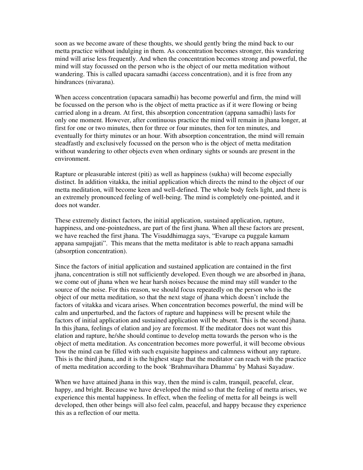soon as we become aware of these thoughts, we should gently bring the mind back to our metta practice without indulging in them. As concentration becomes stronger, this wandering mind will arise less frequently. And when the concentration becomes strong and powerful, the mind will stay focussed on the person who is the object of our metta meditation without wandering. This is called upacara samadhi (access concentration), and it is free from any hindrances (nivarana).

When access concentration (upacara samadhi) has become powerful and firm, the mind will be focussed on the person who is the object of metta practice as if it were flowing or being carried along in a dream. At first, this absorption concentration (appana samadhi) lasts for only one moment. However, after continuous practice the mind will remain in jhana longer, at first for one or two minutes, then for three or four minutes, then for ten minutes, and eventually for thirty minutes or an hour. With absorption concentration, the mind will remain steadfastly and exclusively focussed on the person who is the object of metta meditation without wandering to other objects even when ordinary sights or sounds are present in the environment.

Rapture or pleasurable interest (piti) as well as happiness (sukha) will become especially distinct. In addition vitakka, the initial application which directs the mind to the object of our metta meditation, will become keen and well-defined. The whole body feels light, and there is an extremely pronounced feeling of well-being. The mind is completely one-pointed, and it does not wander.

These extremely distinct factors, the initial application, sustained application, rapture, happiness, and one-pointedness, are part of the first jhana. When all these factors are present, we have reached the first jhana. The Visuddhimagga says, "Evarupe ca puggale kamam" appana sampajjati". This means that the metta meditator is able to reach appana samadhi (absorption concentration).

Since the factors of initial application and sustained application are contained in the first jhana, concentration is still not sufficiently developed. Even though we are absorbed in jhana, we come out of jhana when we hear harsh noises because the mind may still wander to the source of the noise. For this reason, we should focus repeatedly on the person who is the object of our metta meditation, so that the next stage of jhana which doesn't include the factors of vitakka and vicara arises. When concentration becomes powerful, the mind will be calm and unperturbed, and the factors of rapture and happiness will be present while the factors of initial application and sustained application will be absent. This is the second jhana. In this jhana, feelings of elation and joy are foremost. If the meditator does not want this elation and rapture, he/she should continue to develop metta towards the person who is the object of metta meditation. As concentration becomes more powerful, it will become obvious how the mind can be filled with such exquisite happiness and calmness without any rapture. This is the third jhana, and it is the highest stage that the meditator can reach with the practice of metta meditation according to the book 'Brahmavihara Dhamma' by Mahasi Sayadaw.

When we have attained jhana in this way, then the mind is calm, tranquil, peaceful, clear, happy, and bright. Because we have developed the mind so that the feeling of metta arises, we experience this mental happiness. In effect, when the feeling of metta for all beings is well developed, then other beings will also feel calm, peaceful, and happy because they experience this as a reflection of our metta.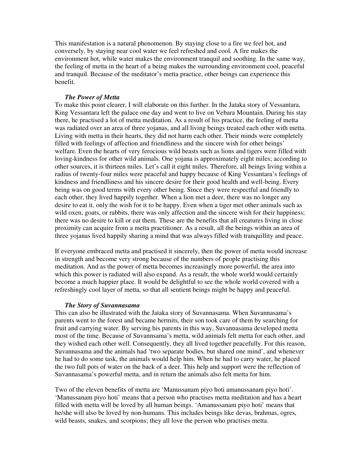This manifestation is a natural phenomenon. By staying close to a fire we feel hot, and conversely, by staying near cool water we feel refreshed and cool. A fire makes the environment hot, while water makes the environment tranquil and soothing. In the same way, the feeling of metta in the heart of a being makes the surrounding environment cool, peaceful and tranquil. Because of the meditator's metta practice, other beings can experience this benefit.

#### *The Power of Metta*

To make this point clearer, I will elaborate on this further. In the Jataka story of Vessantara, King Vessantara left the palace one day and went to live on Vebara Mountain. During his stay there, he practised a lot of metta meditation. As a result of his practice, the feeling of metta was radiated over an area of three yojanas, and all living beings treated each other with metta. Living with metta in their hearts, they did not harm each other. Their minds were completely filled with feelings of affection and friendliness and the sincere wish for other beings' welfare. Even the hearts of very ferocious wild beasts such as lions and tigers were filled with loving-kindness for other wild animals. One yojana is approximately eight miles; according to other sources, it is thirteen miles. Let's call it eight miles. Therefore, all beings living within a radius of twenty-four miles were peaceful and happy because of King Vessantara's feelings of kindness and friendliness and his sincere desire for their good health and well-being. Every being was on good terms with every other being. Since they were respectful and friendly to each other, they lived happily together. When a lion met a deer, there was no longer any desire to eat it, only the wish for it to be happy. Even when a tiger met other animals such as wild oxen, goats, or rabbits, there was only affection and the sincere wish for their happiness; there was no desire to kill or eat them. These are the benefits that all creatures living in close proximity can acquire from a metta practitioner. As a result, all the beings within an area of three yojanas lived happily sharing a mind that was always filled with tranquillity and peace.

If everyone embraced metta and practised it sincerely, then the power of metta would increase in strength and become very strong because of the numbers of people practising this meditation. And as the power of metta becomes increasingly more powerful, the area into which this power is radiated will also expand. As a result, the whole world would certainly become a much happier place. It would be delightful to see the whole world covered with a refreshingly cool layer of metta, so that all sentient beings might be happy and peaceful.

#### *The Story of Suvannasama*

This can also be illustrated with the Jataka story of Suvannasama. When Suvannasama's parents went to the forest and became hermits, their son took care of them by searching for fruit and carrying water. By serving his parents in this way, Suvannasama developed metta most of the time. Because of Suvannsama's metta, wild animals felt metta for each other, and they wished each other well. Consequently, they all lived together peacefully. For this reason, Suvannasama and the animals had 'two separate bodies, but shared one mind' , and whenever he had to do some task, the animals would help him. When he had to carry water, he placed the two full pots of water on the back of a deer. This help and support were the reflection of Suvannasama's powerful metta, and in return the animals also felt metta for him.

Two of the eleven benefits of metta are 'Manussanam piyo hoti amanussanam piyo hoti'. 'Manussanam piyo hoti' means that a person who practises metta meditation and has a heart filled with metta will be loved by all human beings. 'Amanussanam piyo hoti' means that he/she will also be loved by non-humans. This includes beings like devas, brahmas, ogres, wild beasts, snakes, and scorpions; they all love the person who practises metta.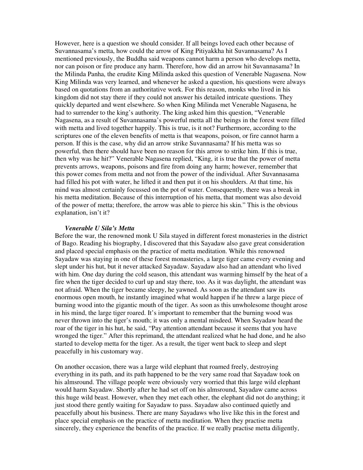However, here is a question we should consider. If all beings loved each other because of Suvannasama's metta, how could the arrow of King Pitiyakkha hit Suvannasama? As I mentioned previously, the Buddha said weapons cannot harm a person who develops metta, nor can poison or fire produce any harm. Therefore, how did an arrow hit Suvannasama? In the Milinda Panha, the erudite King Milinda asked this question of Venerable Nagasena. Now King Milinda was very learned, and whenever he asked a question, his questions were always based on quotations from an authoritative work. For this reason, monks who lived in his kingdom did not stay there if they could not answer his detailed intricate questions. They quickly departed and went elsewhere. So when King Milinda met Venerable Nagasena, he had to surrender to the king's authority. The king asked him this question, "Venerable Nagasena, as a result of Suvannasama's powerful metta all the beings in the forest were filled with metta and lived together happily. This is true, is it not? Furthermore, according to the scriptures one of the eleven benefits of metta is that weapons, poison, or fire cannot harm a person. If this is the case, why did an arrow strike Suvannasama? If his metta was so powerful, then there should have been no reason for this arrow to strike him. If this is true, then why was he hit?" Venerable Nagasena replied, " King, it is true that the power of metta prevents arrows, weapons, poisons and fire from doing any harm; however, remember that this power comes from metta and not from the power of the individual. After Suvannasama had filled his pot with water, he lifted it and then put it on his shoulders. At that time, his mind was almost certainly focussed on the pot of water. Consequently, there was a break in his metta meditation. Because of this interruption of his metta, that moment was also devoid of the power of metta; therefore, the arrow was able to pierce his skin." This is the obvious explanation, isn't it?

### *Venerable U Sila's Metta*

Before the war, the renowned monk U Sila stayed in different forest monasteries in the district of Bago. Reading his biography, I discovered that this Sayadaw also gave great consideration and placed special emphasis on the practice of metta meditation. While this renowned Sayadaw was staying in one of these forest monasteries, a large tiger came every evening and slept under his hut, but it never attacked Sayadaw. Sayadaw also had an attendant who lived with him. One day during the cold season, this attendant was warming himself by the heat of a fire when the tiger decided to curl up and stay there, too. As it was daylight, the attendant was not afraid. When the tiger became sleepy, he yawned. As soon as the attendant saw its enormous open mouth, he instantly imagined what would happen if he threw a large piece of burning wood into the gigantic mouth of the tiger. As soon as this unwholesome thought arose in his mind, the large tiger roared. It's important to remember that the burning wood was never thrown into the tiger's mouth; it was only a mental misdeed. When Sayadaw heard the roar of the tiger in his hut, he said, "Pay attention attendant because it seems that you have wronged the tiger." After this reprimand, the attendant realized what he had done, and he also started to develop metta for the tiger. As a result, the tiger went back to sleep and slept peacefully in his customary way.

On another occasion, there was a large wild elephant that roamed freely, destroying everything in its path, and its path happened to be the very same road that Sayadaw took on his almsround. The village people were obviously very worried that this large wild elephant would harm Sayadaw. Shortly after he had set off on his almsround, Sayadaw came across this huge wild beast. However, when they met each other, the elephant did not do anything; it just stood there gently waiting for Sayadaw to pass. Sayadaw also continued quietly and peacefully about his business. There are many Sayadaws who live like this in the forest and place special emphasis on the practice of metta meditation. When they practise metta sincerely, they experience the benefits of the practice. If we really practise metta diligently,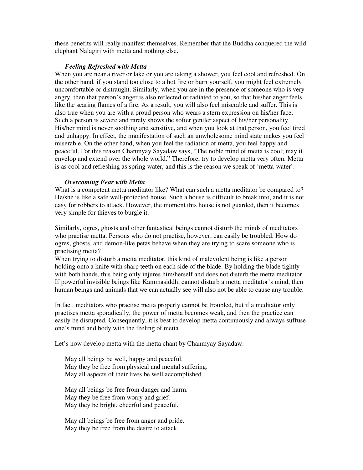these benefits will really manifest themselves. Remember that the Buddha conquered the wild elephant Nalagiri with metta and nothing else.

### *Feeling Refreshed with Metta*

When you are near a river or lake or you are taking a shower, you feel cool and refreshed. On the other hand, if you stand too close to a hot fire or burn yourself, you might feel extremely uncomfortable or distraught. Similarly, when you are in the presence of someone who is very angry, then that person's anger is also reflected or radiated to you, so that his/her anger feels like the searing flames of a fire. As a result, you will also feel miserable and suffer. This is also true when you are with a proud person who wears a stern expression on his/her face. Such a person is severe and rarely shows the softer gentler aspect of his/her personality. His/her mind is never soothing and sensitive, and when you look at that person, you feel tired and unhappy. In effect, the manifestation of such an unwholesome mind state makes you feel miserable. On the other hand, when you feel the radiation of metta, you feel happy and peaceful. For this reason Chanmyay Sayadaw says, " The noble mind of metta is cool; may it envelop and extend over the whole world." Therefore, try to develop metta very often. Metta is as cool and refreshing as spring water, and this is the reason we speak of 'metta-water' .

### *Overcoming Fear with Metta*

What is a competent metta meditator like? What can such a metta meditator be compared to? He/she is like a safe well-protected house. Such a house is difficult to break into, and it is not easy for robbers to attack. However, the moment this house is not guarded, then it becomes very simple for thieves to burgle it.

Similarly, ogres, ghosts and other fantastical beings cannot disturb the minds of meditators who practise metta. Persons who do not practise, however, can easily be troubled. How do ogres, ghosts, and demon-like petas behave when they are trying to scare someone who is practising metta?

When trying to disturb a metta meditator, this kind of malevolent being is like a person holding onto a knife with sharp teeth on each side of the blade. By holding the blade tightly with both hands, this being only injures him/herself and does not disturb the metta meditator. If powerful invisible beings like Kammasiddhi cannot disturb a metta meditator's mind, then human beings and animals that we can actually see will also not be able to cause any trouble.

In fact, meditators who practise metta properly cannot be troubled, but if a meditator only practises metta sporadically, the power of metta becomes weak, and then the practice can easily be disrupted. Consequently, it is best to develop metta continuously and always suffuse one's mind and body with the feeling of metta.

Let's now develop metta with the metta chant by Chanmyay Sayadaw:

May all beings be well, happy and peaceful. May they be free from physical and mental suffering. May all aspects of their lives be well accomplished.

May all beings be free from danger and harm. May they be free from worry and grief. May they be bright, cheerful and peaceful.

May all beings be free from anger and pride. May they be free from the desire to attack.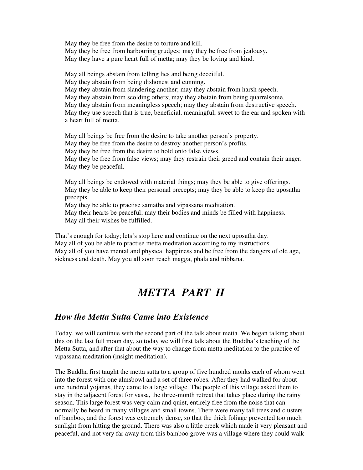May they be free from the desire to torture and kill. May they be free from harbouring grudges; may they be free from jealousy. May they have a pure heart full of metta; may they be loving and kind.

May all beings abstain from telling lies and being deceitful. May they abstain from being dishonest and cunning. May they abstain from slandering another; may they abstain from harsh speech. May they abstain from scolding others; may they abstain from being quarrelsome. May they abstain from meaningless speech; may they abstain from destructive speech. May they use speech that is true, beneficial, meaningful, sweet to the ear and spoken with a heart full of metta.

May all beings be free from the desire to take another person's property. May they be free from the desire to destroy another person's profits. May they be free from the desire to hold onto false views. May they be free from false views; may they restrain their greed and contain their anger. May they be peaceful.

May all beings be endowed with material things; may they be able to give offerings. May they be able to keep their personal precepts; may they be able to keep the uposatha precepts.

May they be able to practise samatha and vipassana meditation.

May their hearts be peaceful; may their bodies and minds be filled with happiness. May all their wishes be fulfilled.

That's enough for today; lets's stop here and continue on the next uposatha day. May all of you be able to practise metta meditation according to my instructions. May all of you have mental and physical happiness and be free from the dangers of old age, sickness and death. May you all soon reach magga, phala and nibbana.

# *METTA PART II*

### *How the Metta Sutta Came into Existence*

Today, we will continue with the second part of the talk about metta. We began talking about this on the last full moon day, so today we will first talk about the Buddha's teaching of the Metta Sutta, and after that about the way to change from metta meditation to the practice of vipassana meditation (insight meditation).

The Buddha first taught the metta sutta to a group of five hundred monks each of whom went into the forest with one almsbowl and a set of three robes. After they had walked for about one hundred yojanas, they came to a large village. The people of this village asked them to stay in the adjacent forest for vassa, the three-month retreat that takes place during the rainy season. This large forest was very calm and quiet, entirely free from the noise that can normally be heard in many villages and small towns. There were many tall trees and clusters of bamboo, and the forest was extremely dense, so that the thick foliage prevented too much sunlight from hitting the ground. There was also a little creek which made it very pleasant and peaceful, and not very far away from this bamboo grove was a village where they could walk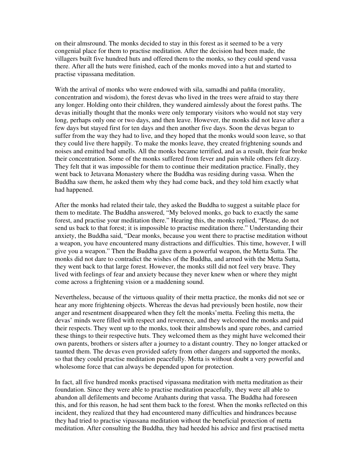on their almsround. The monks decided to stay in this forest as it seemed to be a very congenial place for them to practise meditation. After the decision had been made, the villagers built five hundred huts and offered them to the monks, so they could spend vassa there. After all the huts were finished, each of the monks moved into a hut and started to practise vipassana meditation.

With the arrival of monks who were endowed with sila, samadhi and pañña (morality, concentration and wisdom), the forest devas who lived in the trees were afraid to stay there any longer. Holding onto their children, they wandered aimlessly about the forest paths. The devas initially thought that the monks were only temporary visitors who would not stay very long, perhaps only one or two days, and then leave. However, the monks did not leave after a few days but stayed first for ten days and then another five days. Soon the devas began to suffer from the way they had to live, and they hoped that the monks would soon leave, so that they could live there happily. To make the monks leave, they created frightening sounds and noises and emitted bad smells. All the monks became terrified, and as a result, their fear broke their concentration. Some of the monks suffered from fever and pain while others felt dizzy. They felt that it was impossible for them to continue their meditation practice. Finally, they went back to Jetavana Monastery where the Buddha was residing during vassa. When the Buddha saw them, he asked them why they had come back, and they told him exactly what had happened.

After the monks had related their tale, they asked the Buddha to suggest a suitable place for them to meditate. The Buddha answered, " My beloved monks, go back to exactly the same forest, and practise your meditation there." Hearing this, the monks replied, " Please, do not send us back to that forest; it is impossible to practise meditation there." Understanding their anxiety, the Buddha said, " Dear monks, because you went there to practise meditation without a weapon, you have encountered many distractions and difficulties. This time, however, I will give you a weapon." Then the Buddha gave them a powerful weapon, the Metta Sutta. The monks did not dare to contradict the wishes of the Buddha, and armed with the Metta Sutta, they went back to that large forest. However, the monks still did not feel very brave. They lived with feelings of fear and anxiety because they never knew when or where they might come across a frightening vision or a maddening sound.

Nevertheless, because of the virtuous quality of their metta practice, the monks did not see or hear any more frightening objects. Whereas the devas had previously been hostile, now their anger and resentment disappeared when they felt the monks'metta. Feeling this metta, the devas' minds were filled with respect and reverence, and they welcomed the monks and paid their respects. They went up to the monks, took their almsbowls and spare robes, and carried these things to their respective huts. They welcomed them as they might have welcomed their own parents, brothers or sisters after a journey to a distant country. They no longer attacked or taunted them. The devas even provided safety from other dangers and supported the monks, so that they could practise meditation peacefully. Metta is without doubt a very powerful and wholesome force that can always be depended upon for protection.

In fact, all five hundred monks practised vipassana meditation with metta meditation as their foundation. Since they were able to practise meditation peacefully, they were all able to abandon all defilements and become Arahants during that vassa. The Buddha had foreseen this, and for this reason, he had sent them back to the forest. When the monks reflected on this incident, they realized that they had encountered many difficulties and hindrances because they had tried to practise vipassana meditation without the beneficial protection of metta meditation. After consulting the Buddha, they had heeded his advice and first practised metta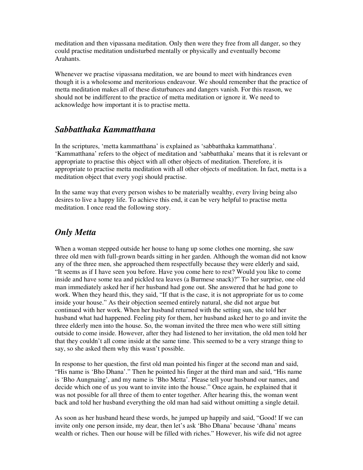meditation and then vipassana meditation. Only then were they free from all danger, so they could practise meditation undisturbed mentally or physically and eventually become Arahants.

Whenever we practise vipassana meditation, we are bound to meet with hindrances even though it is a wholesome and meritorious endeavour. We should remember that the practice of metta meditation makes all of these disturbances and dangers vanish. For this reason, we should not be indifferent to the practice of metta meditation or ignore it. We need to acknowledge how important it is to practise metta.

## *Sabbatthaka Kammatthana*

In the scriptures, 'metta kammatthana' is explained as 'sabbatthaka kammatthana' . 'Kammatthana' refers to the object of meditation and 'sabbatthaka' means that it is relevant or appropriate to practise this object with all other objects of meditation. Therefore, it is appropriate to practise metta meditation with all other objects of meditation. In fact, metta is a meditation object that every yogi should practise.

In the same way that every person wishes to be materially wealthy, every living being also desires to live a happy life. To achieve this end, it can be very helpful to practise metta meditation. I once read the following story.

## *Only Metta*

When a woman stepped outside her house to hang up some clothes one morning, she saw three old men with full-grown beards sitting in her garden. Although the woman did not know any of the three men, she approached them respectfully because they were elderly and said, " It seems as if I have seen you before. Have you come here to rest? Would you like to come inside and have some tea and pickled tea leaves (a Burmese snack)?" To her surprise, one old man immediately asked her if her husband had gone out. She answered that he had gone to work. When they heard this, they said, "If that is the case, it is not appropriate for us to come inside your house." As their objection seemed entirely natural, she did not argue but continued with her work. When her husband returned with the setting sun, she told her husband what had happened. Feeling pity for them, her husband asked her to go and invite the three elderly men into the house. So, the woman invited the three men who were still sitting outside to come inside. However, after they had listened to her invitation, the old men told her that they couldn' t all come inside at the same time. This seemed to be a very strange thing to say, so she asked them why this wasn't possible.

In response to her question, the first old man pointed his finger at the second man and said, "His name is 'Bho Dhana'." Then he pointed his finger at the third man and said, "His name is 'Bho Aungnaing', and my name is 'Bho Metta'. Please tell your husband our names, and decide which one of us you want to invite into the house." Once again, he explained that it was not possible for all three of them to enter together. After hearing this, the woman went back and told her husband everything the old man had said without omitting a single detail.

As soon as her husband heard these words, he jumped up happily and said, " Good! If we can invite only one person inside, my dear, then let's ask 'Bho Dhana' because 'dhana' means wealth or riches. Then our house will be filled with riches." However, his wife did not agree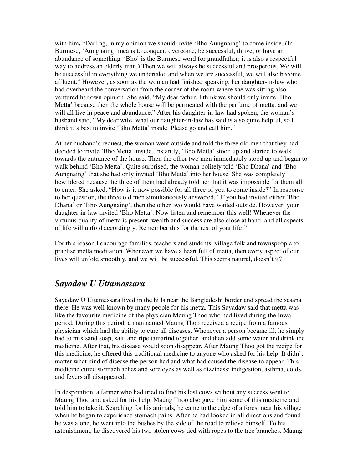with him. "Darling, in my opinion we should invite 'Bho Aungnaing' to come inside. (In Burmese, 'Aungnaing' means to conquer, overcome, be successful, thrive, or have an abundance of something. 'Bho' is the Burmese word for grandfather; it is also a respectful way to address an elderly man.) Then we will always be successful and prosperous. We will be successful in everything we undertake, and when we are successful, we will also become affluent." However, as soon as the woman had finished speaking, her daughter-in-law who had overheard the conversation from the corner of the room where she was sitting also ventured her own opinion. She said, " My dear father, I think we should only invite 'Bho Metta' because then the whole house will be permeated with the perfume of metta, and we will all live in peace and abundance." After his daughter-in-law had spoken, the woman's husband said, " My dear wife, what our daughter-in-law has said is also quite helpful, so I think it's best to invite 'Bho Metta' inside. Please go and call him."

At her husband's request, the woman went outside and told the three old men that they had decided to invite 'Bho Metta' inside. Instantly, 'Bho Metta' stood up and started to walk towards the entrance of the house. Then the other two men immediately stood up and began to walk behind 'Bho Metta' . Quite surprised, the woman politely told 'Bho Dhana' and 'Bho Aungnaing' that she had only invited 'Bho Metta' into her house. She was completely bewildered because the three of them had already told her that it was impossible for them all to enter. She asked, " How is it now possible for all three of you to come inside?" In response to her question, the three old men simultaneously answered, " If you had invited either 'Bho Dhana' or 'Bho Aungnaing', then the other two would have waited outside. However, your daughter-in-law invited 'Bho Metta' . Now listen and remember this well! Whenever the virtuous quality of metta is present, wealth and success are also close at hand, and all aspects of life will unfold accordingly. Remember this for the rest of your life!"

For this reason I encourage families, teachers and students, village folk and townspeople to practise metta meditation. Whenever we have a heart full of metta, then every aspect of our lives will unfold smoothly, and we will be successful. This seems natural, doesn't it?

### *Sayadaw U Uttamassara*

Sayadaw U Uttamassara lived in the hills near the Bangladeshi border and spread the sasana there. He was well-known by many people for his metta. This Sayadaw said that metta was like the favourite medicine of the physician Maung Thoo who had lived during the Inwa period. During this period, a man named Maung Thoo received a recipe from a famous physician which had the ability to cure all diseases. Whenever a person became ill, he simply had to mix sand soap, salt, and ripe tamarind together, and then add some water and drink the medicine. After that, his disease would soon disappear. After Maung Thoo got the recipe for this medicine, he offered this traditional medicine to anyone who asked for his help. It didn't matter what kind of disease the person had and what had caused the disease to appear. This medicine cured stomach aches and sore eyes as well as dizziness; indigestion, asthma, colds, and fevers all disappeared.

In desperation, a farmer who had tried to find his lost cows without any success went to Maung Thoo and asked for his help. Maung Thoo also gave him some of this medicine and told him to take it. Searching for his animals, he came to the edge of a forest near his village when he began to experience stomach pains. After he had looked in all directions and found he was alone, he went into the bushes by the side of the road to relieve himself. To his astonishment, he discovered his two stolen cows tied with ropes to the tree branches. Maung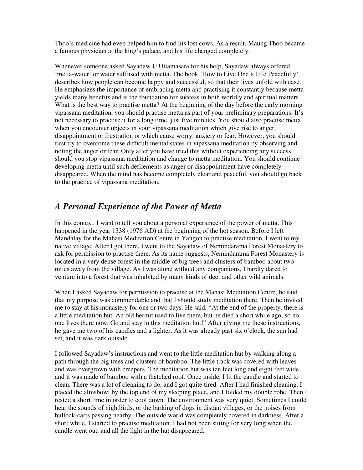Thoo's medicine had even helped him to find his lost cows. As a result, Maung Thoo became a famous physician at the king's palace, and his life changed completely.

Whenever someone asked Sayadaw U Uttamasara for his help, Sayadaw always offered 'metta-water' or water suffused with metta. The book 'How to Live One's Life Peacefully' describes how people can become happy and successful, so that their lives unfold with ease. He emphasizes the importance of embracing metta and practising it constantly because metta yields many benefits and is the foundation for success in both worldly and spiritual matters. What is the best way to practise metta? At the beginning of the day before the early morning vipassana meditation, you should practise metta as part of your preliminary preparations. It's not necessary to practise it for a long time, just five minutes. You should also practise metta when you encounter objects in your vipassana meditation which give rise to anger, disappointment or frustration or which cause worry, anxiety or fear. However, you should first try to overcome these difficult mental states in vipassana meditation by observing and noting the anger or fear. Only after you have tried this without experiencing any success should you stop vipassana meditation and change to metta meditation. You should continue developing metta until such defilements as anger or disappointment have completely disappeared. When the mind has become completely clear and peaceful, you should go back to the practice of vipassana meditation.

## *A Personal Experience of the Power of Metta*

In this context, I want to tell you about a personal experience of the power of metta. This happened in the year 1338 (1976 AD) at the beginning of the hot season. Before I left Mandalay for the Mahasi Meditation Centre in Yangon to practise meditation, I went to my native village. After I got there, I went to the Sayadaw of Nemindarama Forest Monastery to ask for permission to practise there. As its name suggests, Nemindarama Forest Monastery is located in a very dense forest in the middle of big trees and clusters of bamboo about two miles away from the village. As I was alone without any companions, I hardly dared to venture into a forest that was inhabited by many kinds of deer and other wild animals.

When I asked Sayadaw for permission to practise at the Mahasi Meditation Centre, he said that my purpose was commendable and that I should study meditation there. Then he invited me to stay at his monastery for one or two days. He said, " At the end of the property, there is a little meditation hut. An old hermit used to live there, but he died a short while ago, so no one lives there now. Go and stay in this meditation hut!" After giving me these instructions, he gave me two of his candles and a lighter. As it was already past six o' clock, the sun had set, and it was dark outside.

I followed Sayadaw's instructions and went to the little meditation hut by walking along a path through the big trees and clusters of bamboo. The little track was covered with leaves and was overgrown with creepers. The meditation hut was ten feet long and eight feet wide, and it was made of bamboo with a thatched roof. Once inside, I lit the candle and started to clean. There was a lot of cleaning to do, and I got quite tired. After I had finished cleaning, I placed the almsbowl by the top end of my sleeping place, and I folded my double robe. Then I rested a short time in order to cool down. The environment was very quiet. Sometimes I could hear the sounds of nightbirds, or the barking of dogs in distant villages, or the noises from bullock-carts passing nearby. The outside world was completely covered in darkness. After a short while, I started to practise meditation. I had not been sitting for very long when the candle went out, and all the light in the hut disappeared.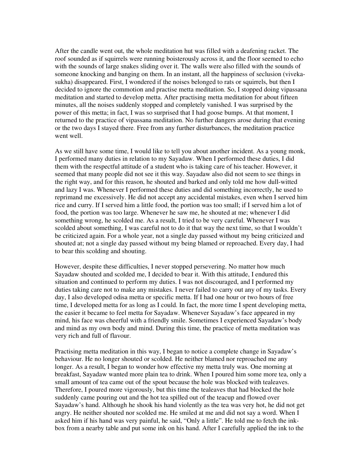After the candle went out, the whole meditation hut was filled with a deafening racket. The roof sounded as if squirrels were running boisterously across it, and the floor seemed to echo with the sounds of large snakes sliding over it. The walls were also filled with the sounds of someone knocking and banging on them. In an instant, all the happiness of seclusion (vivekasukha) disappeared. First, I wondered if the noises belonged to rats or squirrels, but then I decided to ignore the commotion and practise metta meditation. So, I stopped doing vipassana meditation and started to develop metta. After practising metta meditation for about fifteen minutes, all the noises suddenly stopped and completely vanished. I was surprised by the power of this metta; in fact, I was so surprised that I had goose bumps. At that moment, I returned to the practice of vipassana meditation. No further dangers arose during that evening or the two days I stayed there. Free from any further disturbances, the meditation practice went well.

As we still have some time, I would like to tell you about another incident. As a young monk, I performed many duties in relation to my Sayadaw. When I performed these duties, I did them with the respectful attitude of a student who is taking care of his teacher. However, it seemed that many people did not see it this way. Sayadaw also did not seem to see things in the right way, and for this reason, he shouted and barked and only told me how dull-witted and lazy I was. Whenever I performed these duties and did something incorrectly, he used to reprimand me excessively. He did not accept any accidental mistakes, even when I served him rice and curry. If I served him a little food, the portion was too small; if I served him a lot of food, the portion was too large. Whenever he saw me, he shouted at me; whenever I did something wrong, he scolded me. As a result, I tried to be very careful. Whenever I was scolded about something, I was careful not to do it that way the next time, so that I wouldn't be criticized again. For a whole year, not a single day passed without my being criticized and shouted at; not a single day passed without my being blamed or reproached. Every day, I had to bear this scolding and shouting.

However, despite these difficulties, I never stopped persevering. No matter how much Sayadaw shouted and scolded me, I decided to bear it. With this attitude, I endured this situation and continued to perform my duties. I was not discouraged, and I performed my duties taking care not to make any mistakes. I never failed to carry out any of my tasks. Every day, I also developed odisa metta or specific metta. If I had one hour or two hours of free time, I developed metta for as long as I could. In fact, the more time I spent developing metta, the easier it became to feel metta for Sayadaw. Whenever Sayadaw's face appeared in my mind, his face was cheerful with a friendly smile. Sometimes I experienced Sayadaw's body and mind as my own body and mind. During this time, the practice of metta meditation was very rich and full of flavour.

Practising metta meditation in this way, I began to notice a complete change in Sayadaw's behaviour. He no longer shouted or scolded. He neither blamed nor reproached me any longer. As a result, I began to wonder how effective my metta truly was. One morning at breakfast, Sayadaw wanted more plain tea to drink. When I poured him some more tea, only a small amount of tea came out of the spout because the hole was blocked with tealeaves. Therefore, I poured more vigorously, but this time the tealeaves that had blocked the hole suddenly came pouring out and the hot tea spilled out of the teacup and flowed over Sayadaw's hand. Although he shook his hand violently as the tea was very hot, he did not get angry. He neither shouted nor scolded me. He smiled at me and did not say a word. When I asked him if his hand was very painful, he said, " Only a little". He told me to fetch the inkbox from a nearby table and put some ink on his hand. After I carefully applied the ink to the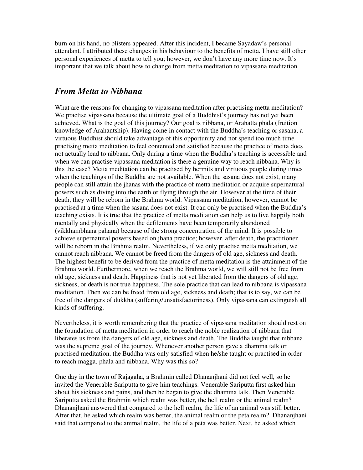burn on his hand, no blisters appeared. After this incident, I became Sayadaw's personal attendant. I attributed these changes in his behaviour to the benefits of metta. I have still other personal experiences of metta to tell you; however, we don't have any more time now. It's important that we talk about how to change from metta meditation to vipassana meditation.

### *From Metta to Nibbana*

What are the reasons for changing to vipassana meditation after practising metta meditation? We practise vipassana because the ultimate goal of a Buddhist's journey has not yet been achieved. What is the goal of this journey? Our goal is nibbana, or Arahatta phala (fruition knowledge of Arahantship). Having come in contact with the Buddha's teaching or sasana, a virtuous Buddhist should take advantage of this opportunity and not spend too much time practising metta meditation to feel contented and satisfied because the practice of metta does not actually lead to nibbana. Only during a time when the Buddha's teaching is accessible and when we can practise vipassana meditation is there a genuine way to reach nibbana. Why is this the case? Metta meditation can be practised by hermits and virtuous people during times when the teachings of the Buddha are not available. When the sasana does not exist, many people can still attain the jhanas with the practice of metta meditation or acquire supernatural powers such as diving into the earth or flying through the air. However at the time of their death, they will be reborn in the Brahma world. Vipassana meditation, however, cannot be practised at a time when the sasana does not exist. It can only be practised when the Buddha's teaching exists. It is true that the practice of metta meditation can help us to live happily both mentally and physically when the defilements have been temporarily abandoned (vikkhambhana pahana) because of the strong concentration of the mind. It is possible to achieve supernatural powers based on jhana practice; however, after death, the practitioner will be reborn in the Brahma realm. Nevertheless, if we only practise metta meditation, we cannot reach nibbana. We cannot be freed from the dangers of old age, sickness and death. The highest benefit to be derived from the practice of metta meditation is the attainment of the Brahma world. Furthermore, when we reach the Brahma world, we will still not be free from old age, sickness and death. Happiness that is not yet liberated from the dangers of old age, sickness, or death is not true happiness. The sole practice that can lead to nibbana is vipassana meditation. Then we can be freed from old age, sickness and death; that is to say, we can be free of the dangers of dukkha (suffering/unsatisfactoriness). Only vipassana can extinguish all kinds of suffering.

Nevertheless, it is worth remembering that the practice of vipassana meditation should rest on the foundation of metta meditation in order to reach the noble realization of nibbana that liberates us from the dangers of old age, sickness and death. The Buddha taught that nibbana was the supreme goal of the journey. Whenever another person gave a dhamma talk or practised meditation, the Buddha was only satisfied when he/she taught or practised in order to reach magga, phala and nibbana. Why was this so?

One day in the town of Rajagaha, a Brahmin called Dhananjhani did not feel well, so he invited the Venerable Sariputta to give him teachings. Venerable Sariputta first asked him about his sickness and pains, and then he began to give the dhamma talk. Then Venerable Sariputta asked the Brahmin which realm was better, the hell realm or the animal realm? Dhananjhani answered that compared to the hell realm, the life of an animal was still better. After that, he asked which realm was better, the animal realm or the peta realm? Dhananjhani said that compared to the animal realm, the life of a peta was better. Next, he asked which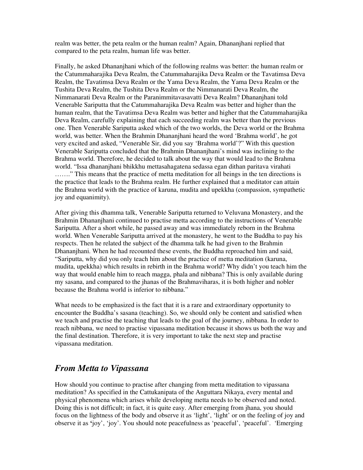realm was better, the peta realm or the human realm? Again, Dhananjhani replied that compared to the peta realm, human life was better.

Finally, he asked Dhananjhani which of the following realms was better: the human realm or the Catummaharajika Deva Realm, the Catummaharajika Deva Realm or the Tavatimsa Deva Realm, the Tavatimsa Deva Realm or the Yama Deva Realm, the Yama Deva Realm or the Tushita Deva Realm, the Tushita Deva Realm or the Nimmanarati Deva Realm, the Nimmanarati Deva Realm or the Paranimmitavasavatti Deva Realm? Dhananjhani told Venerable Sariputta that the Catummaharajika Deva Realm was better and higher than the human realm, that the Tavatimsa Deva Realm was better and higher that the Catummaharajika Deva Realm, carefully explaining that each succeeding realm was better than the previous one. Then Venerable Sariputta asked which of the two worlds, the Deva world or the Brahma world, was better. When the Brahmin Dhananjhani heard the word 'Brahma world' , he got very excited and asked, " Venerable Sir, did you say 'Brahma world' ?" With this question Venerable Sariputta concluded that the Brahmin Dhananjhani's mind was inclining to the Brahma world. Therefore, he decided to talk about the way that would lead to the Brahma world. " Issa dhananjhani bhikkhu mettasahagatena sedassa egan dithan paritava virahati ……." This means that the practice of metta meditation for all beings in the ten directions is the practice that leads to the Brahma realm. He further explained that a meditator can attain the Brahma world with the practice of karuna, mudita and upekkha (compassion, sympathetic joy and equanimity).

After giving this dhamma talk, Venerable Sariputta returned to Veluvana Monastery, and the Brahmin Dhananjhani continued to practise metta according to the instructions of Venerable Sariputta. After a short while, he passed away and was immediately reborn in the Brahma world. When Venerable Sariputta arrived at the monastery, he went to the Buddha to pay his respects. Then he related the subject of the dhamma talk he had given to the Brahmin Dhananjhani. When he had recounted these events, the Buddha reproached him and said, " Sariputta, why did you only teach him about the practice of metta meditation (karuna, mudita, upekkha) which results in rebirth in the Brahma world? Why didn't you teach him the way that would enable him to reach magga, phala and nibbana? This is only available during my sasana, and compared to the jhanas of the Brahmaviharas, it is both higher and nobler because the Brahma world is inferior to nibbana."

What needs to be emphasized is the fact that it is a rare and extraordinary opportunity to encounter the Buddha's sasana (teaching). So, we should only be content and satisfied when we teach and practise the teaching that leads to the goal of the journey, nibbana. In order to reach nibbana, we need to practise vipassana meditation because it shows us both the way and the final destination. Therefore, it is very important to take the next step and practise vipassana meditation.

### *From Metta to Vipassana*

How should you continue to practise after changing from metta meditation to vipassana meditation? As specified in the Cattukanipata of the Anguttara Nikaya, every mental and physical phenomena which arises while developing metta needs to be observed and noted. Doing this is not difficult; in fact, it is quite easy. After emerging from jhana, you should focus on the lightness of the body and observe it as 'light' , 'light' or on the feeling of joy and observe it as **'**joy' , 'joy' . You should note peacefulness as 'peaceful' , 'peaceful' . 'Emerging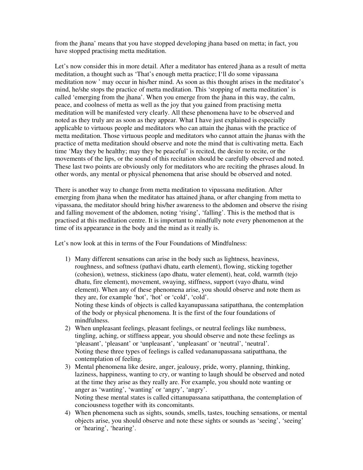from the jhana' means that you have stopped developing jhana based on metta; in fact, you have stopped practising metta meditation.

Let's now consider this in more detail. After a meditator has entered jhana as a result of metta meditation, a thought such as 'That's enough metta practice; I'll do some vipassana meditation now ' may occur in his/her mind. As soon as this thought arises in the meditator's mind, he/she stops the practice of metta meditation. This 'stopping of metta meditation' is called 'emerging from the jhana' . When you emerge from the jhana in this way, the calm, peace, and coolness of metta as well as the joy that you gained from practising metta meditation will be manifested very clearly. All these phenomena have to be observed and noted as they truly are as soon as they appear. What I have just explained is especially applicable to virtuous people and meditators who can attain the jhanas with the practice of metta meditation. Those virtuous people and meditators who cannot attain the jhanas with the practice of metta meditation should observe and note the mind that is cultivating metta. Each time 'May they be healthy; may they be peaceful' is recited, the desire to recite, or the movements of the lips, or the sound of this recitation should be carefully observed and noted. These last two points are obviously only for meditators who are reciting the phrases aloud. In other words, any mental or physical phenomena that arise should be observed and noted.

There is another way to change from metta meditation to vipassana meditation. After emerging from jhana when the meditator has attained jhana, or after changing from metta to vipassana, the meditator should bring his/her awareness to the abdomen and observe the rising and falling movement of the abdomen, noting 'rising', 'falling'. This is the method that is practised at this meditation centre. It is important to mindfully note every phenomenon at the time of its appearance in the body and the mind as it really is.

Let's now look at this in terms of the Four Foundations of Mindfulness:

- 1) Many different sensations can arise in the body such as lightness, heaviness, roughness, and softness (pathavi dhatu, earth element), flowing, sticking together (cohesion), wetness, stickiness (apo dhatu, water element), heat, cold, warmth (tejo dhatu, fire element), movement, swaying, stiffness, support (vayo dhatu, wind element). When any of these phenomena arise, you should observe and note them as they are, for example 'hot', 'hot' or 'cold', 'cold'. Noting these kinds of objects is called kayanupassana satipatthana, the contemplation of the body or physical phenomena. It is the first of the four foundations of mindfulness.
- 2) When unpleasant feelings, pleasant feelings, or neutral feelings like numbness, tingling, aching, or stiffness appear, you should observe and note these feelings as 'pleasant', 'pleasant' or 'unpleasant', 'unpleasant' or 'neutral', 'neutral'. Noting these three types of feelings is called vedananupassana satipatthana, the contemplation of feeling.
- 3) Mental phenomena like desire, anger, jealousy, pride, worry, planning, thinking, laziness, happiness, wanting to cry, or wanting to laugh should be observed and noted at the time they arise as they really are. For example, you should note wanting or anger as 'wanting', 'wanting' or 'angry', 'angry'. Noting these mental states is called cittanupassana satipatthana, the contemplation of conciousness together with its concomitants.
- 4) When phenomena such as sights, sounds, smells, tastes, touching sensations, or mental objects arise, you should observe and note these sights or sounds as 'seeing' , 'seeing' or 'hearing', 'hearing'.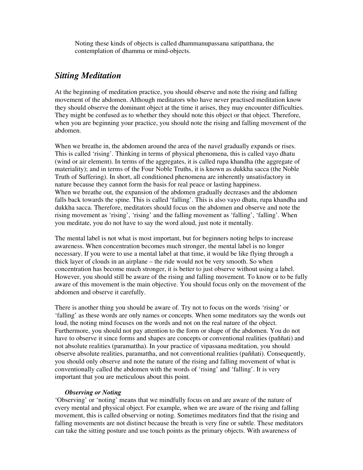Noting these kinds of objects is called dhammanupassana satipatthana, the contemplation of dhamma or mind-objects.

### *Sitting Meditation*

At the beginning of meditation practice, you should observe and note the rising and falling movement of the abdomen. Although meditators who have never practised meditation know they should observe the dominant object at the time it arises, they may encounter difficulties. They might be confused as to whether they should note this object or that object. Therefore, when you are beginning your practice, you should note the rising and falling movement of the abdomen.

When we breathe in, the abdomen around the area of the navel gradually expands or rises. This is called 'rising'. Thinking in terms of physical phenomena, this is called vayo dhatu (wind or air element). In terms of the aggregates, it is called rupa khandha (the aggregate of materiality); and in terms of the Four Noble Truths, it is known as dukkha sacca (the Noble Truth of Suffering). In short, all conditioned phenomena are inherently unsatisfactory in nature because they cannot form the basis for real peace or lasting happiness. When we breathe out, the expansion of the abdomen gradually decreases and the abdomen falls back towards the spine. This is called 'falling' . This is also vayo dhatu, rupa khandha and dukkha sacca. Therefore, meditators should focus on the abdomen and observe and note the rising movement as 'rising', 'rising' and the falling movement as 'falling', 'falling'. When you meditate, you do not have to say the word aloud, just note it mentally.

The mental label is not what is most important, but for beginners noting helps to increase awareness. When concentration becomes much stronger, the mental label is no longer necessary. If you were to use a mental label at that time, it would be like flying through a thick layer of clouds in an airplane – the ride would not be very smooth. So when concentration has become much stronger, it is better to just observe without using a label. However, you should still be aware of the rising and falling movement. To know or to be fully aware of this movement is the main objective. You should focus only on the movement of the abdomen and observe it carefully.

There is another thing you should be aware of. Try not to focus on the words 'rising' or 'falling' as these words are only names or concepts. When some meditators say the words out loud, the noting mind focuses on the words and not on the real nature of the object. Furthermore, you should not pay attention to the form or shape of the abdomen. You do not have to observe it since forms and shapes are concepts or conventional realities (paññati) and not absolute realities (paramattha). In your practice of vipassana meditation, you should observe absolute realities, paramattha, and not conventional realities (paññati). Consequently, you should only observe and note the nature of the rising and falling movement of what is conventionally called the abdomen with the words of 'rising' and 'falling'. It is very important that you are meticulous about this point.

### *Observing or Noting*

'Observing' or 'noting' means that we mindfully focus on and are aware of the nature of every mental and physical object. For example, when we are aware of the rising and falling movement, this is called observing or noting. Sometimes meditators find that the rising and falling movements are not distinct because the breath is very fine or subtle. These meditators can take the sitting posture and use touch points as the primary objects. With awareness of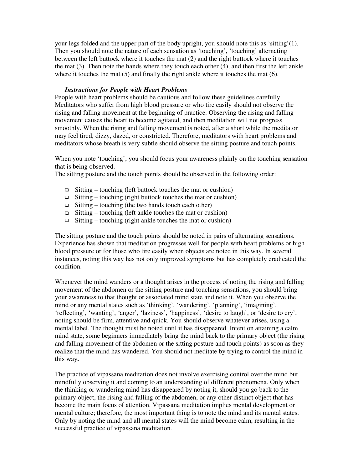your legs folded and the upper part of the body upright, you should note this as 'sitting'(1). Then you should note the nature of each sensation as 'touching' , 'touching' alternating between the left buttock where it touches the mat (2) and the right buttock where it touches the mat (3). Then note the hands where they touch each other (4), and then first the left ankle where it touches the mat (5) and finally the right ankle where it touches the mat (6).

#### *Instructions for People with Heart Problems*

People with heart problems should be cautious and follow these guidelines carefully. Meditators who suffer from high blood pressure or who tire easily should not observe the rising and falling movement at the beginning of practice. Observing the rising and falling movement causes the heart to become agitated, and then meditation will not progress smoothly. When the rising and falling movement is noted, after a short while the meditator may feel tired, dizzy, dazed, or constricted. Therefore, meditators with heart problems and meditators whose breath is very subtle should observe the sitting posture and touch points.

When you note 'touching', you should focus your awareness plainly on the touching sensation that is being observed.

The sitting posture and the touch points should be observed in the following order:

- $\Box$  Sitting touching (left buttock touches the mat or cushion)
- $\Box$  Sitting touching (right buttock touches the mat or cushion)
- $\Box$  Sitting touching (the two hands touch each other)
- $\Box$  Sitting touching (left ankle touches the mat or cushion)
- $\Box$  Sitting touching (right ankle touches the mat or cushion)

The sitting posture and the touch points should be noted in pairs of alternating sensations. Experience has shown that meditation progresses well for people with heart problems or high blood pressure or for those who tire easily when objects are noted in this way. In several instances, noting this way has not only improved symptoms but has completely eradicated the condition.

Whenever the mind wanders or a thought arises in the process of noting the rising and falling movement of the abdomen or the sitting posture and touching sensations, you should bring your awareness to that thought or associated mind state and note it. When you observe the mind or any mental states such as 'thinking', 'wandering', 'planning', 'imagining', 'reflecting', 'wanting', 'anger', 'laziness', 'happiness', 'desire to laugh', or 'desire to cry', noting should be firm, attentive and quick. You should observe whatever arises, using a mental label. The thought must be noted until it has disappeared. Intent on attaining a calm mind state, some beginners immediately bring the mind back to the primary object (the rising and falling movement of the abdomen or the sitting posture and touch points) as soon as they realize that the mind has wandered. You should not meditate by trying to control the mind in this way**.**

The practice of vipassana meditation does not involve exercising control over the mind but mindfully observing it and coming to an understanding of different phenomena. Only when the thinking or wandering mind has disappeared by noting it, should you go back to the primary object, the rising and falling of the abdomen, or any other distinct object that has become the main focus of attention. Vipassana meditation implies mental development or mental culture; therefore, the most important thing is to note the mind and its mental states. Only by noting the mind and all mental states will the mind become calm, resulting in the successful practice of vipassana meditation.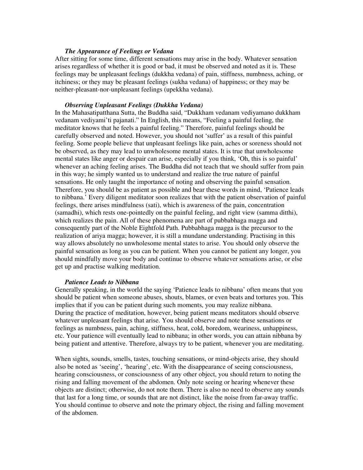### *The Appearance of Feelings or Vedana*

After sitting for some time, different sensations may arise in the body. Whatever sensation arises regardless of whether it is good or bad, it must be observed and noted as it is. These feelings may be unpleasant feelings (dukkha vedana) of pain, stiffness, numbness, aching, or itchiness; or they may be pleasant feelings (sukha vedana) of happiness; or they may be neither-pleasant-nor-unpleasant feelings (upekkha vedana).

### *Observing Unpleasant Feelings (Dukkha Vedana)*

In the Mahasatipatthana Sutta, the Buddha said, " Dukkham vedanam vediyamano dukkham vedanam vediyami' ti pajanati." In English, this means, "Feeling a painful feeling, the meditator knows that he feels a painful feeling." Therefore, painful feelings should be carefully observed and noted. However, you should not 'suffer' as a result of this painful feeling. Some people believe that unpleasant feelings like pain, aches or soreness should not be observed, as they may lead to unwholesome mental states. It is true that unwholesome mental states like anger or despair can arise, especially if you think, 'Oh, this is so painful' whenever an aching feeling arises. The Buddha did not teach that we should suffer from pain in this way; he simply wanted us to understand and realize the true nature of painful sensations. He only taught the importance of noting and observing the painful sensation. Therefore, you should be as patient as possible and bear these words in mind, 'Patience leads to nibbana.' Every diligent meditator soon realizes that with the patient observation of painful feelings, there arises mindfulness (sati), which is awareness of the pain, concentration (samadhi), which rests one-pointedly on the painful feeling, and right view (samma ditthi), which realizes the pain. All of these phenomena are part of pubbabhaga magga and consequently part of the Noble Eightfold Path. Pubbabhaga magga is the precursor to the realization of ariya magga; however, it is still a mundane understanding. Practising in this way allows absolutely no unwholesome mental states to arise. You should only observe the painful sensation as long as you can be patient. When you cannot be patient any longer, you should mindfully move your body and continue to observe whatever sensations arise, or else get up and practise walking meditation.

#### *Patience Leads to Nibbana*

Generally speaking, in the world the saying 'Patience leads to nibbana' often means that you should be patient when someone abuses, shouts, blames, or even beats and tortures you. This implies that if you can be patient during such moments, you may realize nibbana. During the practice of meditation, however, being patient means meditators should observe whatever unpleasant feelings that arise. You should observe and note these sensations or feelings as numbness, pain, aching, stiffness, heat, cold, boredom, weariness, unhappiness, etc. Your patience will eventually lead to nibbana; in other words, you can attain nibbana by being patient and attentive. Therefore, always try to be patient, whenever you are meditating.

When sights, sounds, smells, tastes, touching sensations, or mind-objects arise, they should also be noted as 'seeing', 'hearing', etc. With the disappearance of seeing consciousness, hearing consciousness, or consciousness of any other object, you should return to noting the rising and falling movement of the abdomen. Only note seeing or hearing whenever these objects are distinct; otherwise, do not note them. There is also no need to observe any sounds that last for a long time, or sounds that are not distinct, like the noise from far-away traffic. You should continue to observe and note the primary object, the rising and falling movement of the abdomen.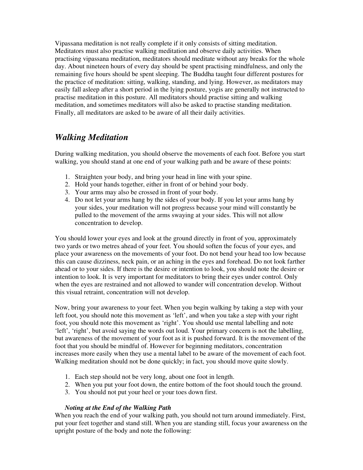Vipassana meditation is not really complete if it only consists of sitting meditation. Meditators must also practise walking meditation and observe daily activities. When practising vipassana meditation, meditators should meditate without any breaks for the whole day. About nineteen hours of every day should be spent practising mindfulness, and only the remaining five hours should be spent sleeping. The Buddha taught four different postures for the practice of meditation: sitting, walking, standing, and lying. However, as meditators may easily fall asleep after a short period in the lying posture, yogis are generally not instructed to practise meditation in this posture. All meditators should practise sitting and walking meditation, and sometimes meditators will also be asked to practise standing meditation. Finally, all meditators are asked to be aware of all their daily activities.

## *Walking Meditation*

During walking meditation, you should observe the movements of each foot. Before you start walking, you should stand at one end of your walking path and be aware of these points:

- 1. Straighten your body, and bring your head in line with your spine.
- 2. Hold your hands together, either in front of or behind your body.
- 3. Your arms may also be crossed in front of your body.
- 4. Do not let your arms hang by the sides of your body. If you let your arms hang by your sides, your meditation will not progress because your mind will constantly be pulled to the movement of the arms swaying at your sides. This will not allow concentration to develop.

You should lower your eyes and look at the ground directly in front of you, approximately two yards or two metres ahead of your feet. You should soften the focus of your eyes, and place your awareness on the movements of your foot. Do not bend your head too low because this can cause dizziness, neck pain, or an aching in the eyes and forehead. Do not look farther ahead or to your sides. If there is the desire or intention to look, you should note the desire or intention to look. It is very important for meditators to bring their eyes under control. Only when the eyes are restrained and not allowed to wander will concentration develop. Without this visual retraint, concentration will not develop.

Now, bring your awareness to your feet. When you begin walking by taking a step with your left foot, you should note this movement as 'left', and when you take a step with your right foot, you should note this movement as 'right'. You should use mental labelling and note 'left', 'right', but avoid saying the words out loud. Your primary concern is not the labelling, but awareness of the movement of your foot as it is pushed forward. It is the movement of the foot that you should be mindful of. However for beginning meditators, concentration increases more easily when they use a mental label to be aware of the movement of each foot. Walking meditation should not be done quickly; in fact, you should move quite slowly.

- 1. Each step should not be very long, about one foot in length.
- 2. When you put your foot down, the entire bottom of the foot should touch the ground.
- 3. You should not put your heel or your toes down first.

### *Noting at the End of the Walking Path*

When you reach the end of your walking path, you should not turn around immediately. First, put your feet together and stand still. When you are standing still, focus your awareness on the upright posture of the body and note the following: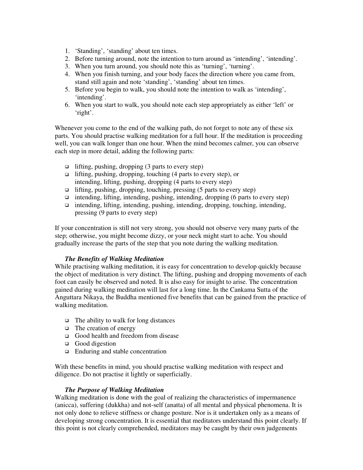- 1. 'Standing', 'standing' about ten times.
- 2. Before turning around, note the intention to turn around as 'intending' , 'intending' .
- 3. When you turn around, you should note this as 'turning', 'turning'.
- 4. When you finish turning, and your body faces the direction where you came from, stand still again and note 'standing' , 'standing' about ten times.
- 5. Before you begin to walk, you should note the intention to walk as 'intending' , 'intending'.
- 6. When you start to walk, you should note each step appropriately as either 'left' or 'right'.

Whenever you come to the end of the walking path, do not forget to note any of these six parts. You should practise walking meditation for a full hour. If the meditation is proceeding well, you can walk longer than one hour. When the mind becomes calmer, you can observe each step in more detail, adding the following parts:

- $\Box$  lifting, pushing, dropping (3 parts to every step)
- lifting, pushing, dropping, touching (4 parts to every step), or intending, lifting, pushing, dropping (4 parts to every step)
- $\Box$  lifting, pushing, dropping, touching, pressing (5 parts to every step)
- intending, lifting, intending, pushing, intending, dropping (6 parts to every step)
- intending, lifting, intending, pushing, intending, dropping, touching, intending, pressing (9 parts to every step)

If your concentration is still not very strong, you should not observe very many parts of the step; otherwise, you might become dizzy, or your neck might start to ache. You should gradually increase the parts of the step that you note during the walking meditation.

### *The Benefits of Walking Meditation*

While practising walking meditation, it is easy for concentration to develop quickly because the object of meditation is very distinct. The lifting, pushing and dropping movements of each foot can easily be observed and noted. It is also easy for insight to arise. The concentration gained during walking meditation will last for a long time. In the Cankama Sutta of the Anguttara Nikaya, the Buddha mentioned five benefits that can be gained from the practice of walking meditation.

- The ability to walk for long distances
- The creation of energy
- Good health and freedom from disease
- Good digestion
- □ Enduring and stable concentration

With these benefits in mind, you should practise walking meditation with respect and diligence. Do not practise it lightly or superficially.

### *The Purpose of Walking Meditation*

Walking meditation is done with the goal of realizing the characteristics of impermanence (anicca), suffering (dukkha) and not-self (anatta) of all mental and physical phenomena. It is not only done to relieve stiffness or change posture. Nor is it undertaken only as a means of developing strong concentration. It is essential that meditators understand this point clearly. If this point is not clearly comprehended, meditators may be caught by their own judgements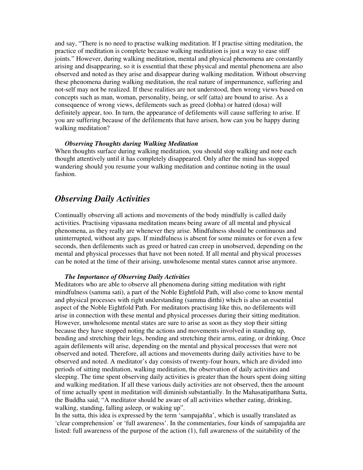and say, " There is no need to practise walking meditation. If I practise sitting meditation, the practice of meditation is complete because walking meditation is just a way to ease stiff joints." However, during walking meditation, mental and physical phenomena are constantly arising and disappearing, so it is essential that these physical and mental phenomena are also observed and noted as they arise and disappear during walking meditation. Without observing these phenomena during walking meditation, the real nature of impermanence, suffering and not-self may not be realized. If these realities are not understood, then wrong views based on concepts such as man, woman, personality, being, or self (atta) are bound to arise. As a consequence of wrong views, defilements such as greed (lobha) or hatred (dosa) will definitely appear, too. In turn, the appearance of defilements will cause suffering to arise. If you are suffering because of the defilements that have arisen, how can you be happy during walking meditation?

#### *Observing Thoughts during Walking Meditation*

When thoughts surface during walking meditation, you should stop walking and note each thought attentively until it has completely disappeared. Only after the mind has stopped wandering should you resume your walking meditation and continue noting in the usual fashion.

### *Observing Daily Activities*

Continually observing all actions and movements of the body mindfully is called daily activities. Practising vipassana meditation means being aware of all mental and physical phenomena, as they really are whenever they arise. Mindfulness should be continuous and uninterrupted, without any gaps. If mindfulness is absent for some minutes or for even a few seconds, then defilements such as greed or hatred can creep in unobserved, depending on the mental and physical processes that have not been noted. If all mental and physical processes can be noted at the time of their arising, unwholesome mental states cannot arise anymore.

#### *The Importance of Observing Daily Activities*

Meditators who are able to observe all phenomena during sitting meditation with right mindfulness (samma sati), a part of the Noble Eightfold Path, will also come to know mental and physical processes with right understanding (samma ditthi) which is also an essential aspect of the Noble Eightfold Path. For meditators practising like this, no defilements will arise in connection with these mental and physical processes during their sitting meditation. However, unwholesome mental states are sure to arise as soon as they stop their sitting because they have stopped noting the actions and movements involved in standing up, bending and stretching their legs, bending and stretching their arms, eating, or drinking. Once again defilements will arise, depending on the mental and physical processes that were not observed and noted. Therefore, all actions and movements during daily activities have to be observed and noted. A meditator's day consists of twenty-four hours, which are divided into periods of sitting meditation, walking meditation, the observation of daily activities and sleeping. The time spent observing daily activities is greater than the hours spent doing sitting and walking meditation. If all these various daily activities are not observed, then the amount of time actually spent in meditation will diminish substantially. In the Mahasatipatthana Sutta, the Buddha said, " A meditator should be aware of all activities whether eating, drinking, walking, standing, falling asleep, or waking up".

In the sutta, this idea is expressed by the term 'sampajañña' , which is usually translated as 'clear comprehension' or 'full awareness' . In the commentaries, four kinds of sampajañña are listed: full awareness of the purpose of the action (1), full awareness of the suitability of the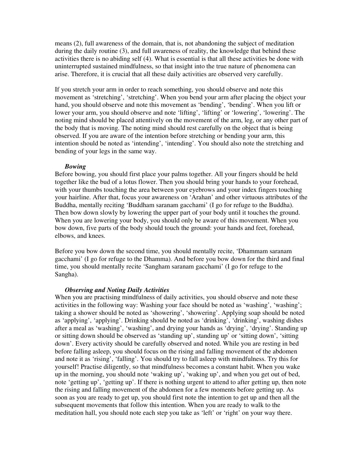means (2), full awareness of the domain, that is, not abandoning the subject of meditation during the daily routine (3), and full awareness of reality, the knowledge that behind these activities there is no abiding self (4). What is essential is that all these activities be done with uninterrupted sustained mindfulness, so that insight into the true nature of phenomena can arise. Therefore, it is crucial that all these daily activities are observed very carefully.

If you stretch your arm in order to reach something, you should observe and note this movement as 'stretching', 'stretching'. When you bend your arm after placing the object your hand, you should observe and note this movement as 'bending', 'bending'. When you lift or lower your arm, you should observe and note 'lifting', 'lifting' or 'lowering', 'lowering'. The noting mind should be placed attentively on the movement of the arm, leg, or any other part of the body that is moving. The noting mind should rest carefully on the object that is being observed. If you are aware of the intention before stretching or bending your arm, this intention should be noted as 'intending', 'intending'. You should also note the stretching and bending of your legs in the same way.

### *Bowing*

Before bowing, you should first place your palms together. All your fingers should be held together like the bud of a lotus flower. Then you should bring your hands to your forehead, with your thumbs touching the area between your eyebrows and your index fingers touching your hairline. After that, focus your awareness on 'Arahan' and other virtuous attributes of the Buddha, mentally reciting 'Buddham saranam gacchami' (I go for refuge to the Buddha). Then bow down slowly by lowering the upper part of your body until it touches the ground. When you are lowering your body, you should only be aware of this movement. When you bow down, five parts of the body should touch the ground: your hands and feet, forehead, elbows, and knees.

Before you bow down the second time, you should mentally recite, 'Dhammam saranam gacchami' (I go for refuge to the Dhamma). And before you bow down for the third and final time, you should mentally recite 'Sangham saranam gacchami' (I go for refuge to the Sangha).

#### *Observing and Noting Daily Activities*

When you are practising mindfulness of daily activities, you should observe and note these activities in the following way: Washing your face should be noted as 'washing' , 'washing' ; taking a shower should be noted as 'showering' , 'showering' . Applying soap should be noted as 'applying', 'applying'. Drinking should be noted as 'drinking', 'drinking', washing dishes after a meal as 'washing', 'washing', and drying your hands as 'drying', 'drying'. Standing up or sitting down should be observed as 'standing up', standing up' or 'sitting down', 'sitting down'. Every activity should be carefully observed and noted. While you are resting in bed before falling asleep, you should focus on the rising and falling movement of the abdomen and note it as 'rising', 'falling'. You should try to fall asleep with mindfulness. Try this for yourself! Practise diligently, so that mindfulness becomes a constant habit. When you wake up in the morning, you should note 'waking up', 'waking up', and when you get out of bed, note 'getting up', 'getting up'. If there is nothing urgent to attend to after getting up, then note the rising and falling movement of the abdomen for a few moments before getting up. As soon as you are ready to get up, you should first note the intention to get up and then all the subsequent movements that follow this intention. When you are ready to walk to the meditation hall, you should note each step you take as 'left' or 'right' on your way there.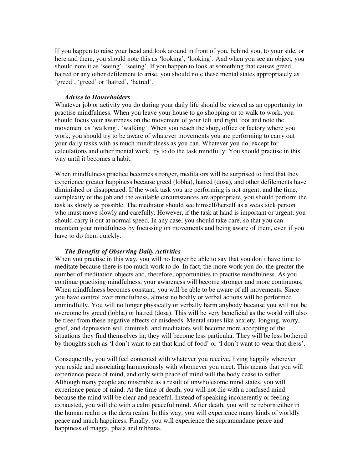If you happen to raise your head and look around in front of you, behind you, to your side, or here and there, you should note this as 'looking', 'looking'. And when you see an object, you should note it as 'seeing', 'seeing'. If you happen to look at something that causes greed, hatred or any other defilement to arise, you should note these mental states appropriately as 'greed', 'greed' or 'hatred', 'hatred'.

### *Advice to Householders*

Whatever job or activity you do during your daily life should be viewed as an opportunity to practise mindfulness. When you leave your house to go shopping or to walk to work, you should focus your awareness on the movement of your left and right foot and note the movement as 'walking', 'walking'. When you reach the shop, office or factory where you work, you should try to be aware of whatever movements you are performing to carry out your daily tasks with as much mindfulness as you can. Whatever you do, except for calculations and other mental work, try to do the task mindfully. You should practise in this way until it becomes a habit.

When mindfulness practice becomes stronger, meditators will be surprised to find that they experience greater happiness because greed (lobha), hatred (dosa), and other defilements have diminished or disappeared. If the work task you are performing is not urgent, and the time, complexity of the job and the available circumstances are appropriate, you should perform the task as slowly as possible. The meditator should see himself/herself as a weak sick person who must move slowly and carefully. However, if the task at hand is important or urgent, you should carry it out at normal speed. In any case, you should take care, so that you can maintain your mindfulness by focussing on movements and being aware of them, even if you have to do them quickly.

#### *The Benefits of Observing Daily Activities*

When you practise in this way, you will no longer be able to say that you don't have time to meditate because there is too much work to do. In fact, the more work you do, the greater the number of meditation objects and, therefore, opportunities to practise mindfulness. As you continue practising mindfulness, your awareness will become stronger and more continuous. When mindfulness becomes constant, you will be able to be aware of all movements. Since you have control over mindfulness, almost no bodily or verbal actions will be performed unmindfully. You will no longer physically or verbally harm anybody because you will not be overcome by greed (lobha) or hatred (dosa). This will be very beneficial as the world will also be freer from these negative effects or misdeeds. Mental states like anxiety, longing, worry, grief, and depression will diminish, and meditators will become more accepting of the situations they find themselves in; they will become less particular. They will be less bothered by thoughts such as 'I don't want to eat that kind of food' or 'I don't want to wear that dress'.

Consequently, you will feel contented with whatever you receive, living happily wherever you reside and associating harmoniously with whomever you meet. This means that you will experience peace of mind, and only with peace of mind will the body cease to suffer. Although many people are miserable as a result of unwholesome mind states, you will experience peace of mind. At the time of death, you will not die with a confused mind because the mind will be clear and peaceful. Instead of speaking incoherently or feeling exhausted, you will die with a calm peaceful mind. After death, you will be reborn either in the human realm or the deva realm. In this way, you will experience many kinds of worldly peace and much happiness. Finally, you will experience the supramundane peace and happiness of magga, phala and nibbana.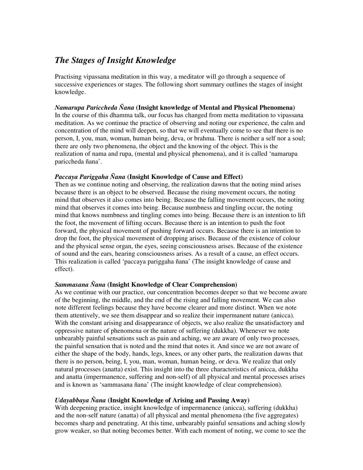## *The Stages of Insight Knowledge*

Practising vipassana meditation in this way, a meditator will go through a sequence of successive experiences or stages. The following short summary outlines the stages of insight knowledge.

### *Namarupa Pariccheda Ñana* **(Insight knowledge of Mental and Physical Phenomena)**

In the course of this dhamma talk, our focus has changed from metta meditation to vipassana meditation. As we continue the practice of observing and noting our experience, the calm and concentration of the mind will deepen, so that we will eventually come to see that there is no person, I, you, man, woman, human being, deva, or brahma. There is neither a self nor a soul; there are only two phenomena, the object and the knowing of the object. This is the realization of nama and rupa, (mental and physical phenomena), and it is called 'namarupa pariccheda ñana'.

### *Paccaya Pariggaha Ñana* **(Insight Knowledge of Cause and Effect)**

Then as we continue noting and observing, the realization dawns that the noting mind arises because there is an object to be observed. Because the rising movement occurs, the noting mind that observes it also comes into being. Because the falling movement occurs, the noting mind that observes it comes into being. Because numbness and tingling occur, the noting mind that knows numbness and tingling comes into being. Because there is an intention to lift the foot, the movement of lifting occurs. Because there is an intention to push the foot forward, the physical movement of pushing forward occurs. Because there is an intention to drop the foot, the physical movement of dropping arises. Because of the existence of colour and the physical sense organ, the eyes, seeing consciousness arises. Because of the existence of sound and the ears, hearing consciousness arises. As a result of a cause, an effect occurs. This realization is called 'paccaya pariggaha ñana' (The insight knowledge of cause and effect).

### *Sammasana Ñana* **(Insight Knowledge of Clear Comprehension)**

As we continue with our practice, our concentration becomes deeper so that we become aware of the beginning, the middle, and the end of the rising and falling movement. We can also note different feelings because they have become clearer and more distinct. When we note them attentively, we see them disappear and so realize their impermanent nature (anicca). With the constant arising and disappearance of objects, we also realize the unsatisfactory and oppressive nature of phenomena or the nature of suffering (dukkha). Whenever we note unbearably painful sensations such as pain and aching, we are aware of only two processes, the painful sensation that is noted and the mind that notes it. And since we are not aware of either the shape of the body, hands, legs, knees, or any other parts, the realization dawns that there is no person, being, I, you, man, woman, human being, or deva. We realize that only natural processes (anatta) exist. This insight into the three characteristics of anicca, dukkha and anatta (impermanence, suffering and non-self) of all physical and mental processes arises and is known as 'sammasana ñana' (The insight knowledge of clear comprehension).

### *Udayabbaya Ñana* **(Insight Knowledge of Arising and Passing Away)**

With deepening practice, insight knowledge of impermanence (anicca), suffering (dukkha) and the non-self nature (anatta) of all physical and mental phenomena (the five aggregates) becomes sharp and penetrating. At this time, unbearably painful sensations and aching slowly grow weaker, so that noting becomes better. With each moment of noting, we come to see the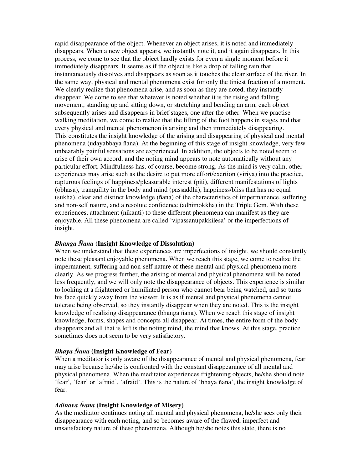rapid disappearance of the object. Whenever an object arises, it is noted and immediately disappears. When a new object appears, we instantly note it, and it again disappears. In this process, we come to see that the object hardly exists for even a single moment before it immediately disappears. It seems as if the object is like a drop of falling rain that instantaneously dissolves and disappears as soon as it touches the clear surface of the river. In the same way, physical and mental phenomena exist for only the tiniest fraction of a moment. We clearly realize that phenomena arise, and as soon as they are noted, they instantly disappear. We come to see that whatever is noted whether it is the rising and falling movement, standing up and sitting down, or stretching and bending an arm, each object subsequently arises and disappears in brief stages, one after the other. When we practise walking meditation, we come to realize that the lifting of the foot happens in stages and that every physical and mental phenomenon is arising and then immediately disappearing. This constitutes the insight knowledge of the arising and disappearing of physical and mental phenomena (udayabbaya ñana). At the beginning of this stage of insight knowledge, very few unbearably painful sensations are experienced. In addition, the objects to be noted seem to arise of their own accord, and the noting mind appears to note automatically without any particular effort. Mindfulness has, of course, become strong. As the mind is very calm, other experiences may arise such as the desire to put more effort/exertion (viriya) into the practice, rapturous feelings of happiness/pleasurable interest (piti), different manifestations of lights (obhasa), tranquility in the body and mind (passaddhi), happiness/bliss that has no equal (sukha), clear and distinct knowledge (ñana) of the characteristics of impermanence, suffering and non-self nature, and a resolute confidence (adhimokkha) in the Triple Gem. With these experiences, attachment (nikanti) to these different phenomena can manifest as they are enjoyable. All these phenomena are called 'vipassanupakkilesa' or the imperfections of insight.

#### *Bhanga Ñana* **(Insight Knowledge of Dissolution)**

When we understand that these experiences are imperfections of insight, we should constantly note these pleasant enjoyable phenomena. When we reach this stage, we come to realize the impermanent, suffering and non-self nature of these mental and physical phenomena more clearly. As we progress further, the arising of mental and physical phenomena will be noted less frequently, and we will only note the disappearance of objects. This experience is similar to looking at a frightened or humiliated person who cannot bear being watched, and so turns his face quickly away from the viewer. It is as if mental and physical phenomena cannot tolerate being observed, so they instantly disappear when they are noted. This is the insight knowledge of realizing disappearance (bhanga ñana). When we reach this stage of insight knowledge, forms, shapes and concepts all disappear. At times, the entire form of the body disappears and all that is left is the noting mind, the mind that knows. At this stage, practice sometimes does not seem to be very satisfactory.

### *Bhaya Ñana* **(Insight Knowledge of Fear)**

When a meditator is only aware of the disappearance of mental and physical phenomena, fear may arise because he/she is confronted with the constant disappearance of all mental and physical phenomena. When the meditator experiences frightening objects, he/she should note 'fear', 'fear' or 'afraid', 'afraid'. This is the nature of 'bhaya ñana', the insight knowledge of fear.

### *Adinava Ñana* **(Insight Knowledge of Misery)**

As the meditator continues noting all mental and physical phenomena, he/she sees only their disappearance with each noting, and so becomes aware of the flawed, imperfect and unsatisfactory nature of these phenomena. Although he/she notes this state, there is no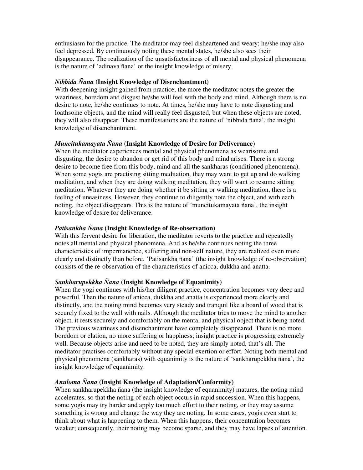enthusiasm for the practice. The meditator may feel disheartened and weary; he/she may also feel depressed. By continuously noting these mental states, he/she also sees their disappearance. The realization of the unsatisfactoriness of all mental and physical phenomena is the nature of 'adinava ñana' or the insight knowledge of misery.

### *Nibbida Ñana* **(Insight Knowledge of Disenchantment)**

With deepening insight gained from practice, the more the meditator notes the greater the weariness, boredom and disgust he/she will feel with the body and mind. Although there is no desire to note, he/she continues to note. At times, he/she may have to note disgusting and loathsome objects, and the mind will really feel disgusted, but when these objects are noted, they will also disappear. These manifestations are the nature of 'nibbida ñana' , the insight knowledge of disenchantment.

### *Muncitukamayata Ñana* **(Insight Knowledge of Desire for Deliverance)**

When the meditator experiences mental and physical phenomena as wearisome and disgusting, the desire to abandon or get rid of this body and mind arises. There is a strong desire to become free from this body, mind and all the sankharas (conditioned phenomena). When some yogis are practising sitting meditation, they may want to get up and do walking meditation, and when they are doing walking meditation, they will want to resume sitting meditation. Whatever they are doing whether it be sitting or walking meditation, there is a feeling of uneasiness. However, they continue to diligently note the object, and with each noting, the object disappears. This is the nature of 'muncitukamayata ñana' , the insight knowledge of desire for deliverance.

### *Patisankha Ñana* **(Insight Knowledge of Re-observation)**

With this fervent desire for liberation, the meditator reverts to the practice and repeatedly notes all mental and physical phenomena. And as he/she continues noting the three characteristics of impermanence, suffering and non-self nature, they are realized even more clearly and distinctly than before. 'Patisankha ñana' (the insight knowledge of re-observation) consists of the re-observation of the characteristics of anicca, dukkha and anatta.

### *Sankharupekkha Ñana* **(Insight Knowledge of Equanimity)**

When the yogi continues with his/her diligent practice, concentration becomes very deep and powerful. Then the nature of anicca, dukkha and anatta is experienced more clearly and distinctly, and the noting mind becomes very steady and tranquil like a board of wood that is securely fixed to the wall with nails. Although the meditator tries to move the mind to another object, it rests securely and comfortably on the mental and physical object that is being noted. The previous weariness and disenchantment have completely disappeared. There is no more boredom or elation, no more suffering or happiness; insight practice is progressing extremely well. Because objects arise and need to be noted, they are simply noted, that's all. The meditator practises comfortably without any special exertion or effort. Noting both mental and physical phenomena (sankharas) with equanimity is the nature of 'sankharupekkha ñana' , the insight knowledge of equanimity.

### *Anuloma Ñana* **(Insight Knowledge of Adaptation/Conformity)**

When sankharupekkha ñana (the insight knowledge of equanimity) matures, the noting mind accelerates, so that the noting of each object occurs in rapid succession. When this happens, some yogis may try harder and apply too much effort to their noting, or they may assume something is wrong and change the way they are noting. In some cases, yogis even start to think about what is happening to them. When this happens, their concentration becomes weaker; consequently, their noting may become sparse, and they may have lapses of attention.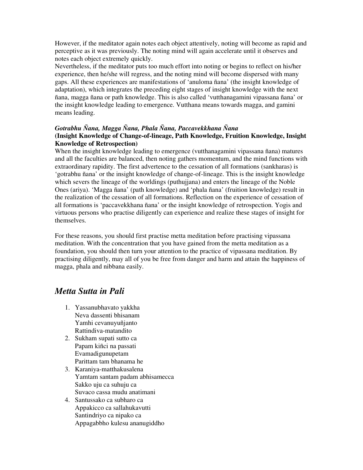However, if the meditator again notes each object attentively, noting will become as rapid and perceptive as it was previously. The noting mind will again accelerate until it observes and notes each object extremely quickly.

Nevertheless, if the meditator puts too much effort into noting or begins to reflect on his/her experience, then he/she will regress, and the noting mind will become dispersed with many gaps. All these experiences are manifestations of 'anuloma ñana' (the insight knowledge of adaptation), which integrates the preceding eight stages of insight knowledge with the next ñana, magga ñana or path knowledge. This is also called 'vutthanagamini vipassana ñana' or the insight knowledge leading to emergence. Vutthana means towards magga, and gamini means leading.

### *Gotrabhu Ñana, Magga Ñana, Phala Ñana, Paccavekkhana Ñana* **(Insight Knowledge of Change-of-lineage, Path Knowledge, Fruition Knowledge, Insight Knowledge of Retrospection)**

When the insight knowledge leading to emergence (vutthanagamini vipassana ñana) matures and all the faculties are balanced, then noting gathers momentum, and the mind functions with extraordinary rapidity. The first advertence to the cessation of all formations (sankharas) is 'gotrabhu ñana' or the insight knowledge of change-of-lineage. This is the insight knowledge which severs the lineage of the worldings (puthujjana) and enters the lineage of the Noble Ones (ariya). 'Magga ñana' (path knowledge) and 'phala ñana' (fruition knowledge) result in the realization of the cessation of all formations. Reflection on the experience of cessation of all formations is 'paccavekkhana ñana' or the insight knowledge of retrospection. Yogis and virtuous persons who practise diligently can experience and realize these stages of insight for themselves.

For these reasons, you should first practise metta meditation before practising vipassana meditation. With the concentration that you have gained from the metta meditation as a foundation, you should then turn your attention to the practice of vipassana meditation. By practising diligently, may all of you be free from danger and harm and attain the happiness of magga, phala and nibbana easily.

### *Metta Sutta in Pali*

- 1. Yassanubhavato yakkha Neva dassenti bhisanam Yamhi cevanuyuñjanto Rattindiva-matandito
- 2. Sukham supati sutto ca Papam kiñci na passati Evamadigunupetam Parittam tam bhanama he
- 3. Karaniya-matthakusalena Yamtam santam padam abhisamecca Sakko uju ca suhuju ca Suvaco cassa mudu anatimani
- 4. Santussako ca subharo ca Appakicco ca sallahukavutti Santindriyo ca nipako ca Appagabbho kulesu ananugiddho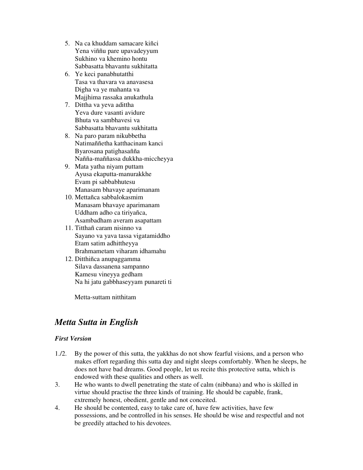- 5. Na ca khuddam samacare kiñci Yena viññu pare upavadeyyum Sukhino va khemino hontu Sabbasatta bhavantu sukhitatta
- 6. Ye keci panabhutatthi Tasa va thavara va anavasesa Digha va ye mahanta va Majjhima rassaka anukathula
- 7. Dittha va yeva adittha Yeva dure vasanti avidure Bhuta va sambhavesi va Sabbasatta bhavantu sukhitatta
- 8. Na paro param nikubbetha Natimaññetha katthacinam kanci Byarosana patighasañña Nañña-maññassa dukkha-miccheyya
- 9. Mata yatha niyam puttam Ayusa ekaputta-manurakkhe Evam pi sabbabhutesu Manasam bhavaye aparimanam
- 10. Mettañca sabbalokasmim Manasam bhavaye aparimanam Uddham adho ca tiriyañca, Asambadham averam asapattam
- 11. Titthañ caram nisinno va Sayano va yava tassa vigatamiddho Etam satim adhittheyya Brahmametam viharam idhamahu
- 12. Ditthiñca anupaggamma Silava dassanena sampanno Kamesu vineyya gedham Na hi jatu gabbhaseyyam punareti ti

Metta-suttam nitthitam

## *Metta Sutta in English*

### *First Version*

- 1./2. By the power of this sutta, the yakkhas do not show fearful visions, and a person who makes effort regarding this sutta day and night sleeps comfortably. When he sleeps, he does not have bad dreams. Good people, let us recite this protective sutta, which is endowed with these qualities and others as well.
- 3. He who wants to dwell penetrating the state of calm (nibbana) and who is skilled in virtue should practise the three kinds of training. He should be capable, frank, extremely honest, obedient, gentle and not conceited.
- 4. He should be contented, easy to take care of, have few activities, have few possessions, and be controlled in his senses. He should be wise and respectful and not be greedily attached to his devotees.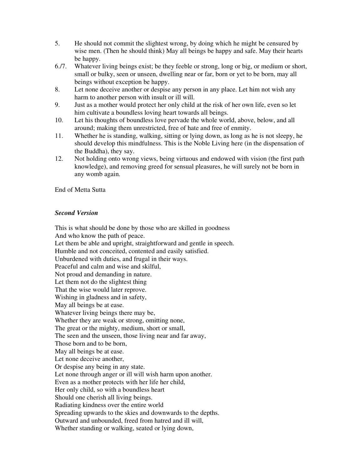- 5. He should not commit the slightest wrong, by doing which he might be censured by wise men. (Then he should think) May all beings be happy and safe. May their hearts be happy.
- 6./7. Whatever living beings exist; be they feeble or strong, long or big, or medium or short, small or bulky, seen or unseen, dwelling near or far, born or yet to be born, may all beings without exception be happy.
- 8. Let none deceive another or despise any person in any place. Let him not wish any harm to another person with insult or ill will.
- 9. Just as a mother would protect her only child at the risk of her own life, even so let him cultivate a boundless loving heart towards all beings.
- 10. Let his thoughts of boundless love pervade the whole world, above, below, and all around; making them unrestricted, free of hate and free of enmity.
- 11. Whether he is standing, walking, sitting or lying down, as long as he is not sleepy, he should develop this mindfulness. This is the Noble Living here (in the dispensation of the Buddha), they say.
- 12. Not holding onto wrong views, being virtuous and endowed with vision (the first path knowledge), and removing greed for sensual pleasures, he will surely not be born in any womb again.

End of Metta Sutta

### *Second Version*

This is what should be done by those who are skilled in goodness And who know the path of peace. Let them be able and upright, straightforward and gentle in speech. Humble and not conceited, contented and easily satisfied. Unburdened with duties, and frugal in their ways. Peaceful and calm and wise and skilful, Not proud and demanding in nature. Let them not do the slightest thing That the wise would later reprove. Wishing in gladness and in safety, May all beings be at ease. Whatever living beings there may be, Whether they are weak or strong, omitting none, The great or the mighty, medium, short or small, The seen and the unseen, those living near and far away, Those born and to be born, May all beings be at ease. Let none deceive another, Or despise any being in any state. Let none through anger or ill will wish harm upon another. Even as a mother protects with her life her child, Her only child, so with a boundless heart Should one cherish all living beings. Radiating kindness over the entire world Spreading upwards to the skies and downwards to the depths. Outward and unbounded, freed from hatred and ill will, Whether standing or walking, seated or lying down,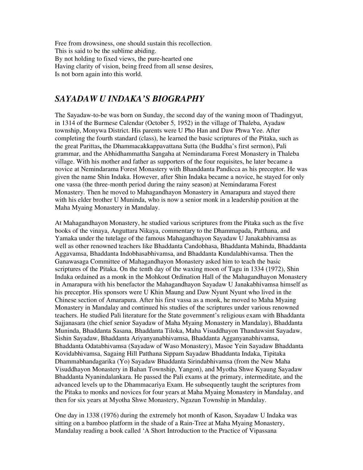Free from drowsiness, one should sustain this recollection. This is said to be the sublime abiding. By not holding to fixed views, the pure-hearted one Having clarity of vision, being freed from all sense desires, Is not born again into this world.

## *SAYADAW U INDAKA'S BIOGRAPHY*

The Sayadaw-to-be was born on Sunday, the second day of the waning moon of Thadingyut, in 1314 of the Burmese Calendar (October 5, 1952) in the village of Thaleba, Ayadaw township, Monywa District. His parents were U Pho Han and Daw Phwa Yee. After completing the fourth standard (class), he learned the basic scriptures of the Pitaka, such as the great Parittas**,** the Dhammacakkappavattana Sutta (the Buddha's first sermon), Pali grammar, and the Abhidhammattha Sangaha at Nemindarama Forest Monastery in Thaleba village. With his mother and father as supporters of the four requisites, he later became a novice at Nemindarama Forest Monastery with Bhanddanta Pandicca as his preceptor. He was given the name Shin Indaka. However, after Shin Indaka became a novice, he stayed for only one vassa (the three-month period during the rainy season) at Nemindarama Forest Monastery. Then he moved to Mahagandhayon Monastery in Amarapura and stayed there with his elder brother U Muninda, who is now a senior monk in a leadership position at the Maha Myaing Monastery in Mandalay.

At Mahagandhayon Monastery, he studied various scriptures from the Pitaka such as the five books of the vinaya, Anguttara Nikaya, commentary to the Dhammapada, Patthana, and Yamaka under the tutelage of the famous Mahagandhayon Sayadaw U Janakabhivamsa as well as other renowned teachers like Bhaddanta Candobhasa, Bhaddanta Mahinda, Bhaddanta Aggavamsa, Bhaddanta Indobhasabhivamsa, and Bhaddanta Kundalabhivamsa. Then the Ganawasaga Committee of Mahagandhayon Monastery asked him to teach the basic scriptures of the Pitaka. On the tenth day of the waxing moon of Tagu in 1334 (1972), Shin Indaka ordained as a monk in the Mohkout Ordination Hall of the Mahagandhayon Monastery in Amarapura with his benefactor the Mahagandhayon Sayadaw U Janakabhivamsa himself as his preceptor. His sponsors were U Khin Maung and Daw Nyunt Nyunt who lived in the Chinese section of Amarapura. After his first vassa as a monk, he moved to Maha Myaing Monastery in Mandalay and continued his studies of the scriptures under various renowned teachers. He studied Pali literature for the State government's religious exam with Bhaddanta Sajjanasara (the chief senior Sayadaw of Maha Myaing Monastery in Mandalay), Bhaddanta Muninda, Bhaddanta Sasana, Bhaddanta Tiloka, Maha Visuddhayon Thandawsint Sayadaw, Sishin Sayadaw, Bhaddanta Ariyanyanabhivamsa, Bhaddanta Agganyanabhivamsa, Bhaddanta Odatabhivamsa (Sayadaw of Waso Monastery), Masoe Yein Sayadaw Bhaddanta Kovidabhivamsa, Sagaing Hill Patthana Sippam Sayadaw Bhaddanta Indaka, Tipitaka Dhammabhandagarika (Yo) Sayadaw Bhaddanta Sirindabhivamsa (from the New Maha Visuddhayon Monastery in Bahan Township, Yangon), and Myotha Shwe Kyaung Sayadaw Bhaddanta Nyanindalankara. He passed the Pali exams at the primary, intermeditate, and the advanced levels up to the Dhammacariya Exam. He subsequently taught the scriptures from the Pitaka to monks and novices for four years at Maha Myaing Monastery in Mandalay, and then for six years at Myotha Shwe Monastery, Ngazun Township in Mandalay.

One day in 1338 (1976) during the extremely hot month of Kason, Sayadaw U Indaka was sitting on a bamboo platform in the shade of a Rain-Tree at Maha Myaing Monastery, Mandalay reading a book called 'A Short Introduction to the Practice of Vipassana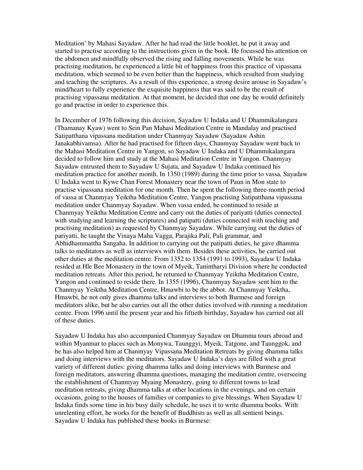Meditation' by Mahasi Sayadaw. After he had read the little booklet, he put it away and started to practise according to the instructions given in the book. He focussed his attention on the abdomen and mindfully observed the rising and falling movements. While he was practising meditation, he experienced a little bit of happiness from this practice of vipassana meditation, which seemed to be even better than the happiness, which resulted from studying and teaching the scriptures. As a result of this experience, a strong desire arouse in Sayadaw's mind/heart to fully experience the exquisite happiness that was said to be the result of practising vipassana meditation. At that moment, he decided that one day he would definitely go and practise in order to experience this.

In December of 1976 following this decision, Sayadaw U Indaka and U Dhammikalangara (Thamanay Kyaw) went to Sein Pan Mahasi Meditation Centre in Mandalay and practised Satipatthana vipassana meditation under Chanmyay Sayadaw (Sayadaw Ashin Janakabhivamsa). After he had practised for fifteen days, Chanmyay Sayadaw went back to the Mahasi Meditation Centre in Yangon, so Sayadaw U Indaka and U Dhammikalangara decided to follow him and study at the Mahasi Meditation Centre in Yangon. Chanmyay Sayadaw entrusted them to Sayadaw U Sujata, and Sayadaw U Indaka continued his meditation practice for another month. In 1350 (1989) during the time prior to vassa, Sayadaw U Indaka went to Kywe Chan Forest Monastery near the town of Paun in Mon state to practise vipassana meditation for one month. Then he spent the following three-month period of vassa at Chanmyay Yeiktha Meditation Centre, Yangon practising Satipatthana vipassana meditation under Chanmyay Sayadaw. When vassa ended, he continued to reside at Chanmyay Yeiktha Meditation Centre and carry out the duties of pariyatti (duties connected with studying and learning the scriptures) and patipatti (duties connected with teaching and practising meditation) as requested by Chanmyay Sayadaw. While carrying out the duties of pariyatti, he taught the Vinaya Maha Vagga, Parajika Pali, Pali grammar, and Abhidhammattha Sangaha. In addition to carrying out the patipatti duties, he gave dhamma talks to meditators as well as interviews with them. Besides these activities, he carried out other duties at the meditation centre. From 1352 to 1354 (1991 to 1993), Sayadaw U Indaka resided at Hle Bee Monastery in the town of Myeik, Tanintharyi Division where he conducted meditation retreats. After this period, he returned to Chanmyay Yeiktha Meditation Centre, Yangon and continued to reside there. In 1355 (1996), Chanmyay Sayadaw sent him to the Chanmyay Yeiktha Meditation Centre, Hmawbi to be the abbot. At Chanmyay Yeiktha, Hmawbi, he not only gives dhamma talks and interviews to both Burmese and foreign meditators alike, but he also carries out all the other duties involved with running a meditation centre. From 1996 until the present year and his fiftieth birthday, Sayadaw has carried out all of these duties.

Sayadaw U Indaka has also accompanied Chanmyay Sayadaw on Dhamma tours abroad and within Myanmar to places such as Monywa, Taunggyi, Myeik, Tatgone, and Taunggok, and he has also helped him at Chanmyay Vipassana Meditation Retreats by giving dhamma talks and doing interviews with the meditators. Sayadaw U Indaka's days are filled with a great variety of different duties: giving dhamma talks and doing interviews with Burmese and foreign meditators, answering dhamma questions, managing the meditation centre, overseeing the establishment of Chanmyay Myaing Monastery, going to different towns to lead meditation retreats, giving dhamma talks at other locations in the evenings, and on certain occasions, going to the houses of families or companies to give blessings. When Sayadaw U Indaka finds some time in his busy daily schedule, he uses it to write dhamma books. With unrelenting effort, he works for the benefit of Buddhists as well as all sentient beings. Sayadaw U Indaka has published these books in Burmese: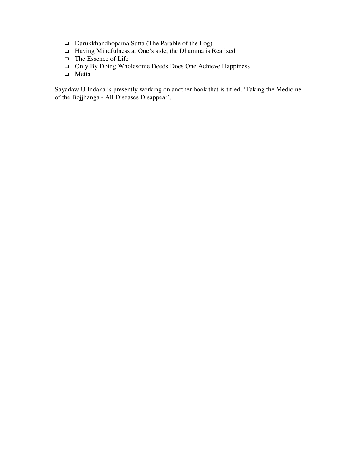- Darukkhandhopama Sutta (The Parable of the Log)
- Having Mindfulness at One's side, the Dhamma is Realized
- The Essence of Life
- Only By Doing Wholesome Deeds Does One Achieve Happiness
- Metta

Sayadaw U Indaka is presently working on another book that is titled, 'Taking the Medicine of the Bojjhanga - All Diseases Disappear' .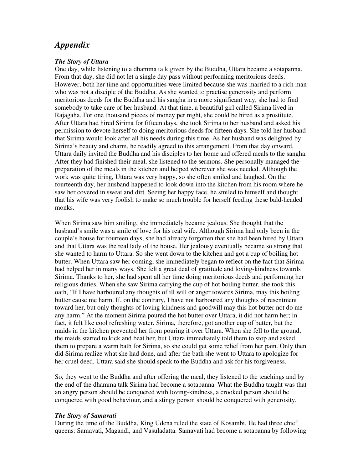## *Appendix*

### *The Story of Uttara*

One day, while listening to a dhamma talk given by the Buddha, Uttara became a sotapanna. From that day, she did not let a single day pass without performing meritorious deeds. However, both her time and opportunities were limited because she was married to a rich man who was not a disciple of the Buddha. As she wanted to practise generosity and perform meritorious deeds for the Buddha and his sangha in a more significant way, she had to find somebody to take care of her husband. At that time, a beautiful girl called Sirima lived in Rajagaha. For one thousand pieces of money per night, she could be hired as a prostitute. After Uttara had hired Sirima for fifteen days, she took Sirima to her husband and asked his permission to devote herself to doing meritorious deeds for fifteen days. She told her husband that Sirima would look after all his needs during this time. As her husband was delighted by Sirima's beauty and charm, he readily agreed to this arrangement. From that day onward, Uttara daily invited the Buddha and his disciples to her home and offered meals to the sangha. After they had finished their meal, she listened to the sermons. She personally managed the preparation of the meals in the kitchen and helped wherever she was needed. Although the work was quite tiring, Uttara was very happy, so she often smiled and laughed. On the fourteenth day, her husband happened to look down into the kitchen from his room where he saw her covered in sweat and dirt. Seeing her happy face, he smiled to himself and thought that his wife was very foolish to make so much trouble for herself feeding these bald-headed monks.

When Sirima saw him smiling, she immediately became jealous. She thought that the husband's smile was a smile of love for his real wife. Although Sirima had only been in the couple's house for fourteen days, she had already forgotten that she had been hired by Uttara and that Uttara was the real lady of the house. Her jealousy eventually became so strong that she wanted to harm to Uttara. So she went down to the kitchen and got a cup of boiling hot butter. When Uttara saw her coming, she immediately began to reflect on the fact that Sirima had helped her in many ways. She felt a great deal of gratitude and loving-kindness towards Sirima. Thanks to her, she had spent all her time doing meritorious deeds and performing her religious duties. When she saw Sirima carrying the cup of hot boiling butter, she took this oath, " If I have harboured any thoughts of ill will or anger towards Sirima, may this boiling butter cause me harm. If, on the contrary, I have not harboured any thoughts of resentment toward her, but only thoughts of loving-kindness and goodwill may this hot butter not do me any harm." At the moment Sirima poured the hot butter over Uttara, it did not harm her; in fact, it felt like cool refreshing water. Sirima, therefore, got another cup of butter, but the maids in the kitchen prevented her from pouring it over Uttara. When she fell to the ground, the maids started to kick and beat her, but Uttara immediately told them to stop and asked them to prepare a warm bath for Sirima, so she could get some relief from her pain. Only then did Sirima realize what she had done, and after the bath she went to Uttara to apologize for her cruel deed. Uttara said she should speak to the Buddha and ask for his forgiveness.

So, they went to the Buddha and after offering the meal, they listened to the teachings and by the end of the dhamma talk Sirima had become a sotapanna. What the Buddha taught was that an angry person should be conquered with loving-kindness, a crooked person should be conquered with good behaviour, and a stingy person should be conquered with generosity.

### *The Story of Samavati*

During the time of the Buddha, King Udena ruled the state of Kosambi. He had three chief queens: Samavati, Magandi, and Vasuladatta. Samavati had become a sotapanna by following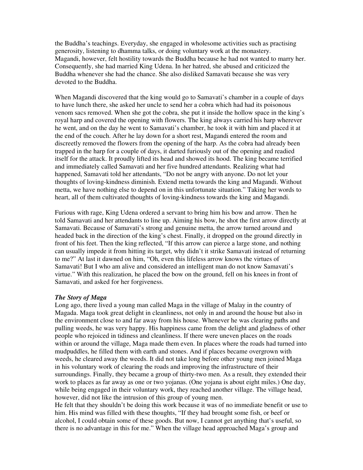the Buddha's teachings. Everyday, she engaged in wholesome activities such as practising generosity, listening to dhamma talks, or doing voluntary work at the monastery. Magandi, however, felt hostility towards the Buddha because he had not wanted to marry her. Consequently, she had married King Udena. In her hatred, she abused and criticized the Buddha whenever she had the chance. She also disliked Samavati because she was very devoted to the Buddha.

When Magandi discovered that the king would go to Samavati's chamber in a couple of days to have lunch there, she asked her uncle to send her a cobra which had had its poisonous venom sacs removed. When she got the cobra, she put it inside the hollow space in the king's royal harp and covered the opening with flowers. The king always carried his harp wherever he went, and on the day he went to Samavati's chamber, he took it with him and placed it at the end of the couch. After he lay down for a short rest, Magandi entered the room and discreetly removed the flowers from the opening of the harp. As the cobra had already been trapped in the harp for a couple of days, it darted furiously out of the opening and readied itself for the attack. It proudly lifted its head and showed its hood. The king became terrified and immediately called Samavati and her five hundred attendants. Realizing what had happened, Samavati told her attendants, " Do not be angry with anyone. Do not let your thoughts of loving-kindness diminish. Extend metta towards the king and Magandi. Without metta, we have nothing else to depend on in this unfortunate situation." Taking her words to heart, all of them cultivated thoughts of loving-kindness towards the king and Magandi.

Furious with rage, King Udena ordered a servant to bring him his bow and arrow. Then he told Samavati and her attendants to line up. Aiming his bow, he shot the first arrow directly at Samavati. Because of Samavati's strong and genuine metta, the arrow turned around and headed back in the direction of the king's chest. Finally, it dropped on the ground directly in front of his feet. Then the king reflected, "If this arrow can pierce a large stone, and nothing can usually impede it from hitting its target, why didn't it strike Samavati instead of returning to me?" At last it dawned on him, " Oh, even this lifeless arrow knows the virtues of Samavati! But I who am alive and considered an intelligent man do not know Samavati's virtue." With this realization, he placed the bow on the ground, fell on his knees in front of Samavati, and asked for her forgiveness.

### *The Story of Maga*

Long ago, there lived a young man called Maga in the village of Malay in the country of Magada. Maga took great delight in cleanliness, not only in and around the house but also in the environment close to and far away from his house. Whenever he was clearing paths and pulling weeds, he was very happy. His happiness came from the delight and gladness of other people who rejoiced in tidiness and cleanliness. If there were uneven places on the roads within or around the village, Maga made them even. In places where the roads had turned into mudpuddles, he filled them with earth and stones. And if places became overgrown with weeds, he cleared away the weeds. It did not take long before other young men joined Maga in his voluntary work of clearing the roads and improving the infrastructure of their surroundings. Finally, they became a group of thirty-two men. As a result, they extended their work to places as far away as one or two yojanas. (One yojana is about eight miles.) One day, while being engaged in their voluntary work, they reached another village. The village head, however, did not like the intrusion of this group of young men.

He felt that they shouldn't be doing this work because it was of no immediate benefit or use to him. His mind was filled with these thoughts, " If they had brought some fish, or beef or alcohol, I could obtain some of these goods. But now, I cannot get anything that's useful, so there is no advantage in this for me." When the village head approached Maga's group and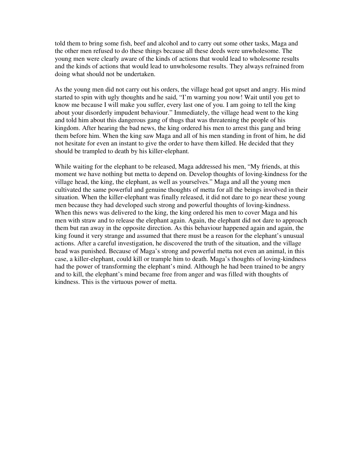told them to bring some fish, beef and alcohol and to carry out some other tasks, Maga and the other men refused to do these things because all these deeds were unwholesome. The young men were clearly aware of the kinds of actions that would lead to wholesome results and the kinds of actions that would lead to unwholesome results. They always refrained from doing what should not be undertaken.

As the young men did not carry out his orders, the village head got upset and angry. His mind started to spin with ugly thoughts and he said, "I'm warning you now! Wait until you get to know me because I will make you suffer, every last one of you. I am going to tell the king about your disorderly impudent behaviour." Immediately, the village head went to the king and told him about this dangerous gang of thugs that was threatening the people of his kingdom. After hearing the bad news, the king ordered his men to arrest this gang and bring them before him. When the king saw Maga and all of his men standing in front of him, he did not hesitate for even an instant to give the order to have them killed. He decided that they should be trampled to death by his killer-elephant.

While waiting for the elephant to be released, Maga addressed his men, " My friends, at this moment we have nothing but metta to depend on. Develop thoughts of loving-kindness for the village head, the king, the elephant, as well as yourselves." Maga and all the young men cultivated the same powerful and genuine thoughts of metta for all the beings involved in their situation. When the killer-elephant was finally released, it did not dare to go near these young men because they had developed such strong and powerful thoughts of loving-kindness. When this news was delivered to the king, the king ordered his men to cover Maga and his men with straw and to release the elephant again. Again, the elephant did not dare to approach them but ran away in the opposite direction. As this behaviour happened again and again, the king found it very strange and assumed that there must be a reason for the elephant's unusual actions. After a careful investigation, he discovered the truth of the situation, and the village head was punished. Because of Maga's strong and powerful metta not even an animal, in this case, a killer-elephant, could kill or trample him to death. Maga's thoughts of loving-kindness had the power of transforming the elephant's mind. Although he had been trained to be angry and to kill, the elephant's mind became free from anger and was filled with thoughts of kindness. This is the virtuous power of metta.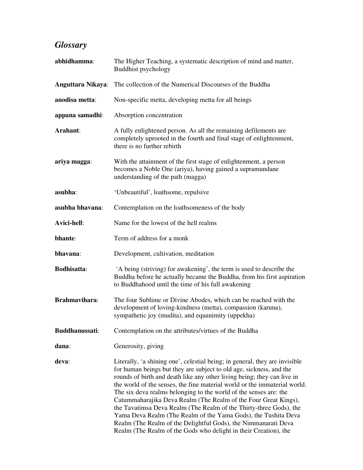# *Glossary*

| abhidhamma:          | The Higher Teaching, a systematic description of mind and matter,<br><b>Buddhist psychology</b>                                                                                                                                                                                                                                                                                                                                                                                                                                                                                                                                                                                                                                  |
|----------------------|----------------------------------------------------------------------------------------------------------------------------------------------------------------------------------------------------------------------------------------------------------------------------------------------------------------------------------------------------------------------------------------------------------------------------------------------------------------------------------------------------------------------------------------------------------------------------------------------------------------------------------------------------------------------------------------------------------------------------------|
| Anguttara Nikaya:    | The collection of the Numerical Discourses of the Buddha                                                                                                                                                                                                                                                                                                                                                                                                                                                                                                                                                                                                                                                                         |
| anodisa metta:       | Non-specific metta, developing metta for all beings                                                                                                                                                                                                                                                                                                                                                                                                                                                                                                                                                                                                                                                                              |
| appana samadhi:      | Absorption concentration                                                                                                                                                                                                                                                                                                                                                                                                                                                                                                                                                                                                                                                                                                         |
| Arahant:             | A fully enlightened person. As all the remaining defilements are<br>completely uprooted in the fourth and final stage of enlightenment,<br>there is no further rebirth                                                                                                                                                                                                                                                                                                                                                                                                                                                                                                                                                           |
| ariya magga:         | With the attainment of the first stage of enlightenment, a person<br>becomes a Noble One (ariya), having gained a supramundane<br>understanding of the path (magga)                                                                                                                                                                                                                                                                                                                                                                                                                                                                                                                                                              |
| asubha:              | 'Unbeautiful', loathsome, repulsive                                                                                                                                                                                                                                                                                                                                                                                                                                                                                                                                                                                                                                                                                              |
| asubha bhavana:      | Contemplation on the loathsomeness of the body                                                                                                                                                                                                                                                                                                                                                                                                                                                                                                                                                                                                                                                                                   |
| Avici-hell:          | Name for the lowest of the hell realms                                                                                                                                                                                                                                                                                                                                                                                                                                                                                                                                                                                                                                                                                           |
| bhante:              | Term of address for a monk                                                                                                                                                                                                                                                                                                                                                                                                                                                                                                                                                                                                                                                                                                       |
| bhavana:             | Development, cultivation, meditation                                                                                                                                                                                                                                                                                                                                                                                                                                                                                                                                                                                                                                                                                             |
| <b>Bodhisatta:</b>   | A being (striving) for awakening', the term is used to describe the<br>Buddha before he actually became the Buddha, from his first aspiration<br>to Buddhahood until the time of his full awakening                                                                                                                                                                                                                                                                                                                                                                                                                                                                                                                              |
| <b>Brahmavihara:</b> | The four Sublime or Divine Abodes, which can be reached with the<br>development of loving-kindness (metta), compassion (karuna),<br>sympathetic joy (mudita), and equanimity (uppekha)                                                                                                                                                                                                                                                                                                                                                                                                                                                                                                                                           |
| Buddhanussati:       | Contemplation on the attributes/virtues of the Buddha                                                                                                                                                                                                                                                                                                                                                                                                                                                                                                                                                                                                                                                                            |
| dana:                | Generosity, giving                                                                                                                                                                                                                                                                                                                                                                                                                                                                                                                                                                                                                                                                                                               |
| deva:                | Literally, 'a shining one', celestial being; in general, they are invisible<br>for human beings but they are subject to old age, sickness, and the<br>rounds of birth and death like any other living being; they can live in<br>the world of the senses, the fine material world or the immaterial world.<br>The six deva realms belonging to the world of the senses are: the<br>Catummaharajika Deva Realm (The Realm of the Four Great Kings),<br>the Tavatimsa Deva Realm (The Realm of the Thirty-three Gods), the<br>Yama Deva Realm (The Realm of the Yama Gods), the Tushita Deva<br>Realm (The Realm of the Delightful Gods), the Nimmanarati Deva<br>Realm (The Realm of the Gods who delight in their Creation), the |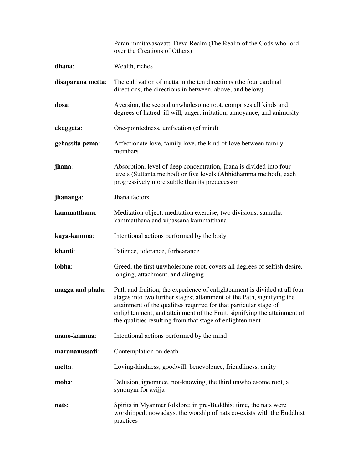|                   | Paranimmitavasavatti Deva Realm (The Realm of the Gods who lord<br>over the Creations of Others)                                                                                                                                                                                                                                                                 |
|-------------------|------------------------------------------------------------------------------------------------------------------------------------------------------------------------------------------------------------------------------------------------------------------------------------------------------------------------------------------------------------------|
| dhana:            | Wealth, riches                                                                                                                                                                                                                                                                                                                                                   |
| disaparana metta: | The cultivation of metta in the ten directions (the four cardinal<br>directions, the directions in between, above, and below)                                                                                                                                                                                                                                    |
| dosa:             | Aversion, the second unwholesome root, comprises all kinds and<br>degrees of hatred, ill will, anger, irritation, annoyance, and animosity                                                                                                                                                                                                                       |
| ekaggata:         | One-pointedness, unification (of mind)                                                                                                                                                                                                                                                                                                                           |
| gehassita pema:   | Affectionate love, family love, the kind of love between family<br>members                                                                                                                                                                                                                                                                                       |
| jhana:            | Absorption, level of deep concentration, jhana is divided into four<br>levels (Suttanta method) or five levels (Abhidhamma method), each<br>progressively more subtle than its predecessor                                                                                                                                                                       |
| jhananga:         | Jhana factors                                                                                                                                                                                                                                                                                                                                                    |
| kammatthana:      | Meditation object, meditation exercise; two divisions: samatha<br>kammatthana and vipassana kammatthana                                                                                                                                                                                                                                                          |
| kaya-kamma:       | Intentional actions performed by the body                                                                                                                                                                                                                                                                                                                        |
| khanti:           | Patience, tolerance, forbearance                                                                                                                                                                                                                                                                                                                                 |
| lobha:            | Greed, the first unwholesome root, covers all degrees of selfish desire,<br>longing, attachment, and clinging                                                                                                                                                                                                                                                    |
| magga and phala:  | Path and fruition, the experience of enlightenment is divided at all four<br>stages into two further stages; attainment of the Path, signifying the<br>attainment of the qualities required for that particular stage of<br>enlightenment, and attainment of the Fruit, signifying the attainment of<br>the qualities resulting from that stage of enlightenment |
| mano-kamma:       | Intentional actions performed by the mind                                                                                                                                                                                                                                                                                                                        |
| marananussati:    | Contemplation on death                                                                                                                                                                                                                                                                                                                                           |
| metta:            | Loving-kindness, goodwill, benevolence, friendliness, amity                                                                                                                                                                                                                                                                                                      |
| moha:             | Delusion, ignorance, not-knowing, the third unwholesome root, a<br>synonym for avijja                                                                                                                                                                                                                                                                            |
| nats:             | Spirits in Myanmar folklore; in pre-Buddhist time, the nats were<br>worshipped; nowadays, the worship of nats co-exists with the Buddhist<br>practices                                                                                                                                                                                                           |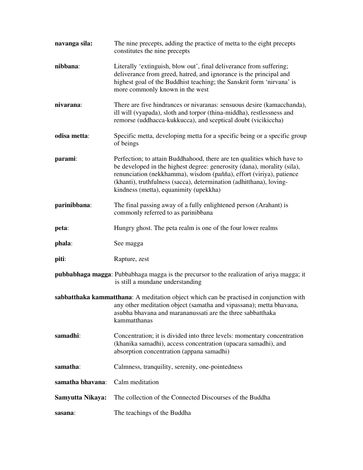| navanga sila:    | The nine precepts, adding the practice of metta to the eight precepts<br>constitutes the nine precepts                                                                                                                                                                                                                                     |
|------------------|--------------------------------------------------------------------------------------------------------------------------------------------------------------------------------------------------------------------------------------------------------------------------------------------------------------------------------------------|
| nibbana:         | Literally 'extinguish, blow out', final deliverance from suffering;<br>deliverance from greed, hatred, and ignorance is the principal and<br>highest goal of the Buddhist teaching; the Sanskrit form 'nirvana' is<br>more commonly known in the west                                                                                      |
| nivarana:        | There are five hindrances or nivaranas: sensuous desire (kamacchanda),<br>ill will (vyapada), sloth and torpor (thina-middha), restlessness and<br>remorse (uddhacca-kukkucca), and sceptical doubt (vicikiccha)                                                                                                                           |
| odisa metta:     | Specific metta, developing metta for a specific being or a specific group<br>of beings                                                                                                                                                                                                                                                     |
| parami:          | Perfection; to attain Buddhahood, there are ten qualities which have to<br>be developed in the highest degree: generosity (dana), morality (sila),<br>renunciation (nekkhamma), wisdom (pañña), effort (viriya), patience<br>(khanti), truthfulness (sacca), determination (adhitthana), loving-<br>kindness (metta), equanimity (upekkha) |
| parinibbana:     | The final passing away of a fully enlightened person (Arahant) is<br>commonly referred to as parinibbana                                                                                                                                                                                                                                   |
| peta:            | Hungry ghost. The peta realm is one of the four lower realms                                                                                                                                                                                                                                                                               |
| phala:           | See magga                                                                                                                                                                                                                                                                                                                                  |
| piti:            | Rapture, zest                                                                                                                                                                                                                                                                                                                              |
|                  | <b>pubbabhaga magga:</b> Pubbabhaga magga is the precursor to the realization of ariya magga; it<br>is still a mundane understanding                                                                                                                                                                                                       |
|                  | sabbatthaka kammatthana: A meditation object which can be practised in conjunction with<br>any other meditation object (samatha and vipassana); metta bhavana,<br>asubha bhavana and marananussati are the three sabbatthaka<br>kammatthanas                                                                                               |
| samadhi:         | Concentration; it is divided into three levels: momentary concentration<br>(khanika samadhi), access concentration (upacara samadhi), and<br>absorption concentration (appana samadhi)                                                                                                                                                     |
| samatha:         | Calmness, tranquility, serenity, one-pointedness                                                                                                                                                                                                                                                                                           |
| samatha bhavana: | Calm meditation                                                                                                                                                                                                                                                                                                                            |
| Samyutta Nikaya: | The collection of the Connected Discourses of the Buddha                                                                                                                                                                                                                                                                                   |
| sasana:          | The teachings of the Buddha                                                                                                                                                                                                                                                                                                                |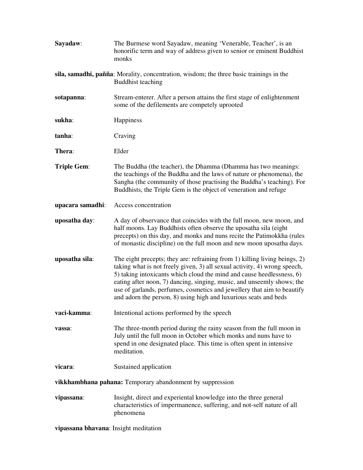| Sayadaw:                                                  | The Burmese word Sayadaw, meaning 'Venerable, Teacher', is an<br>honorific term and way of address given to senior or eminent Buddhist<br>monks                                                                                                                                                                                                                                                                                                           |  |
|-----------------------------------------------------------|-----------------------------------------------------------------------------------------------------------------------------------------------------------------------------------------------------------------------------------------------------------------------------------------------------------------------------------------------------------------------------------------------------------------------------------------------------------|--|
|                                                           | sila, samadhi, pañña: Morality, concentration, wisdom; the three basic trainings in the<br><b>Buddhist teaching</b>                                                                                                                                                                                                                                                                                                                                       |  |
| sotapanna:                                                | Stream-enterer. After a person attains the first stage of enlightenment<br>some of the defilements are competely uprooted                                                                                                                                                                                                                                                                                                                                 |  |
| sukha:                                                    | Happiness                                                                                                                                                                                                                                                                                                                                                                                                                                                 |  |
| tanha:                                                    | Craving                                                                                                                                                                                                                                                                                                                                                                                                                                                   |  |
| Thera:                                                    | Elder                                                                                                                                                                                                                                                                                                                                                                                                                                                     |  |
| <b>Triple Gem:</b>                                        | The Buddha (the teacher), the Dhamma (Dhamma has two meanings:<br>the teachings of the Buddha and the laws of nature or phenomena), the<br>Sangha (the community of those practising the Buddha's teaching). For<br>Buddhists, the Triple Gem is the object of veneration and refuge                                                                                                                                                                      |  |
| upacara samadhi:                                          | Access concentration                                                                                                                                                                                                                                                                                                                                                                                                                                      |  |
| uposatha day:                                             | A day of observance that coincides with the full moon, new moon, and<br>half moons. Lay Buddhists often observe the uposatha sila (eight<br>precepts) on this day, and monks and nuns recite the Patimokkha (rules<br>of monastic discipline) on the full moon and new moon uposatha days.                                                                                                                                                                |  |
| uposatha sila:                                            | The eight precepts; they are: refraining from 1) killing living beings, 2)<br>taking what is not freely given, 3) all sexual activity, 4) wrong speech,<br>5) taking intoxicants which cloud the mind and cause heedlessness, 6)<br>eating after noon, 7) dancing, singing, music, and unseemly shows; the<br>use of garlands, perfumes, cosmetics and jewellery that aim to beautify<br>and adorn the person, 8) using high and luxurious seats and beds |  |
| vaci-kamma:                                               | Intentional actions performed by the speech                                                                                                                                                                                                                                                                                                                                                                                                               |  |
| vassa:                                                    | The three-month period during the rainy season from the full moon in<br>July until the full moon in October which monks and nuns have to<br>spend in one designated place. This time is often spent in intensive<br>meditation.                                                                                                                                                                                                                           |  |
| vicara:                                                   | Sustained application                                                                                                                                                                                                                                                                                                                                                                                                                                     |  |
| vikkhambhana pahana: Temporary abandonment by suppression |                                                                                                                                                                                                                                                                                                                                                                                                                                                           |  |
| vipassana:                                                | Insight, direct and experiental knowledge into the three general<br>characteristics of impermanence, suffering, and not-self nature of all<br>phenomena                                                                                                                                                                                                                                                                                                   |  |

**vipassana bhavana**: Insight meditation